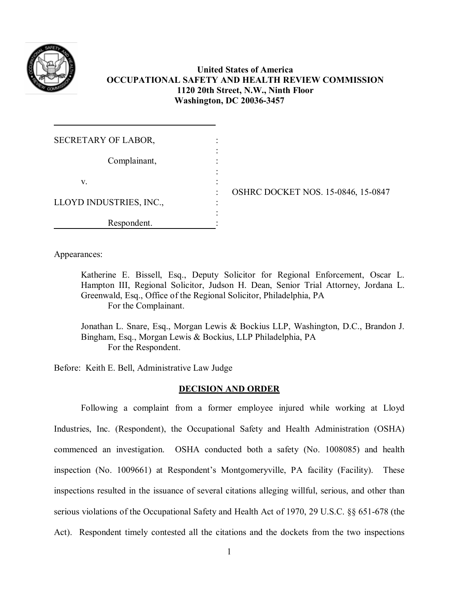

# **United States of America OCCUPATIONAL SAFETY AND HEALTH REVIEW COMMISSION 1120 20th Street, N.W., Ninth Floor Washington, DC 20036-3457**

| SECRETARY OF LABOR,     |                                                |
|-------------------------|------------------------------------------------|
| Complainant,            |                                                |
| V.                      | ٠                                              |
| LLOYD INDUSTRIES, INC., | <b>OSHRC DOCKET NOS. 15-0846, 15-0847</b><br>٠ |
| Respondent.             |                                                |

Appearances:

Katherine E. Bissell, Esq., Deputy Solicitor for Regional Enforcement, Oscar L. Hampton III, Regional Solicitor, Judson H. Dean, Senior Trial Attorney, Jordana L. Greenwald, Esq., Office of the Regional Solicitor, Philadelphia, PA For the Complainant.

Jonathan L. Snare, Esq., Morgan Lewis & Bockius LLP, Washington, D.C., Brandon J. Bingham, Esq., Morgan Lewis & Bockius, LLP Philadelphia, PA For the Respondent.

Before: Keith E. Bell, Administrative Law Judge

## **DECISION AND ORDER**

Following a complaint from a former employee injured while working at Lloyd Industries, Inc. (Respondent), the Occupational Safety and Health Administration (OSHA) commenced an investigation. OSHA conducted both a safety (No. 1008085) and health inspection (No. 1009661) at Respondent's Montgomeryville, PA facility (Facility). These inspections resulted in the issuance of several citations alleging willful, serious, and other than serious violations of the Occupational Safety and Health Act of 1970, 29 U.S.C. §§ 651-678 (the Act). Respondent timely contested all the citations and the dockets from the two inspections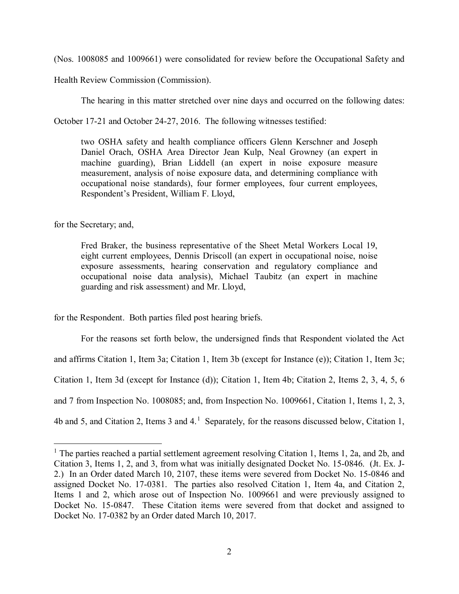(Nos. 1008085 and 1009661) were consolidated for review before the Occupational Safety and

Health Review Commission (Commission).

The hearing in this matter stretched over nine days and occurred on the following dates:

October 17-21 and October 24-27, 2016. The following witnesses testified:

two OSHA safety and health compliance officers Glenn Kerschner and Joseph Daniel Orach, OSHA Area Director Jean Kulp, Neal Growney (an expert in machine guarding), Brian Liddell (an expert in noise exposure measure measurement, analysis of noise exposure data, and determining compliance with occupational noise standards), four former employees, four current employees, Respondent's President, William F. Lloyd,

for the Secretary; and,

 $\overline{a}$ 

Fred Braker, the business representative of the Sheet Metal Workers Local 19, eight current employees, Dennis Driscoll (an expert in occupational noise, noise exposure assessments, hearing conservation and regulatory compliance and occupational noise data analysis), Michael Taubitz (an expert in machine guarding and risk assessment) and Mr. Lloyd,

for the Respondent. Both parties filed post hearing briefs.

For the reasons set forth below, the undersigned finds that Respondent violated the Act and affirms Citation 1, Item 3a; Citation 1, Item 3b (except for Instance (e)); Citation 1, Item 3c; Citation 1, Item 3d (except for Instance (d)); Citation 1, Item 4b; Citation 2, Items 2, 3, 4, 5, 6 and 7 from Inspection No. 1008085; and, from Inspection No. 1009661, Citation 1, Items 1, 2, 3, 4b and 5, and Citation 2, Items 3 and 4.<sup>[1](#page-1-0)</sup> Separately, for the reasons discussed below, Citation 1,

<span id="page-1-0"></span><sup>&</sup>lt;sup>1</sup> The parties reached a partial settlement agreement resolving Citation 1, Items 1, 2a, and 2b, and Citation 3, Items 1, 2, and 3, from what was initially designated Docket No. 15-0846. (Jt. Ex. J-2.) In an Order dated March 10, 2107, these items were severed from Docket No. 15-0846 and assigned Docket No. 17-0381. The parties also resolved Citation 1, Item 4a, and Citation 2, Items 1 and 2, which arose out of Inspection No. 1009661 and were previously assigned to Docket No. 15-0847. These Citation items were severed from that docket and assigned to Docket No. 17-0382 by an Order dated March 10, 2017.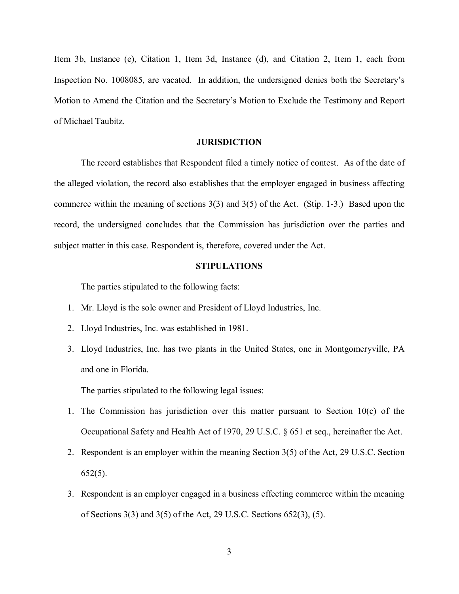Item 3b, Instance (e), Citation 1, Item 3d, Instance (d), and Citation 2, Item 1, each from Inspection No. 1008085, are vacated. In addition, the undersigned denies both the Secretary's Motion to Amend the Citation and the Secretary's Motion to Exclude the Testimony and Report of Michael Taubitz.

#### **JURISDICTION**

The record establishes that Respondent filed a timely notice of contest. As of the date of the alleged violation, the record also establishes that the employer engaged in business affecting commerce within the meaning of sections 3(3) and 3(5) of the Act. (Stip. 1-3.) Based upon the record, the undersigned concludes that the Commission has jurisdiction over the parties and subject matter in this case. Respondent is, therefore, covered under the Act.

#### **STIPULATIONS**

The parties stipulated to the following facts:

- 1. Mr. Lloyd is the sole owner and President of Lloyd Industries, Inc.
- 2. Lloyd Industries, Inc. was established in 1981.
- 3. Lloyd Industries, Inc. has two plants in the United States, one in Montgomeryville, PA and one in Florida.

The parties stipulated to the following legal issues:

- 1. The Commission has jurisdiction over this matter pursuant to Section 10(c) of the Occupational Safety and Health Act of 1970, 29 U.S.C. § 651 et seq., hereinafter the Act.
- 2. Respondent is an employer within the meaning Section 3(5) of the Act, 29 U.S.C. Section 652(5).
- 3. Respondent is an employer engaged in a business effecting commerce within the meaning of Sections 3(3) and 3(5) of the Act, 29 U.S.C. Sections 652(3), (5).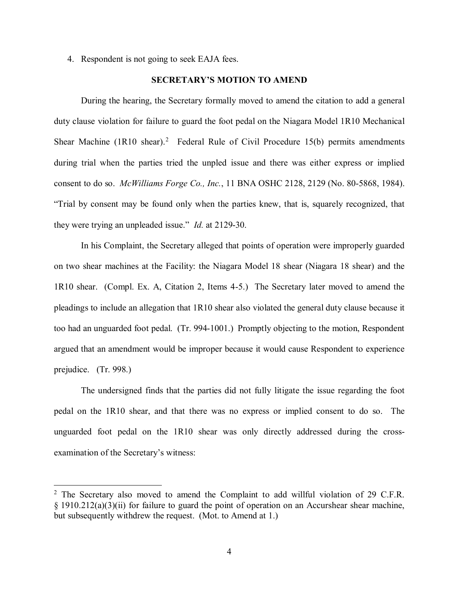4. Respondent is not going to seek EAJA fees.

## **SECRETARY'S MOTION TO AMEND**

During the hearing, the Secretary formally moved to amend the citation to add a general duty clause violation for failure to guard the foot pedal on the Niagara Model 1R10 Mechanical Shear Machine  $(1R10 \text{ shear})$ .<sup>[2](#page-3-0)</sup> Federal Rule of Civil Procedure 15(b) permits amendments during trial when the parties tried the unpled issue and there was either express or implied consent to do so. *McWilliams Forge Co., Inc.*, 11 BNA OSHC 2128, 2129 (No. 80-5868, 1984). "Trial by consent may be found only when the parties knew, that is, squarely recognized, that they were trying an unpleaded issue." *Id.* at 2129-30.

In his Complaint, the Secretary alleged that points of operation were improperly guarded on two shear machines at the Facility: the Niagara Model 18 shear (Niagara 18 shear) and the 1R10 shear. (Compl. Ex. A, Citation 2, Items 4-5.) The Secretary later moved to amend the pleadings to include an allegation that 1R10 shear also violated the general duty clause because it too had an unguarded foot pedal. (Tr. 994-1001.) Promptly objecting to the motion, Respondent argued that an amendment would be improper because it would cause Respondent to experience prejudice. (Tr. 998.)

The undersigned finds that the parties did not fully litigate the issue regarding the foot pedal on the 1R10 shear, and that there was no express or implied consent to do so. The unguarded foot pedal on the 1R10 shear was only directly addressed during the crossexamination of the Secretary's witness:

<span id="page-3-0"></span> $2$  The Secretary also moved to amend the Complaint to add willful violation of 29 C.F.R. § 1910.212(a)(3)(ii) for failure to guard the point of operation on an Accurshear shear machine, but subsequently withdrew the request. (Mot. to Amend at 1.)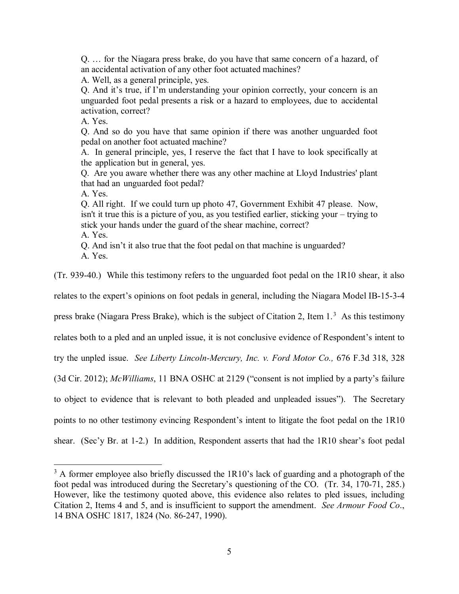Q. … for the Niagara press brake, do you have that same concern of a hazard, of an accidental activation of any other foot actuated machines?

A. Well, as a general principle, yes.

Q. And it's true, if I'm understanding your opinion correctly, your concern is an unguarded foot pedal presents a risk or a hazard to employees, due to accidental activation, correct?

A. Yes.

Q. And so do you have that same opinion if there was another unguarded foot pedal on another foot actuated machine?

A. In general principle, yes, I reserve the fact that I have to look specifically at the application but in general, yes.

Q. Are you aware whether there was any other machine at Lloyd Industries' plant that had an unguarded foot pedal?

A. Yes.

Q. All right. If we could turn up photo 47, Government Exhibit 47 please. Now, isn't it true this is a picture of you, as you testified earlier, sticking your – trying to stick your hands under the guard of the shear machine, correct?

A. Yes.

 $\overline{a}$ 

Q. And isn't it also true that the foot pedal on that machine is unguarded? A. Yes.

(Tr. 939-40.) While this testimony refers to the unguarded foot pedal on the 1R10 shear, it also

relates to the expert's opinions on foot pedals in general, including the Niagara Model IB-15-3-4

press brake (Niagara Press Brake), which is the subject of Citation 2, Item 1.<sup>[3](#page-4-0)</sup> As this testimony

relates both to a pled and an unpled issue, it is not conclusive evidence of Respondent's intent to

try the unpled issue. *See Liberty Lincoln-Mercury, Inc. v. Ford Motor Co.,* 676 F.3d 318, 328

(3d Cir. 2012); *McWilliams*, 11 BNA OSHC at 2129 ("consent is not implied by a party's failure

to object to evidence that is relevant to both pleaded and unpleaded issues"). The Secretary

points to no other testimony evincing Respondent's intent to litigate the foot pedal on the 1R10

shear. (Sec'y Br. at 1-2.) In addition, Respondent asserts that had the 1R10 shear's foot pedal

<span id="page-4-0"></span> $3$  A former employee also briefly discussed the 1R10's lack of guarding and a photograph of the foot pedal was introduced during the Secretary's questioning of the CO. (Tr. 34, 170-71, 285.) However, like the testimony quoted above, this evidence also relates to pled issues, including Citation 2, Items 4 and 5, and is insufficient to support the amendment. *See Armour Food Co*., 14 BNA OSHC 1817, 1824 (No. 86-247, 1990).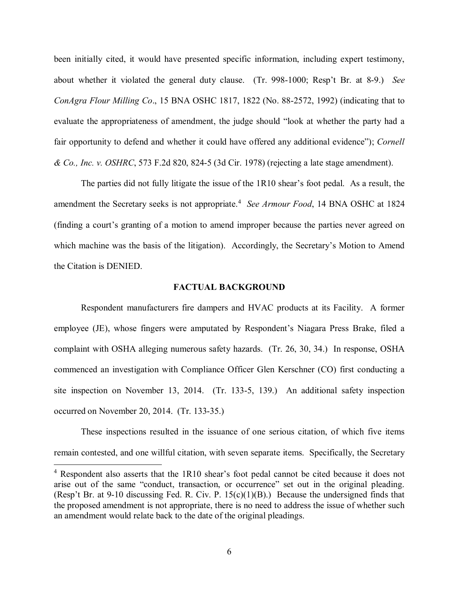been initially cited, it would have presented specific information, including expert testimony, about whether it violated the general duty clause. (Tr. 998-1000; Resp't Br. at 8-9.) *See ConAgra Flour Milling Co*., 15 BNA OSHC 1817, 1822 (No. 88-2572, 1992) (indicating that to evaluate the appropriateness of amendment, the judge should "look at whether the party had a fair opportunity to defend and whether it could have offered any additional evidence"); *Cornell & Co., Inc. v. OSHRC*, 573 F.2d 820, 824-5 (3d Cir. 1978) (rejecting a late stage amendment).

The parties did not fully litigate the issue of the 1R10 shear's foot pedal. As a result, the amendment the Secretary seeks is not appropriate.<sup>[4](#page-5-0)</sup> See Armour Food, 14 BNA OSHC at 1824 (finding a court's granting of a motion to amend improper because the parties never agreed on which machine was the basis of the litigation). Accordingly, the Secretary's Motion to Amend the Citation is DENIED.

#### **FACTUAL BACKGROUND**

Respondent manufacturers fire dampers and HVAC products at its Facility. A former employee (JE), whose fingers were amputated by Respondent's Niagara Press Brake, filed a complaint with OSHA alleging numerous safety hazards. (Tr. 26, 30, 34.) In response, OSHA commenced an investigation with Compliance Officer Glen Kerschner (CO) first conducting a site inspection on November 13, 2014. (Tr. 133-5, 139.) An additional safety inspection occurred on November 20, 2014. (Tr. 133-35.)

These inspections resulted in the issuance of one serious citation, of which five items remain contested, and one willful citation, with seven separate items. Specifically, the Secretary

<span id="page-5-0"></span><sup>&</sup>lt;sup>4</sup> Respondent also asserts that the 1R10 shear's foot pedal cannot be cited because it does not arise out of the same "conduct, transaction, or occurrence" set out in the original pleading. (Resp't Br. at 9-10 discussing Fed. R. Civ. P.  $15(c)(1)(B)$ .) Because the undersigned finds that the proposed amendment is not appropriate, there is no need to address the issue of whether such an amendment would relate back to the date of the original pleadings.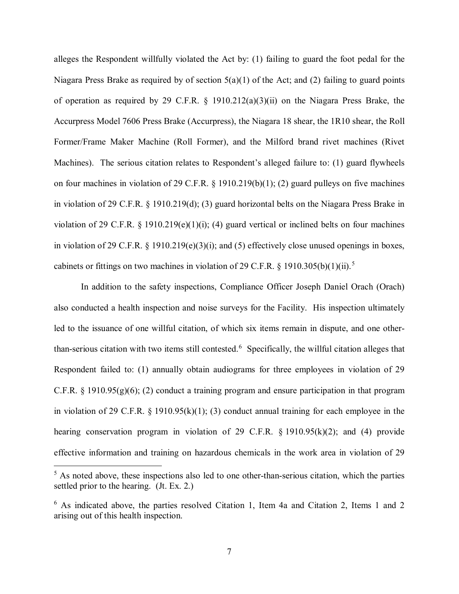alleges the Respondent willfully violated the Act by: (1) failing to guard the foot pedal for the Niagara Press Brake as required by of section  $5(a)(1)$  of the Act; and (2) failing to guard points of operation as required by 29 C.F.R. § 1910.212(a)(3)(ii) on the Niagara Press Brake, the Accurpress Model 7606 Press Brake (Accurpress), the Niagara 18 shear, the 1R10 shear, the Roll Former/Frame Maker Machine (Roll Former), and the Milford brand rivet machines (Rivet Machines). The serious citation relates to Respondent's alleged failure to: (1) guard flywheels on four machines in violation of 29 C.F.R. § 1910.219(b)(1); (2) guard pulleys on five machines in violation of 29 C.F.R. § 1910.219(d); (3) guard horizontal belts on the Niagara Press Brake in violation of 29 C.F.R.  $\S$  1910.219(e)(1)(i); (4) guard vertical or inclined belts on four machines in violation of 29 C.F.R.  $\S$  1910.219(e)(3)(i); and (5) effectively close unused openings in boxes, cabinets or fittings on two machines in violation of 29 C.F.R. § 1910.30[5](#page-6-0)(b)(1)(ii).<sup>5</sup>

In addition to the safety inspections, Compliance Officer Joseph Daniel Orach (Orach) also conducted a health inspection and noise surveys for the Facility. His inspection ultimately led to the issuance of one willful citation, of which six items remain in dispute, and one other-than-serious citation with two items still contested.<sup>[6](#page-6-1)</sup> Specifically, the willful citation alleges that Respondent failed to: (1) annually obtain audiograms for three employees in violation of 29 C.F.R.  $\S$  1910.95(g)(6); (2) conduct a training program and ensure participation in that program in violation of 29 C.F.R. § 1910.95(k)(1); (3) conduct annual training for each employee in the hearing conservation program in violation of 29 C.F.R. § 1910.95(k)(2); and (4) provide effective information and training on hazardous chemicals in the work area in violation of 29

<span id="page-6-0"></span> $<sup>5</sup>$  As noted above, these inspections also led to one other-than-serious citation, which the parties</sup> settled prior to the hearing. (Jt. Ex. 2.)

<span id="page-6-1"></span><sup>6</sup> As indicated above, the parties resolved Citation 1, Item 4a and Citation 2, Items 1 and 2 arising out of this health inspection.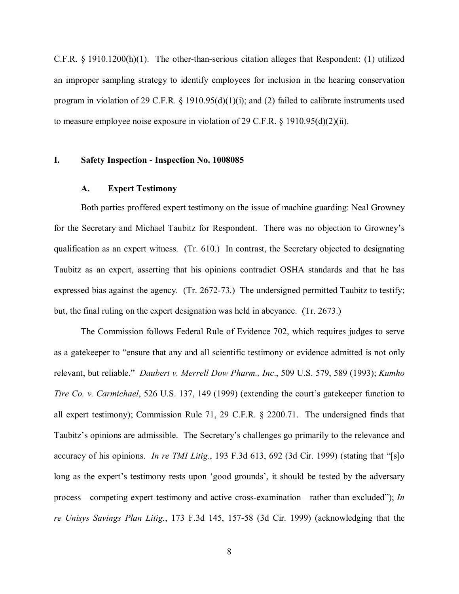C.F.R. § 1910.1200(h)(1). The other-than-serious citation alleges that Respondent: (1) utilized an improper sampling strategy to identify employees for inclusion in the hearing conservation program in violation of 29 C.F.R. § 1910.95(d)(1)(i); and (2) failed to calibrate instruments used to measure employee noise exposure in violation of 29 C.F.R. § 1910.95(d)(2)(ii).

#### **I. Safety Inspection - Inspection No. 1008085**

#### **A. Expert Testimony**

Both parties proffered expert testimony on the issue of machine guarding: Neal Growney for the Secretary and Michael Taubitz for Respondent. There was no objection to Growney's qualification as an expert witness. (Tr. 610.) In contrast, the Secretary objected to designating Taubitz as an expert, asserting that his opinions contradict OSHA standards and that he has expressed bias against the agency. (Tr. 2672-73.) The undersigned permitted Taubitz to testify; but, the final ruling on the expert designation was held in abeyance. (Tr. 2673.)

The Commission follows Federal Rule of Evidence 702, which requires judges to serve as a gatekeeper to "ensure that any and all scientific testimony or evidence admitted is not only relevant, but reliable." *Daubert v. Merrell Dow Pharm., Inc*., 509 U.S. 579, 589 (1993); *Kumho Tire Co. v. Carmichael*, 526 U.S. 137, 149 (1999) (extending the court's gatekeeper function to all expert testimony); Commission Rule 71, 29 C.F.R. § 2200.71. The undersigned finds that Taubitz's opinions are admissible. The Secretary's challenges go primarily to the relevance and accuracy of his opinions. *In re TMI Litig.*, 193 F.3d 613, 692 (3d Cir. 1999) (stating that "[s]o long as the expert's testimony rests upon 'good grounds', it should be tested by the adversary process—competing expert testimony and active cross-examination—rather than excluded"); *In re Unisys Savings Plan Litig.*, 173 F.3d 145, 157-58 (3d Cir. 1999) (acknowledging that the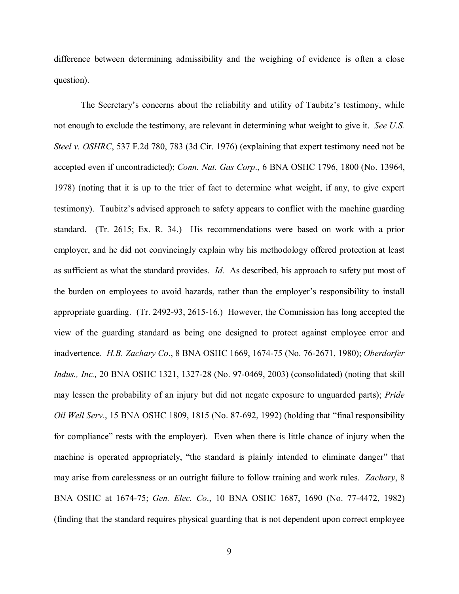difference between determining admissibility and the weighing of evidence is often a close question).

The Secretary's concerns about the reliability and utility of Taubitz's testimony, while not enough to exclude the testimony, are relevant in determining what weight to give it. *See U.S. Steel v. OSHRC*, 537 F.2d 780, 783 (3d Cir. 1976) (explaining that expert testimony need not be accepted even if uncontradicted); *Conn. Nat. Gas Corp*., 6 BNA OSHC 1796, 1800 (No. 13964, 1978) (noting that it is up to the trier of fact to determine what weight, if any, to give expert testimony). Taubitz's advised approach to safety appears to conflict with the machine guarding standard. (Tr. 2615; Ex. R. 34.) His recommendations were based on work with a prior employer, and he did not convincingly explain why his methodology offered protection at least as sufficient as what the standard provides. *Id.* As described, his approach to safety put most of the burden on employees to avoid hazards, rather than the employer's responsibility to install appropriate guarding. (Tr. 2492-93, 2615-16.) However, the Commission has long accepted the view of the guarding standard as being one designed to protect against employee error and inadvertence. *H.B. Zachary Co*., 8 BNA OSHC 1669, 1674-75 (No. 76-2671, 1980); *Oberdorfer Indus., Inc.,* 20 BNA OSHC 1321, 1327-28 (No. 97-0469, 2003) (consolidated) (noting that skill may lessen the probability of an injury but did not negate exposure to unguarded parts); *Pride Oil Well Serv.*, 15 BNA OSHC 1809, 1815 (No. 87-692, 1992) (holding that "final responsibility for compliance" rests with the employer). Even when there is little chance of injury when the machine is operated appropriately, "the standard is plainly intended to eliminate danger" that may arise from carelessness or an outright failure to follow training and work rules. *Zachary*, 8 BNA OSHC at 1674-75; *Gen. Elec. Co*., 10 BNA OSHC 1687, 1690 (No. 77-4472, 1982) (finding that the standard requires physical guarding that is not dependent upon correct employee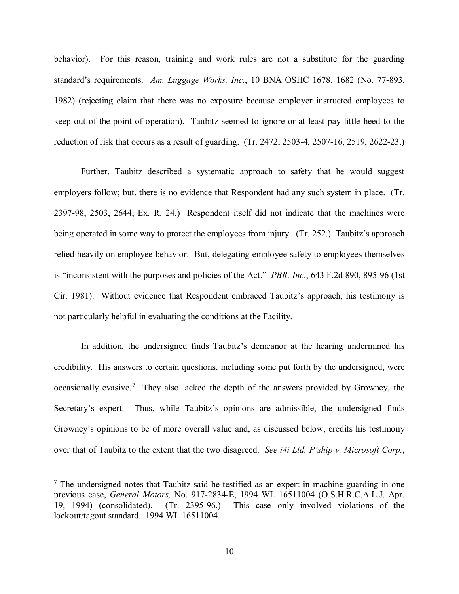behavior). For this reason, training and work rules are not a substitute for the guarding standard's requirements. *Am. Luggage Works, Inc*., 10 BNA OSHC 1678, 1682 (No. 77-893, 1982) (rejecting claim that there was no exposure because employer instructed employees to keep out of the point of operation). Taubitz seemed to ignore or at least pay little heed to the reduction of risk that occurs as a result of guarding. (Tr. 2472, 2503-4, 2507-16, 2519, 2622-23.)

Further, Taubitz described a systematic approach to safety that he would suggest employers follow; but, there is no evidence that Respondent had any such system in place. (Tr. 2397-98, 2503, 2644; Ex. R. 24.) Respondent itself did not indicate that the machines were being operated in some way to protect the employees from injury. (Tr. 252.) Taubitz's approach relied heavily on employee behavior. But, delegating employee safety to employees themselves is "inconsistent with the purposes and policies of the Act." *PBR, Inc*., 643 F.2d 890, 895-96 (1st Cir. 1981). Without evidence that Respondent embraced Taubitz's approach, his testimony is not particularly helpful in evaluating the conditions at the Facility.

In addition, the undersigned finds Taubitz's demeanor at the hearing undermined his credibility. His answers to certain questions, including some put forth by the undersigned, were occasionally evasive.<sup>[7](#page-9-0)</sup> They also lacked the depth of the answers provided by Growney, the Secretary's expert. Thus, while Taubitz's opinions are admissible, the undersigned finds Growney's opinions to be of more overall value and, as discussed below, credits his testimony over that of Taubitz to the extent that the two disagreed. *See i4i Ltd. P'ship v. Microsoft Corp.*,

<span id="page-9-0"></span> $<sup>7</sup>$  The undersigned notes that Taubitz said he testified as an expert in machine guarding in one</sup> previous case, *General Motors,* No. 917-2834-E, 1994 WL 16511004 (O.S.H.R.C.A.L.J. Apr. 19, 1994) (consolidated). (Tr. 2395-96.) This case only involved violations of the lockout/tagout standard. 1994 WL 16511004.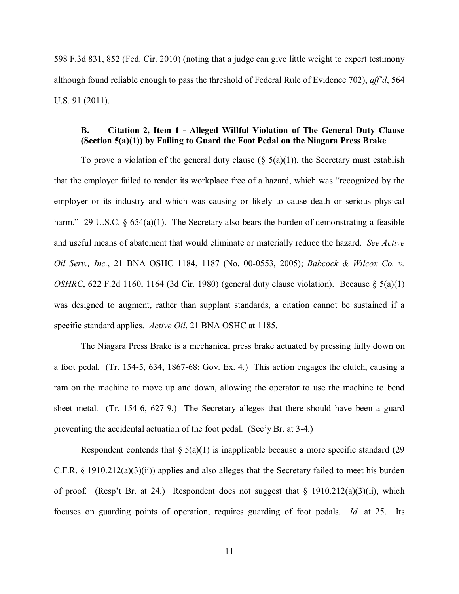598 F.3d 831, 852 (Fed. Cir. 2010) (noting that a judge can give little weight to expert testimony although found reliable enough to pass the threshold of Federal Rule of Evidence 702), *aff'd*, 564 U.S. 91 (2011).

## **B. Citation 2, Item 1 - Alleged Willful Violation of The General Duty Clause (Section 5(a)(1)) by Failing to Guard the Foot Pedal on the Niagara Press Brake**

To prove a violation of the general duty clause  $(\S$  5(a)(1)), the Secretary must establish that the employer failed to render its workplace free of a hazard, which was "recognized by the employer or its industry and which was causing or likely to cause death or serious physical harm." 29 U.S.C. § 654(a)(1). The Secretary also bears the burden of demonstrating a feasible and useful means of abatement that would eliminate or materially reduce the hazard. *See Active Oil Serv., Inc.*, 21 BNA OSHC 1184, 1187 (No. 00-0553, 2005); *Babcock & Wilcox Co. v. OSHRC*, 622 F.2d 1160, 1164 (3d Cir. 1980) (general duty clause violation). Because § 5(a)(1) was designed to augment, rather than supplant standards, a citation cannot be sustained if a specific standard applies. *Active Oil*, 21 BNA OSHC at 1185.

The Niagara Press Brake is a mechanical press brake actuated by pressing fully down on a foot pedal. (Tr. 154-5, 634, 1867-68; Gov. Ex. 4.) This action engages the clutch, causing a ram on the machine to move up and down, allowing the operator to use the machine to bend sheet metal. (Tr. 154-6, 627-9.) The Secretary alleges that there should have been a guard preventing the accidental actuation of the foot pedal. (Sec'y Br. at 3-4.)

Respondent contends that  $\S 5(a)(1)$  is inapplicable because a more specific standard (29) C.F.R. § 1910.212(a)(3)(ii)) applies and also alleges that the Secretary failed to meet his burden of proof. (Resp't Br. at 24.) Respondent does not suggest that  $\S$  1910.212(a)(3)(ii), which focuses on guarding points of operation, requires guarding of foot pedals. *Id.* at 25. Its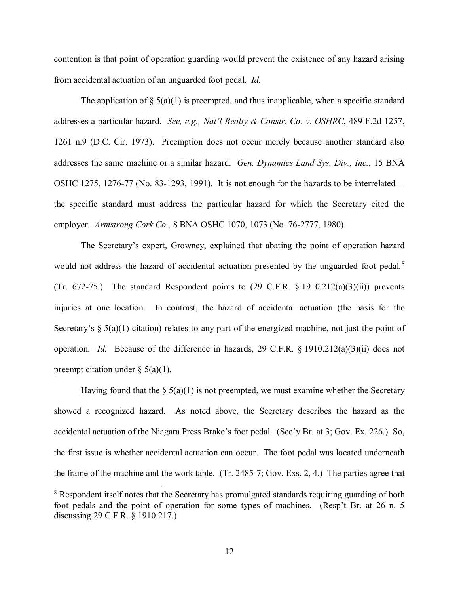contention is that point of operation guarding would prevent the existence of any hazard arising from accidental actuation of an unguarded foot pedal. *Id.*

The application of  $\S$  5(a)(1) is preempted, and thus inapplicable, when a specific standard addresses a particular hazard. *See, e.g., Nat'l Realty & Constr. Co. v. OSHRC*, 489 F.2d 1257, 1261 n.9 (D.C. Cir. 1973). Preemption does not occur merely because another standard also addresses the same machine or a similar hazard. *Gen. Dynamics Land Sys. Div., Inc.*, 15 BNA OSHC 1275, 1276-77 (No. 83-1293, 1991). It is not enough for the hazards to be interrelated the specific standard must address the particular hazard for which the Secretary cited the employer. *Armstrong Cork Co.*, 8 BNA OSHC 1070, 1073 (No. 76-2777, 1980).

The Secretary's expert, Growney, explained that abating the point of operation hazard would not address the hazard of accidental actuation presented by the unguarded foot pedal.<sup>[8](#page-11-0)</sup> (Tr. 672-75.) The standard Respondent points to  $(29 \text{ C.F.R. } § 1910.212(a)(3)(ii))$  prevents injuries at one location. In contrast, the hazard of accidental actuation (the basis for the Secretary's  $\S 5(a)(1)$  citation) relates to any part of the energized machine, not just the point of operation. *Id.* Because of the difference in hazards, 29 C.F.R. § 1910.212(a)(3)(ii) does not preempt citation under  $\S$  5(a)(1).

Having found that the  $\S$  5(a)(1) is not preempted, we must examine whether the Secretary showed a recognized hazard. As noted above, the Secretary describes the hazard as the accidental actuation of the Niagara Press Brake's foot pedal. (Sec'y Br. at 3; Gov. Ex. 226.) So, the first issue is whether accidental actuation can occur. The foot pedal was located underneath the frame of the machine and the work table. (Tr. 2485-7; Gov. Exs. 2, 4.) The parties agree that

<span id="page-11-0"></span><sup>&</sup>lt;sup>8</sup> Respondent itself notes that the Secretary has promulgated standards requiring guarding of both foot pedals and the point of operation for some types of machines. (Resp't Br. at 26 n. 5 discussing 29 C.F.R. § 1910.217.)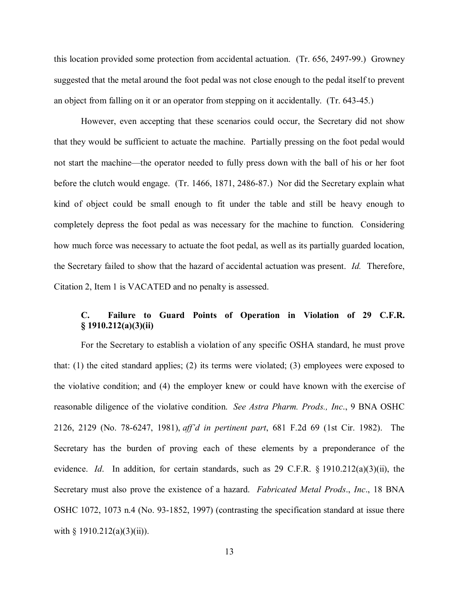this location provided some protection from accidental actuation. (Tr. 656, 2497-99.) Growney suggested that the metal around the foot pedal was not close enough to the pedal itself to prevent an object from falling on it or an operator from stepping on it accidentally. (Tr. 643-45.)

However, even accepting that these scenarios could occur, the Secretary did not show that they would be sufficient to actuate the machine. Partially pressing on the foot pedal would not start the machine—the operator needed to fully press down with the ball of his or her foot before the clutch would engage. (Tr. 1466, 1871, 2486-87.) Nor did the Secretary explain what kind of object could be small enough to fit under the table and still be heavy enough to completely depress the foot pedal as was necessary for the machine to function. Considering how much force was necessary to actuate the foot pedal, as well as its partially guarded location, the Secretary failed to show that the hazard of accidental actuation was present. *Id.* Therefore, Citation 2, Item 1 is VACATED and no penalty is assessed.

# **C. Failure to Guard Points of Operation in Violation of 29 C.F.R. § 1910.212(a)(3)(ii)**

For the Secretary to establish a violation of any specific OSHA standard, he must prove that: (1) the cited standard applies; (2) its terms were violated; (3) employees were exposed to the violative condition; and (4) the employer knew or could have known with the exercise of reasonable diligence of the violative condition. *See Astra Pharm. Prods., Inc*., 9 BNA OSHC 2126, 2129 (No. 78-6247, 1981), *aff'd in pertinent part*, 681 F.2d 69 (1st Cir. 1982). The Secretary has the burden of proving each of these elements by a preponderance of the evidence. *Id*. In addition, for certain standards, such as 29 C.F.R. § 1910.212(a)(3)(ii), the Secretary must also prove the existence of a hazard. *Fabricated Metal Prods*., *Inc*., 18 BNA OSHC 1072, 1073 n.4 (No. 93-1852, 1997) (contrasting the specification standard at issue there with  $\S$  1910.212(a)(3)(ii)).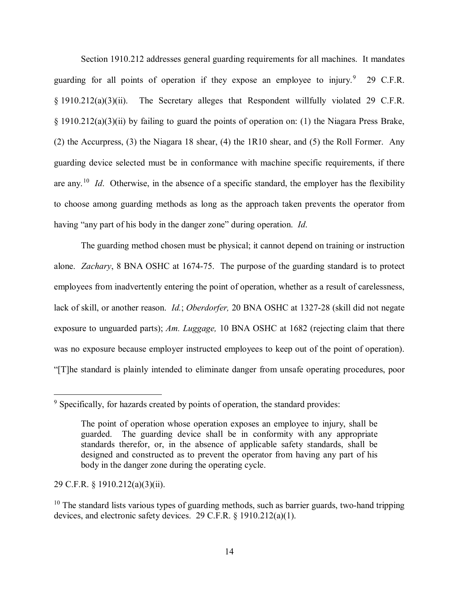Section 1910.212 addresses general guarding requirements for all machines. It mandates guarding for all points of operation if they expose an employee to injury.<sup>[9](#page-13-0)</sup> 29 C.F.R. § 1910.212(a)(3)(ii). The Secretary alleges that Respondent willfully violated 29 C.F.R. § 1910.212(a)(3)(ii) by failing to guard the points of operation on: (1) the Niagara Press Brake, (2) the Accurpress, (3) the Niagara 18 shear, (4) the 1R10 shear, and (5) the Roll Former. Any guarding device selected must be in conformance with machine specific requirements, if there are any.[10](#page-13-1) *Id*. Otherwise, in the absence of a specific standard, the employer has the flexibility to choose among guarding methods as long as the approach taken prevents the operator from having "any part of his body in the danger zone" during operation. *Id*.

The guarding method chosen must be physical; it cannot depend on training or instruction alone. *Zachary*, 8 BNA OSHC at 1674-75. The purpose of the guarding standard is to protect employees from inadvertently entering the point of operation, whether as a result of carelessness, lack of skill, or another reason. *Id.*; *Oberdorfer,* 20 BNA OSHC at 1327-28 (skill did not negate exposure to unguarded parts); *Am. Luggage,* 10 BNA OSHC at 1682 (rejecting claim that there was no exposure because employer instructed employees to keep out of the point of operation). "[T]he standard is plainly intended to eliminate danger from unsafe operating procedures, poor

29 C.F.R. § 1910.212(a)(3)(ii).

<span id="page-13-0"></span> $9$  Specifically, for hazards created by points of operation, the standard provides:

The point of operation whose operation exposes an employee to injury, shall be guarded. The guarding device shall be in conformity with any appropriate standards therefor, or, in the absence of applicable safety standards, shall be designed and constructed as to prevent the operator from having any part of his body in the danger zone during the operating cycle.

<span id="page-13-1"></span> $10$  The standard lists various types of guarding methods, such as barrier guards, two-hand tripping devices, and electronic safety devices. 29 C.F.R. § 1910.212(a)(1).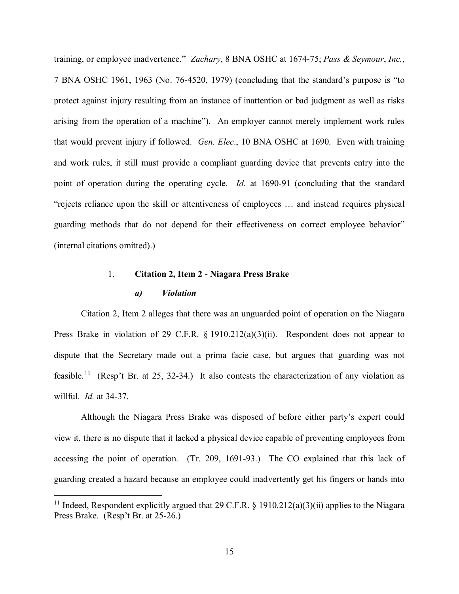training, or employee inadvertence." *Zachary*, 8 BNA OSHC at 1674-75; *Pass & Seymour*, *Inc.*, 7 BNA OSHC 1961, 1963 (No. 76-4520, 1979) (concluding that the standard's purpose is "to protect against injury resulting from an instance of inattention or bad judgment as well as risks arising from the operation of a machine"). An employer cannot merely implement work rules that would prevent injury if followed. *Gen. Elec*., 10 BNA OSHC at 1690. Even with training and work rules, it still must provide a compliant guarding device that prevents entry into the point of operation during the operating cycle. *Id.* at 1690-91 (concluding that the standard "rejects reliance upon the skill or attentiveness of employees … and instead requires physical guarding methods that do not depend for their effectiveness on correct employee behavior" (internal citations omitted).)

# 1. **Citation 2, Item 2 - Niagara Press Brake**  *a) Violation*

Citation 2, Item 2 alleges that there was an unguarded point of operation on the Niagara Press Brake in violation of 29 C.F.R. § 1910.212(a)(3)(ii). Respondent does not appear to dispute that the Secretary made out a prima facie case, but argues that guarding was not feasible.<sup>11</sup> (Resp't Br. at 25, 32-34.) It also contests the characterization of any violation as willful. *Id.* at 34-37.

Although the Niagara Press Brake was disposed of before either party's expert could view it, there is no dispute that it lacked a physical device capable of preventing employees from accessing the point of operation. (Tr. 209, 1691-93.) The CO explained that this lack of guarding created a hazard because an employee could inadvertently get his fingers or hands into

<span id="page-14-0"></span><sup>&</sup>lt;sup>11</sup> Indeed, Respondent explicitly argued that 29 C.F.R. § 1910.212(a)(3)(ii) applies to the Niagara Press Brake. (Resp't Br. at 25-26.)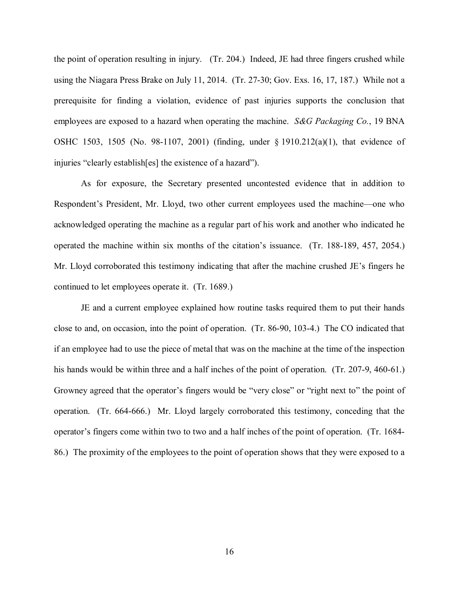the point of operation resulting in injury. (Tr. 204.) Indeed, JE had three fingers crushed while using the Niagara Press Brake on July 11, 2014. (Tr. 27-30; Gov. Exs. 16, 17, 187.) While not a prerequisite for finding a violation, evidence of past injuries supports the conclusion that employees are exposed to a hazard when operating the machine. *S&G Packaging Co.*, 19 BNA OSHC 1503, 1505 (No. 98-1107, 2001) (finding, under § 1910.212(a)(1), that evidence of injuries "clearly establish[es] the existence of a hazard").

As for exposure, the Secretary presented uncontested evidence that in addition to Respondent's President, Mr. Lloyd, two other current employees used the machine—one who acknowledged operating the machine as a regular part of his work and another who indicated he operated the machine within six months of the citation's issuance. (Tr. 188-189, 457, 2054.) Mr. Lloyd corroborated this testimony indicating that after the machine crushed JE's fingers he continued to let employees operate it. (Tr. 1689.)

JE and a current employee explained how routine tasks required them to put their hands close to and, on occasion, into the point of operation. (Tr. 86-90, 103-4.) The CO indicated that if an employee had to use the piece of metal that was on the machine at the time of the inspection his hands would be within three and a half inches of the point of operation. (Tr. 207-9, 460-61.) Growney agreed that the operator's fingers would be "very close" or "right next to" the point of operation. (Tr. 664-666.) Mr. Lloyd largely corroborated this testimony, conceding that the operator's fingers come within two to two and a half inches of the point of operation. (Tr. 1684- 86.) The proximity of the employees to the point of operation shows that they were exposed to a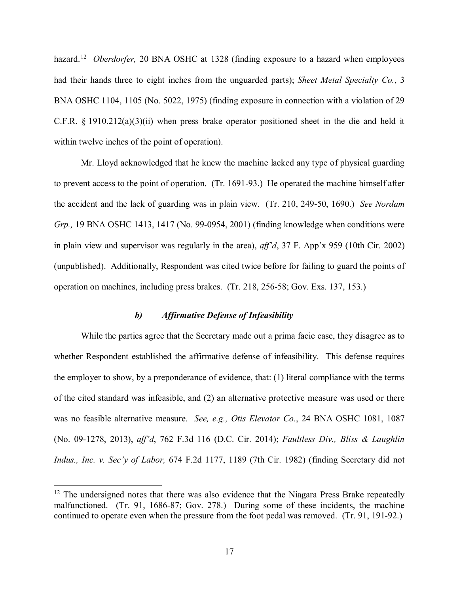hazard.<sup>12</sup> *Oberdorfer*, 20 BNA OSHC at 1328 (finding exposure to a hazard when employees had their hands three to eight inches from the unguarded parts); *Sheet Metal Specialty Co.*, 3 BNA OSHC 1104, 1105 (No. 5022, 1975) (finding exposure in connection with a violation of 29 C.F.R.  $\S$  1910.212(a)(3)(ii) when press brake operator positioned sheet in the die and held it within twelve inches of the point of operation).

Mr. Lloyd acknowledged that he knew the machine lacked any type of physical guarding to prevent access to the point of operation. (Tr. 1691-93.) He operated the machine himself after the accident and the lack of guarding was in plain view. (Tr. 210, 249-50, 1690.) *See Nordam Grp.,* 19 BNA OSHC 1413, 1417 (No. 99-0954, 2001) (finding knowledge when conditions were in plain view and supervisor was regularly in the area), *aff'd*, 37 F. App'x 959 (10th Cir. 2002) (unpublished). Additionally, Respondent was cited twice before for failing to guard the points of operation on machines, including press brakes. (Tr. 218, 256-58; Gov. Exs. 137, 153.)

# *b) Affirmative Defense of Infeasibility*

While the parties agree that the Secretary made out a prima facie case, they disagree as to whether Respondent established the affirmative defense of infeasibility. This defense requires the employer to show, by a preponderance of evidence, that: (1) literal compliance with the terms of the cited standard was infeasible, and (2) an alternative protective measure was used or there was no feasible alternative measure. *See, e.g., Otis Elevator Co.*, 24 BNA OSHC 1081, 1087 (No. 09-1278, 2013), *aff'd*, 762 F.3d 116 (D.C. Cir. 2014); *Faultless Div., Bliss & Laughlin Indus., Inc. v. Sec'y of Labor,* 674 F.2d 1177, 1189 (7th Cir. 1982) (finding Secretary did not

<span id="page-16-0"></span> $12$  The undersigned notes that there was also evidence that the Niagara Press Brake repeatedly malfunctioned. (Tr. 91, 1686-87; Gov. 278.) During some of these incidents, the machine continued to operate even when the pressure from the foot pedal was removed. (Tr. 91, 191-92.)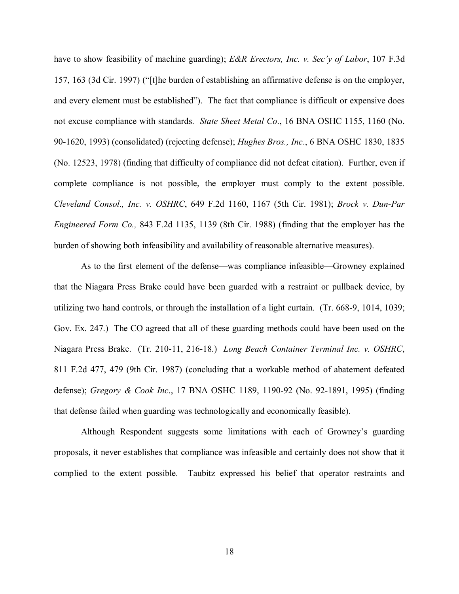have to show feasibility of machine guarding); *E&R Erectors, Inc. v. Sec'y of Labor*, 107 F.3d 157, 163 (3d Cir. 1997) ("[t]he burden of establishing an affirmative defense is on the employer, and every element must be established"). The fact that compliance is difficult or expensive does not excuse compliance with standards. *State Sheet Metal Co*., 16 BNA OSHC 1155, 1160 (No. 90-1620, 1993) (consolidated) (rejecting defense); *Hughes Bros., Inc*., 6 BNA OSHC 1830, 1835 (No. 12523, 1978) (finding that difficulty of compliance did not defeat citation). Further, even if complete compliance is not possible, the employer must comply to the extent possible. *Cleveland Consol., Inc. v. OSHRC*, 649 F.2d 1160, 1167 (5th Cir. 1981); *Brock v. Dun-Par Engineered Form Co.,* 843 F.2d 1135, 1139 (8th Cir. 1988) (finding that the employer has the burden of showing both infeasibility and availability of reasonable alternative measures).

As to the first element of the defense—was compliance infeasible—Growney explained that the Niagara Press Brake could have been guarded with a restraint or pullback device, by utilizing two hand controls, or through the installation of a light curtain. (Tr. 668-9, 1014, 1039; Gov. Ex. 247.) The CO agreed that all of these guarding methods could have been used on the Niagara Press Brake. (Tr. 210-11, 216-18.) *Long Beach Container Terminal Inc. v. OSHRC*, 811 F.2d 477, 479 (9th Cir. 1987) (concluding that a workable method of abatement defeated defense); *Gregory & Cook Inc*., 17 BNA OSHC 1189, 1190-92 (No. 92-1891, 1995) (finding that defense failed when guarding was technologically and economically feasible).

Although Respondent suggests some limitations with each of Growney's guarding proposals, it never establishes that compliance was infeasible and certainly does not show that it complied to the extent possible. Taubitz expressed his belief that operator restraints and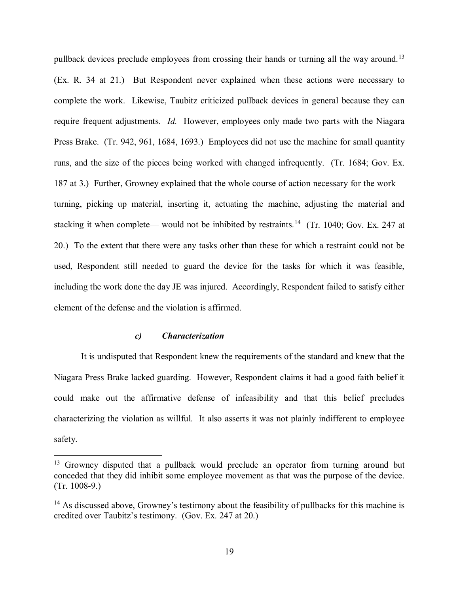pullback devices preclude employees from crossing their hands or turning all the way around.<sup>[13](#page-18-0)</sup> (Ex. R. 34 at 21.) But Respondent never explained when these actions were necessary to complete the work. Likewise, Taubitz criticized pullback devices in general because they can require frequent adjustments. *Id.* However, employees only made two parts with the Niagara Press Brake. (Tr. 942, 961, 1684, 1693.) Employees did not use the machine for small quantity runs, and the size of the pieces being worked with changed infrequently. (Tr. 1684; Gov. Ex. 187 at 3.) Further, Growney explained that the whole course of action necessary for the work turning, picking up material, inserting it, actuating the machine, adjusting the material and stacking it when complete— would not be inhibited by restraints.<sup>[14](#page-18-1)</sup> (Tr. 1040; Gov. Ex. 247 at 20.) To the extent that there were any tasks other than these for which a restraint could not be used, Respondent still needed to guard the device for the tasks for which it was feasible, including the work done the day JE was injured. Accordingly, Respondent failed to satisfy either element of the defense and the violation is affirmed.

## *c) Characterization*

 $\overline{a}$ 

It is undisputed that Respondent knew the requirements of the standard and knew that the Niagara Press Brake lacked guarding. However, Respondent claims it had a good faith belief it could make out the affirmative defense of infeasibility and that this belief precludes characterizing the violation as willful. It also asserts it was not plainly indifferent to employee safety.

<span id="page-18-0"></span><sup>&</sup>lt;sup>13</sup> Growney disputed that a pullback would preclude an operator from turning around but conceded that they did inhibit some employee movement as that was the purpose of the device. (Tr. 1008-9.)

<span id="page-18-1"></span> $14$  As discussed above, Growney's testimony about the feasibility of pullbacks for this machine is credited over Taubitz's testimony. (Gov. Ex. 247 at 20.)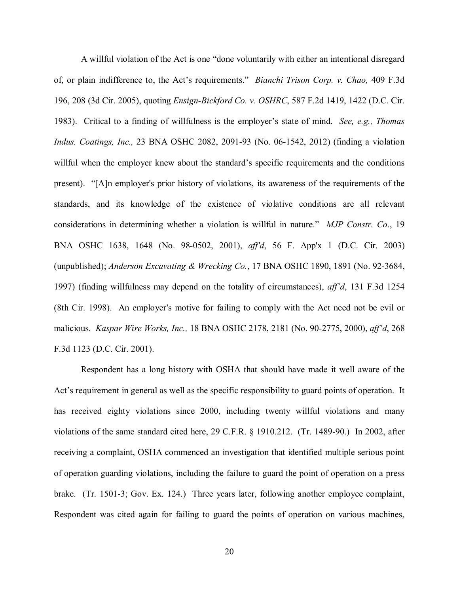A willful violation of the Act is one "done voluntarily with either an intentional disregard of, or plain indifference to, the Act's requirements." *Bianchi Trison Corp. v. Chao,* 409 F.3d 196, 208 (3d Cir. 2005), quoting *Ensign-Bickford Co. v. OSHRC*, 587 F.2d 1419, 1422 (D.C. Cir. 1983). Critical to a finding of willfulness is the employer's state of mind. *See, e.g., Thomas Indus. Coatings, Inc.,* 23 BNA OSHC 2082, 2091-93 (No. 06-1542, 2012) (finding a violation willful when the employer knew about the standard's specific requirements and the conditions present). "[A]n employer's prior history of violations, its awareness of the requirements of the standards, and its knowledge of the existence of violative conditions are all relevant considerations in determining whether a violation is willful in nature." *MJP Constr. Co*., 19 BNA OSHC 1638, 1648 (No. 98-0502, 2001), *aff'd*, 56 F. App'x 1 (D.C. Cir. 2003) (unpublished); *Anderson Excavating & Wrecking Co.*, 17 BNA OSHC 1890, 1891 (No. 92-3684, 1997) (finding willfulness may depend on the totality of circumstances), *aff'd*, 131 F.3d 1254 (8th Cir. 1998). An employer's motive for failing to comply with the Act need not be evil or malicious. *Kaspar Wire Works, Inc.,* 18 BNA OSHC 2178, 2181 (No. 90-2775, 2000), *aff'd*, 268 F.3d 1123 (D.C. Cir. 2001).

Respondent has a long history with OSHA that should have made it well aware of the Act's requirement in general as well as the specific responsibility to guard points of operation. It has received eighty violations since 2000, including twenty willful violations and many violations of the same standard cited here, 29 C.F.R. § 1910.212. (Tr. 1489-90.) In 2002, after receiving a complaint, OSHA commenced an investigation that identified multiple serious point of operation guarding violations, including the failure to guard the point of operation on a press brake. (Tr. 1501-3; Gov. Ex. 124.) Three years later, following another employee complaint, Respondent was cited again for failing to guard the points of operation on various machines,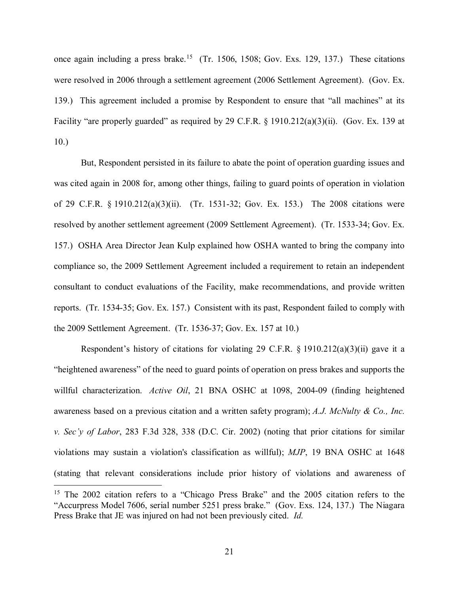once again including a press brake.<sup>[15](#page-20-0)</sup> (Tr. 1506, 1508; Gov. Exs. 129, 137.) These citations were resolved in 2006 through a settlement agreement (2006 Settlement Agreement). (Gov. Ex. 139.) This agreement included a promise by Respondent to ensure that "all machines" at its Facility "are properly guarded" as required by 29 C.F.R. § 1910.212(a)(3)(ii). (Gov. Ex. 139 at 10.)

But, Respondent persisted in its failure to abate the point of operation guarding issues and was cited again in 2008 for, among other things, failing to guard points of operation in violation of 29 C.F.R. § 1910.212(a)(3)(ii). (Tr. 1531-32; Gov. Ex. 153.) The 2008 citations were resolved by another settlement agreement (2009 Settlement Agreement). (Tr. 1533-34; Gov. Ex. 157.) OSHA Area Director Jean Kulp explained how OSHA wanted to bring the company into compliance so, the 2009 Settlement Agreement included a requirement to retain an independent consultant to conduct evaluations of the Facility, make recommendations, and provide written reports. (Tr. 1534-35; Gov. Ex. 157.) Consistent with its past, Respondent failed to comply with the 2009 Settlement Agreement. (Tr. 1536-37; Gov. Ex. 157 at 10.)

Respondent's history of citations for violating 29 C.F.R. § 1910.212(a)(3)(ii) gave it a "heightened awareness" of the need to guard points of operation on press brakes and supports the willful characterization. *Active Oil*, 21 BNA OSHC at 1098, 2004-09 (finding heightened awareness based on a previous citation and a written safety program); *A.J. McNulty & Co., Inc. v. Sec'y of Labor*, 283 F.3d 328, 338 (D.C. Cir. 2002) (noting that prior citations for similar violations may sustain a violation's classification as willful); *MJP*, 19 BNA OSHC at 1648 (stating that relevant considerations include prior history of violations and awareness of  $\overline{a}$ 

<span id="page-20-0"></span><sup>&</sup>lt;sup>15</sup> The 2002 citation refers to a "Chicago Press Brake" and the 2005 citation refers to the "Accurpress Model 7606, serial number 5251 press brake." (Gov. Exs. 124, 137.) The Niagara Press Brake that JE was injured on had not been previously cited. *Id.*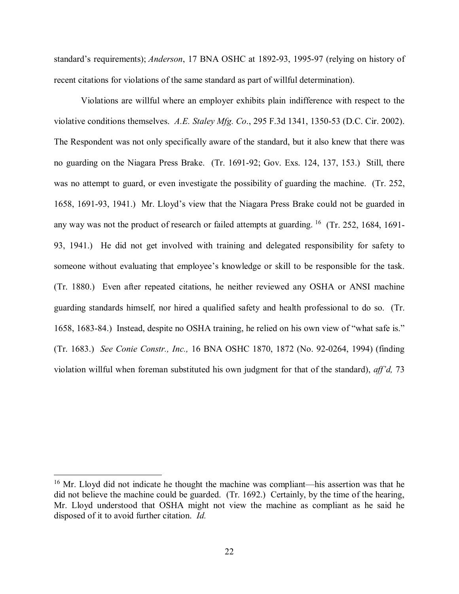standard's requirements); *Anderson*, 17 BNA OSHC at 1892-93, 1995-97 (relying on history of recent citations for violations of the same standard as part of willful determination).

Violations are willful where an employer exhibits plain indifference with respect to the violative conditions themselves. *A.E. Staley Mfg. Co*., 295 F.3d 1341, 1350-53 (D.C. Cir. 2002). The Respondent was not only specifically aware of the standard, but it also knew that there was no guarding on the Niagara Press Brake. (Tr. 1691-92; Gov. Exs. 124, 137, 153.) Still, there was no attempt to guard, or even investigate the possibility of guarding the machine. (Tr. 252, 1658, 1691-93, 1941.) Mr. Lloyd's view that the Niagara Press Brake could not be guarded in any way was not the product of research or failed attempts at guarding. <sup>16</sup> (Tr. 252, 1684, 1691-93, 1941.) He did not get involved with training and delegated responsibility for safety to someone without evaluating that employee's knowledge or skill to be responsible for the task. (Tr. 1880.) Even after repeated citations, he neither reviewed any OSHA or ANSI machine guarding standards himself, nor hired a qualified safety and health professional to do so. (Tr. 1658, 1683-84.) Instead, despite no OSHA training, he relied on his own view of "what safe is." (Tr. 1683.) *See Conie Constr., Inc.,* 16 BNA OSHC 1870, 1872 (No. 92-0264, 1994) (finding violation willful when foreman substituted his own judgment for that of the standard), *aff'd,* 73

<span id="page-21-0"></span> $16$  Mr. Lloyd did not indicate he thought the machine was compliant—his assertion was that he did not believe the machine could be guarded. (Tr. 1692.) Certainly, by the time of the hearing, Mr. Lloyd understood that OSHA might not view the machine as compliant as he said he disposed of it to avoid further citation. *Id.*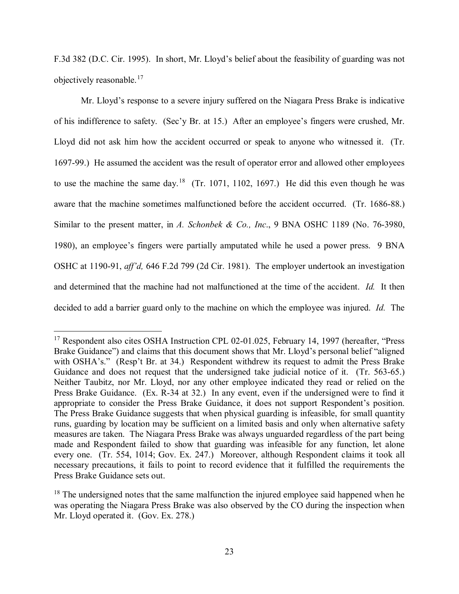F.3d 382 (D.C. Cir. 1995). In short, Mr. Lloyd's belief about the feasibility of guarding was not objectively reasonable.[17](#page-22-0)

Mr. Lloyd's response to a severe injury suffered on the Niagara Press Brake is indicative of his indifference to safety. (Sec'y Br. at 15.) After an employee's fingers were crushed, Mr. Lloyd did not ask him how the accident occurred or speak to anyone who witnessed it. (Tr. 1697-99.) He assumed the accident was the result of operator error and allowed other employees to use the machine the same day.<sup>[18](#page-22-1)</sup> (Tr. 1071, 1102, 1697.) He did this even though he was aware that the machine sometimes malfunctioned before the accident occurred. (Tr. 1686-88.) Similar to the present matter, in *A. Schonbek & Co., Inc*., 9 BNA OSHC 1189 (No. 76-3980, 1980), an employee's fingers were partially amputated while he used a power press. 9 BNA OSHC at 1190-91, *aff'd,* 646 F.2d 799 (2d Cir. 1981). The employer undertook an investigation and determined that the machine had not malfunctioned at the time of the accident. *Id.* It then decided to add a barrier guard only to the machine on which the employee was injured. *Id.* The

<span id="page-22-0"></span><sup>&</sup>lt;sup>17</sup> Respondent also cites OSHA Instruction CPL 02-01.025, February 14, 1997 (hereafter, "Press Brake Guidance") and claims that this document shows that Mr. Lloyd's personal belief "aligned with OSHA's." (Resp't Br. at 34.) Respondent withdrew its request to admit the Press Brake Guidance and does not request that the undersigned take judicial notice of it. (Tr. 563-65.) Neither Taubitz, nor Mr. Lloyd, nor any other employee indicated they read or relied on the Press Brake Guidance. (Ex. R-34 at 32.) In any event, even if the undersigned were to find it appropriate to consider the Press Brake Guidance, it does not support Respondent's position. The Press Brake Guidance suggests that when physical guarding is infeasible, for small quantity runs, guarding by location may be sufficient on a limited basis and only when alternative safety measures are taken. The Niagara Press Brake was always unguarded regardless of the part being made and Respondent failed to show that guarding was infeasible for any function, let alone every one. (Tr. 554, 1014; Gov. Ex. 247.) Moreover, although Respondent claims it took all necessary precautions, it fails to point to record evidence that it fulfilled the requirements the Press Brake Guidance sets out.

<span id="page-22-1"></span> $18$  The undersigned notes that the same malfunction the injured employee said happened when he was operating the Niagara Press Brake was also observed by the CO during the inspection when Mr. Lloyd operated it. (Gov. Ex. 278.)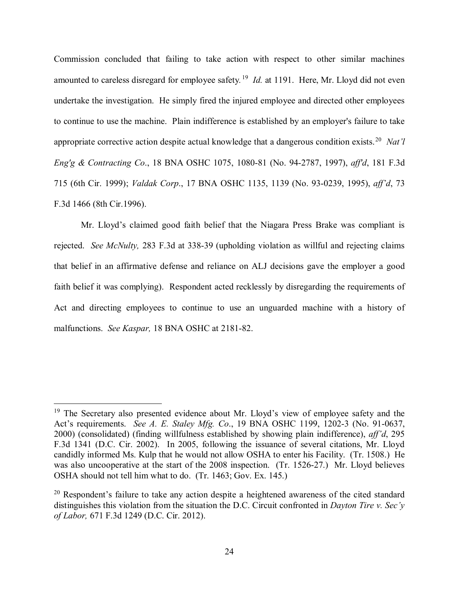Commission concluded that failing to take action with respect to other similar machines amounted to careless disregard for employee safety*.* [19](#page-23-0) *Id.* at 1191. Here, Mr. Lloyd did not even undertake the investigation. He simply fired the injured employee and directed other employees to continue to use the machine. Plain indifference is established by an employer's failure to take appropriate corrective action despite actual knowledge that a dangerous condition exists.[20](#page-23-1) *Nat'l Eng'g & Contracting Co*., 18 BNA OSHC 1075, 1080-81 (No. 94-2787, 1997), *aff'd*, 181 F.3d 715 (6th Cir. 1999); *Valdak Corp*., 17 BNA OSHC 1135, 1139 (No. 93-0239, 1995), *aff'd*, 73 F.3d 1466 (8th Cir.1996).

Mr. Lloyd's claimed good faith belief that the Niagara Press Brake was compliant is rejected. *See McNulty,* 283 F.3d at 338-39 (upholding violation as willful and rejecting claims that belief in an affirmative defense and reliance on ALJ decisions gave the employer a good faith belief it was complying). Respondent acted recklessly by disregarding the requirements of Act and directing employees to continue to use an unguarded machine with a history of malfunctions. *See Kaspar,* 18 BNA OSHC at 2181-82.

<span id="page-23-0"></span> $19$  The Secretary also presented evidence about Mr. Lloyd's view of employee safety and the Act's requirements. *See A. E. Staley Mfg. Co*., 19 BNA OSHC 1199, 1202-3 (No. 91-0637, 2000) (consolidated) (finding willfulness established by showing plain indifference), *aff'd*, 295 F.3d 1341 (D.C. Cir. 2002). In 2005, following the issuance of several citations, Mr. Lloyd candidly informed Ms. Kulp that he would not allow OSHA to enter his Facility. (Tr. 1508.) He was also uncooperative at the start of the 2008 inspection. (Tr. 1526-27.) Mr. Lloyd believes OSHA should not tell him what to do. (Tr. 1463; Gov. Ex. 145.)

<span id="page-23-1"></span> $20$  Respondent's failure to take any action despite a heightened awareness of the cited standard distinguishes this violation from the situation the D.C. Circuit confronted in *Dayton Tire v. Sec'y of Labor,* 671 F.3d 1249 (D.C. Cir. 2012).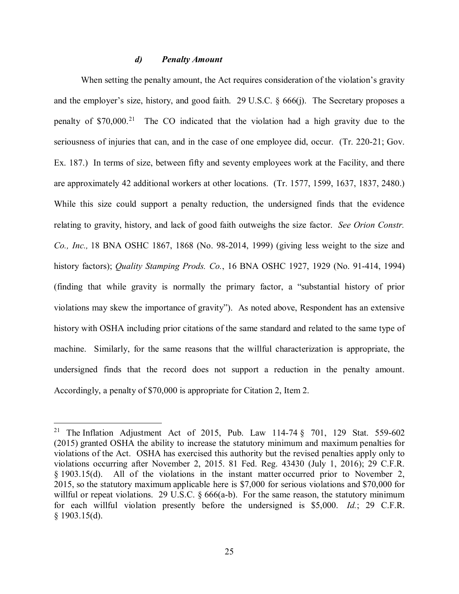#### *d) Penalty Amount*

When setting the penalty amount, the Act requires consideration of the violation's gravity and the employer's size, history, and good faith. 29 U.S.C. § 666(j). The Secretary proposes a penalty of  $$70,000$ <sup>[21](#page-24-0)</sup> The CO indicated that the violation had a high gravity due to the seriousness of injuries that can, and in the case of one employee did, occur. (Tr. 220-21; Gov. Ex. 187.) In terms of size, between fifty and seventy employees work at the Facility, and there are approximately 42 additional workers at other locations. (Tr. 1577, 1599, 1637, 1837, 2480.) While this size could support a penalty reduction, the undersigned finds that the evidence relating to gravity, history, and lack of good faith outweighs the size factor. *See Orion Constr. Co., Inc.,* 18 BNA OSHC 1867, 1868 (No. 98-2014, 1999) (giving less weight to the size and history factors); *Quality Stamping Prods. Co.*, 16 BNA OSHC 1927, 1929 (No. 91-414, 1994) (finding that while gravity is normally the primary factor, a "substantial history of prior violations may skew the importance of gravity"). As noted above, Respondent has an extensive history with OSHA including prior citations of the same standard and related to the same type of machine. Similarly, for the same reasons that the willful characterization is appropriate, the undersigned finds that the record does not support a reduction in the penalty amount. Accordingly, a penalty of \$70,000 is appropriate for Citation 2, Item 2.

<span id="page-24-0"></span><sup>&</sup>lt;sup>21</sup> The Inflation Adjustment Act of 2015, Pub. Law 114-74  $\S$  701, 129 Stat. 559-602 (2015) granted OSHA the ability to increase the statutory minimum and maximum penalties for violations of the Act. OSHA has exercised this authority but the revised penalties apply only to violations occurring after November 2, 2015. 81 Fed. Reg. 43430 (July 1, 2016); 29 C.F.R. § 1903.15(d). All of the violations in the instant matter occurred prior to November 2, 2015, so the statutory maximum applicable here is \$7,000 for serious violations and \$70,000 for willful or repeat violations. 29 U.S.C. § 666(a-b). For the same reason, the statutory minimum for each willful violation presently before the undersigned is \$5,000. *Id.*; 29 C.F.R. § 1903.15(d).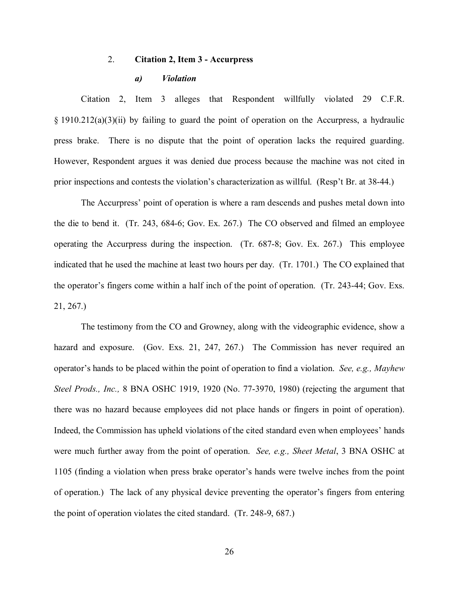## 2. **Citation 2, Item 3 - Accurpress**

#### *a) Violation*

Citation 2, Item 3 alleges that Respondent willfully violated 29 C.F.R. § 1910.212(a)(3)(ii) by failing to guard the point of operation on the Accurpress, a hydraulic press brake. There is no dispute that the point of operation lacks the required guarding. However, Respondent argues it was denied due process because the machine was not cited in prior inspections and contests the violation's characterization as willful. (Resp't Br. at 38-44.)

The Accurpress' point of operation is where a ram descends and pushes metal down into the die to bend it. (Tr. 243, 684-6; Gov. Ex. 267.) The CO observed and filmed an employee operating the Accurpress during the inspection. (Tr. 687-8; Gov. Ex. 267.) This employee indicated that he used the machine at least two hours per day. (Tr. 1701.) The CO explained that the operator's fingers come within a half inch of the point of operation. (Tr. 243-44; Gov. Exs. 21, 267.)

The testimony from the CO and Growney, along with the videographic evidence, show a hazard and exposure. (Gov. Exs. 21, 247, 267.) The Commission has never required an operator's hands to be placed within the point of operation to find a violation. *See, e.g., Mayhew Steel Prods., Inc.,* 8 BNA OSHC 1919, 1920 (No. 77-3970, 1980) (rejecting the argument that there was no hazard because employees did not place hands or fingers in point of operation). Indeed, the Commission has upheld violations of the cited standard even when employees' hands were much further away from the point of operation. *See, e.g., Sheet Metal*, 3 BNA OSHC at 1105 (finding a violation when press brake operator's hands were twelve inches from the point of operation.) The lack of any physical device preventing the operator's fingers from entering the point of operation violates the cited standard. (Tr. 248-9, 687.)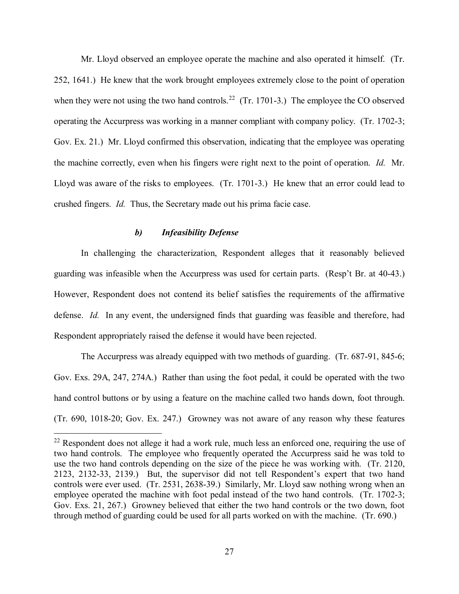Mr. Lloyd observed an employee operate the machine and also operated it himself. (Tr. 252, 1641.) He knew that the work brought employees extremely close to the point of operation when they were not using the two hand controls.<sup>22</sup> (Tr. 1701-3.) The employee the CO observed operating the Accurpress was working in a manner compliant with company policy. (Tr. 1702-3; Gov. Ex. 21.) Mr. Lloyd confirmed this observation, indicating that the employee was operating the machine correctly, even when his fingers were right next to the point of operation. *Id.* Mr. Lloyd was aware of the risks to employees. (Tr. 1701-3.) He knew that an error could lead to crushed fingers. *Id.* Thus, the Secretary made out his prima facie case.

## *b) Infeasibility Defense*

 $\overline{a}$ 

In challenging the characterization, Respondent alleges that it reasonably believed guarding was infeasible when the Accurpress was used for certain parts. (Resp't Br. at 40-43.) However, Respondent does not contend its belief satisfies the requirements of the affirmative defense. *Id.* In any event, the undersigned finds that guarding was feasible and therefore, had Respondent appropriately raised the defense it would have been rejected.

The Accurpress was already equipped with two methods of guarding. (Tr. 687-91, 845-6; Gov. Exs. 29A, 247, 274A.) Rather than using the foot pedal, it could be operated with the two hand control buttons or by using a feature on the machine called two hands down, foot through. (Tr. 690, 1018-20; Gov. Ex. 247.) Growney was not aware of any reason why these features

<span id="page-26-0"></span> $^{22}$  Respondent does not allege it had a work rule, much less an enforced one, requiring the use of two hand controls. The employee who frequently operated the Accurpress said he was told to use the two hand controls depending on the size of the piece he was working with. (Tr. 2120, 2123, 2132-33, 2139.) But, the supervisor did not tell Respondent's expert that two hand controls were ever used. (Tr. 2531, 2638-39.) Similarly, Mr. Lloyd saw nothing wrong when an employee operated the machine with foot pedal instead of the two hand controls. (Tr. 1702-3; Gov. Exs. 21, 267.) Growney believed that either the two hand controls or the two down, foot through method of guarding could be used for all parts worked on with the machine. (Tr. 690.)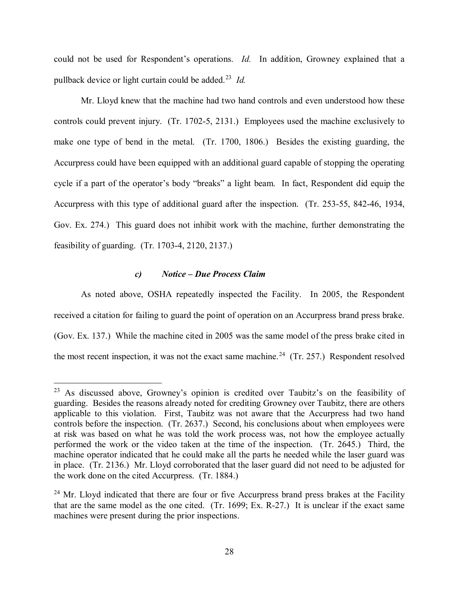could not be used for Respondent's operations. *Id.* In addition, Growney explained that a pullback device or light curtain could be added. [23](#page-27-0) *Id.* 

Mr. Lloyd knew that the machine had two hand controls and even understood how these controls could prevent injury. (Tr. 1702-5, 2131.) Employees used the machine exclusively to make one type of bend in the metal. (Tr. 1700, 1806.) Besides the existing guarding, the Accurpress could have been equipped with an additional guard capable of stopping the operating cycle if a part of the operator's body "breaks" a light beam. In fact, Respondent did equip the Accurpress with this type of additional guard after the inspection. (Tr. 253-55, 842-46, 1934, Gov. Ex. 274.) This guard does not inhibit work with the machine, further demonstrating the feasibility of guarding. (Tr. 1703-4, 2120, 2137.)

## *c) Notice – Due Process Claim*

 $\overline{a}$ 

As noted above, OSHA repeatedly inspected the Facility. In 2005, the Respondent received a citation for failing to guard the point of operation on an Accurpress brand press brake. (Gov. Ex. 137.) While the machine cited in 2005 was the same model of the press brake cited in the most recent inspection, it was not the exact same machine.<sup>24</sup> (Tr. 257.) Respondent resolved

<span id="page-27-0"></span><sup>&</sup>lt;sup>23</sup> As discussed above, Growney's opinion is credited over Taubitz's on the feasibility of guarding. Besides the reasons already noted for crediting Growney over Taubitz, there are others applicable to this violation. First, Taubitz was not aware that the Accurpress had two hand controls before the inspection. (Tr. 2637.) Second, his conclusions about when employees were at risk was based on what he was told the work process was, not how the employee actually performed the work or the video taken at the time of the inspection. (Tr. 2645.) Third, the machine operator indicated that he could make all the parts he needed while the laser guard was in place. (Tr. 2136.) Mr. Lloyd corroborated that the laser guard did not need to be adjusted for the work done on the cited Accurpress. (Tr. 1884.)

<span id="page-27-1"></span> $24$  Mr. Lloyd indicated that there are four or five Accurpress brand press brakes at the Facility that are the same model as the one cited. (Tr. 1699; Ex. R-27.) It is unclear if the exact same machines were present during the prior inspections.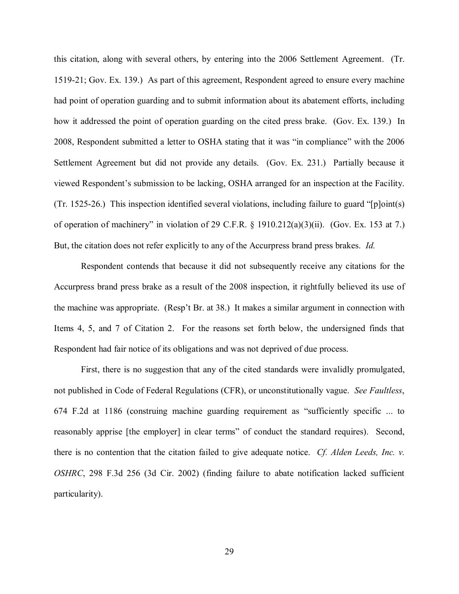this citation, along with several others, by entering into the 2006 Settlement Agreement. (Tr. 1519-21; Gov. Ex. 139.) As part of this agreement, Respondent agreed to ensure every machine had point of operation guarding and to submit information about its abatement efforts, including how it addressed the point of operation guarding on the cited press brake. (Gov. Ex. 139.) In 2008, Respondent submitted a letter to OSHA stating that it was "in compliance" with the 2006 Settlement Agreement but did not provide any details. (Gov. Ex. 231.) Partially because it viewed Respondent's submission to be lacking, OSHA arranged for an inspection at the Facility. (Tr. 1525-26.) This inspection identified several violations, including failure to guard "[p]oint(s) of operation of machinery" in violation of 29 C.F.R.  $\S$  1910.212(a)(3)(ii). (Gov. Ex. 153 at 7.) But, the citation does not refer explicitly to any of the Accurpress brand press brakes. *Id.* 

Respondent contends that because it did not subsequently receive any citations for the Accurpress brand press brake as a result of the 2008 inspection, it rightfully believed its use of the machine was appropriate. (Resp't Br. at 38.) It makes a similar argument in connection with Items 4, 5, and 7 of Citation 2. For the reasons set forth below, the undersigned finds that Respondent had fair notice of its obligations and was not deprived of due process.

First, there is no suggestion that any of the cited standards were invalidly promulgated, not published in Code of Federal Regulations (CFR), or unconstitutionally vague. *See Faultless*, 674 F.2d at 1186 (construing machine guarding requirement as "sufficiently specific ... to reasonably apprise [the employer] in clear terms" of conduct the standard requires). Second, there is no contention that the citation failed to give adequate notice. *Cf. Alden Leeds, Inc. v. OSHRC*, 298 F.3d 256 (3d Cir. 2002) (finding failure to abate notification lacked sufficient particularity).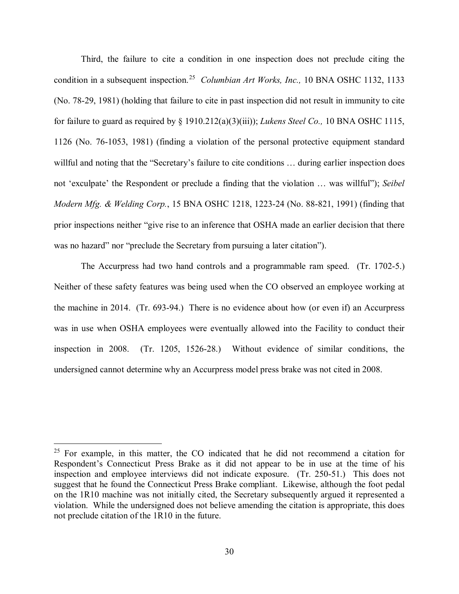Third, the failure to cite a condition in one inspection does not preclude citing the condition in a subsequent inspection. [25](#page-29-0) *Columbian Art Works, Inc.,* 10 BNA OSHC 1132, 1133 (No. 78-29, 1981) (holding that failure to cite in past inspection did not result in immunity to cite for failure to guard as required by § 1910.212(a)(3)(iii)); *Lukens Steel Co.,* 10 BNA OSHC 1115, 1126 (No. 76-1053, 1981) (finding a violation of the personal protective equipment standard willful and noting that the "Secretary's failure to cite conditions ... during earlier inspection does not 'exculpate' the Respondent or preclude a finding that the violation … was willful"); *Seibel Modern Mfg. & Welding Corp.*, 15 BNA OSHC 1218, 1223-24 (No. 88-821, 1991) (finding that prior inspections neither "give rise to an inference that OSHA made an earlier decision that there was no hazard" nor "preclude the Secretary from pursuing a later citation").

The Accurpress had two hand controls and a programmable ram speed. (Tr. 1702-5.) Neither of these safety features was being used when the CO observed an employee working at the machine in 2014. (Tr. 693-94.) There is no evidence about how (or even if) an Accurpress was in use when OSHA employees were eventually allowed into the Facility to conduct their inspection in 2008. (Tr. 1205, 1526-28.) Without evidence of similar conditions, the undersigned cannot determine why an Accurpress model press brake was not cited in 2008.

<span id="page-29-0"></span> $25$  For example, in this matter, the CO indicated that he did not recommend a citation for Respondent's Connecticut Press Brake as it did not appear to be in use at the time of his inspection and employee interviews did not indicate exposure. (Tr. 250-51.) This does not suggest that he found the Connecticut Press Brake compliant. Likewise, although the foot pedal on the 1R10 machine was not initially cited, the Secretary subsequently argued it represented a violation. While the undersigned does not believe amending the citation is appropriate, this does not preclude citation of the 1R10 in the future.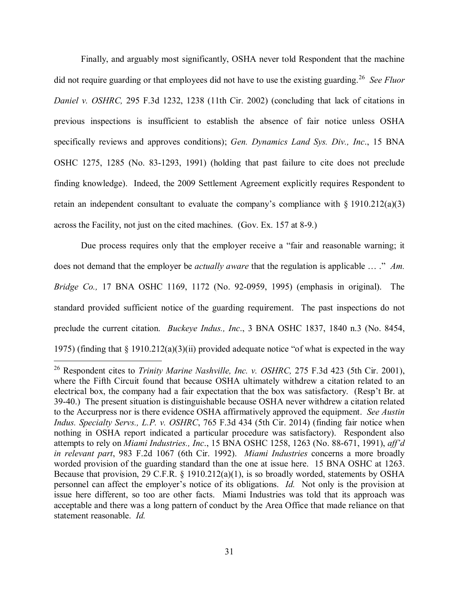Finally, and arguably most significantly, OSHA never told Respondent that the machine did not require guarding or that employees did not have to use the existing guarding.[26](#page-30-0) *See Fluor Daniel v. OSHRC,* 295 F.3d 1232, 1238 (11th Cir. 2002) (concluding that lack of citations in previous inspections is insufficient to establish the absence of fair notice unless OSHA specifically reviews and approves conditions); *Gen. Dynamics Land Sys. Div., Inc*., 15 BNA OSHC 1275, 1285 (No. 83-1293, 1991) (holding that past failure to cite does not preclude finding knowledge). Indeed, the 2009 Settlement Agreement explicitly requires Respondent to retain an independent consultant to evaluate the company's compliance with § 1910.212(a)(3) across the Facility, not just on the cited machines. (Gov. Ex. 157 at 8-9.)

Due process requires only that the employer receive a "fair and reasonable warning; it does not demand that the employer be *actually aware* that the regulation is applicable … ." *Am. Bridge Co.,* 17 BNA OSHC 1169, 1172 (No. 92-0959, 1995) (emphasis in original). The standard provided sufficient notice of the guarding requirement. The past inspections do not preclude the current citation. *Buckeye Indus., Inc*., 3 BNA OSHC 1837, 1840 n.3 (No. 8454, 1975) (finding that § 1910.212(a)(3)(ii) provided adequate notice "of what is expected in the way

<span id="page-30-0"></span><sup>26</sup> Respondent cites to *Trinity Marine Nashville, Inc. v. OSHRC,* 275 F.3d 423 (5th Cir. 2001), where the Fifth Circuit found that because OSHA ultimately withdrew a citation related to an electrical box, the company had a fair expectation that the box was satisfactory. (Resp't Br. at 39-40.) The present situation is distinguishable because OSHA never withdrew a citation related to the Accurpress nor is there evidence OSHA affirmatively approved the equipment. *See Austin Indus. Specialty Servs., L.P. v. OSHRC*, 765 F.3d 434 (5th Cir. 2014) (finding fair notice when nothing in OSHA report indicated a particular procedure was satisfactory). Respondent also attempts to rely on *Miami Industries., Inc*., 15 BNA OSHC 1258, 1263 (No. 88-671, 1991), *aff'd in relevant part*, 983 F.2d 1067 (6th Cir. 1992). *Miami Industries* concerns a more broadly worded provision of the guarding standard than the one at issue here. 15 BNA OSHC at 1263. Because that provision, 29 C.F.R. § 1910.212(a)(1), is so broadly worded, statements by OSHA personnel can affect the employer's notice of its obligations. *Id.* Not only is the provision at issue here different, so too are other facts. Miami Industries was told that its approach was acceptable and there was a long pattern of conduct by the Area Office that made reliance on that statement reasonable. *Id.*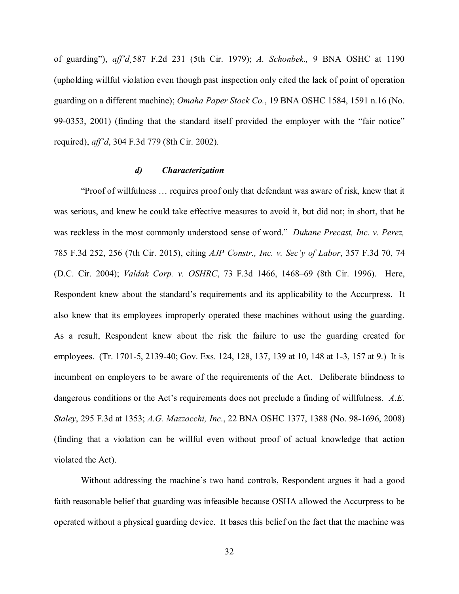of guarding"), *aff'd¸*587 F.2d 231 (5th Cir. 1979); *A. Schonbek.,* 9 BNA OSHC at 1190 (upholding willful violation even though past inspection only cited the lack of point of operation guarding on a different machine); *Omaha Paper Stock Co.*, 19 BNA OSHC 1584, 1591 n.16 (No. 99-0353, 2001) (finding that the standard itself provided the employer with the "fair notice" required), *aff'd*, 304 F.3d 779 (8th Cir. 2002).

## *d) Characterization*

"Proof of willfulness … requires proof only that defendant was aware of risk, knew that it was serious, and knew he could take effective measures to avoid it, but did not; in short, that he was reckless in the most commonly understood sense of word." *Dukane Precast, Inc. v. Perez,*  785 F.3d 252, 256 (7th Cir. 2015), citing *AJP Constr., Inc. v. Sec'y of Labor*, 357 F.3d 70, 74 (D.C. Cir. 2004); *Valdak Corp. v. OSHRC*, 73 F.3d 1466, 1468–69 (8th Cir. 1996). Here, Respondent knew about the standard's requirements and its applicability to the Accurpress. It also knew that its employees improperly operated these machines without using the guarding. As a result, Respondent knew about the risk the failure to use the guarding created for employees. (Tr. 1701-5, 2139-40; Gov. Exs. 124, 128, 137, 139 at 10, 148 at 1-3, 157 at 9.) It is incumbent on employers to be aware of the requirements of the Act. Deliberate blindness to dangerous conditions or the Act's requirements does not preclude a finding of willfulness. *A.E. Staley*, 295 F.3d at 1353; *A.G. Mazzocchi, Inc*., 22 BNA OSHC 1377, 1388 (No. 98-1696, 2008) (finding that a violation can be willful even without proof of actual knowledge that action violated the Act).

Without addressing the machine's two hand controls, Respondent argues it had a good faith reasonable belief that guarding was infeasible because OSHA allowed the Accurpress to be operated without a physical guarding device. It bases this belief on the fact that the machine was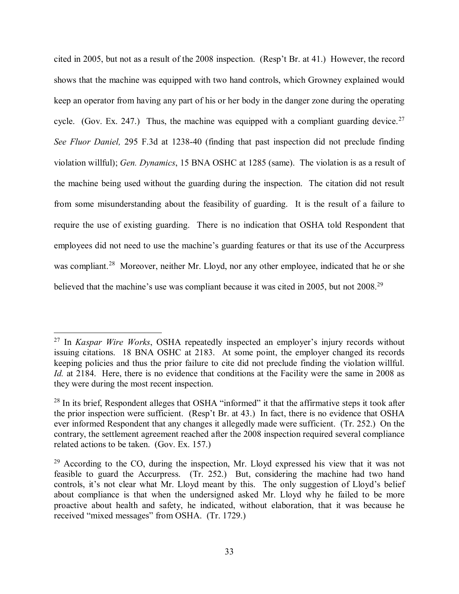cited in 2005, but not as a result of the 2008 inspection. (Resp't Br. at 41.) However, the record shows that the machine was equipped with two hand controls, which Growney explained would keep an operator from having any part of his or her body in the danger zone during the operating cycle. (Gov. Ex. 247.) Thus, the machine was equipped with a compliant guarding device.<sup>[27](#page-32-0)</sup> *See Fluor Daniel,* 295 F.3d at 1238-40 (finding that past inspection did not preclude finding violation willful); *Gen. Dynamics*, 15 BNA OSHC at 1285 (same). The violation is as a result of the machine being used without the guarding during the inspection. The citation did not result from some misunderstanding about the feasibility of guarding. It is the result of a failure to require the use of existing guarding. There is no indication that OSHA told Respondent that employees did not need to use the machine's guarding features or that its use of the Accurpress was compliant.<sup>28</sup> Moreover, neither Mr. Lloyd, nor any other employee, indicated that he or she believed that the machine's use was compliant because it was cited in 2005, but not 2008.<sup>[29](#page-32-2)</sup>

<span id="page-32-0"></span><sup>27</sup> In *Kaspar Wire Works*, OSHA repeatedly inspected an employer's injury records without issuing citations. 18 BNA OSHC at 2183. At some point, the employer changed its records keeping policies and thus the prior failure to cite did not preclude finding the violation willful. *Id.* at 2184. Here, there is no evidence that conditions at the Facility were the same in 2008 as they were during the most recent inspection.

<span id="page-32-1"></span><sup>&</sup>lt;sup>28</sup> In its brief, Respondent alleges that OSHA "informed" it that the affirmative steps it took after the prior inspection were sufficient. (Resp't Br. at 43.) In fact, there is no evidence that OSHA ever informed Respondent that any changes it allegedly made were sufficient. (Tr. 252.) On the contrary, the settlement agreement reached after the 2008 inspection required several compliance related actions to be taken. (Gov. Ex. 157.)

<span id="page-32-2"></span> $29$  According to the CO, during the inspection, Mr. Lloyd expressed his view that it was not feasible to guard the Accurpress. (Tr. 252.) But, considering the machine had two hand controls, it's not clear what Mr. Lloyd meant by this. The only suggestion of Lloyd's belief about compliance is that when the undersigned asked Mr. Lloyd why he failed to be more proactive about health and safety, he indicated, without elaboration, that it was because he received "mixed messages" from OSHA. (Tr. 1729.)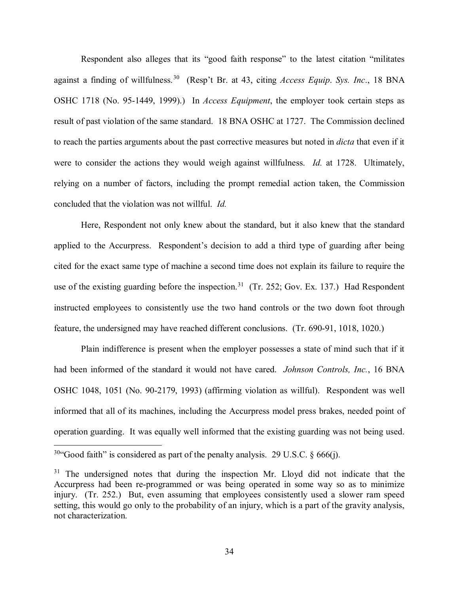Respondent also alleges that its "good faith response" to the latest citation "militates against a finding of willfulness.[30](#page-33-0) (Resp't Br. at 43, citing *Access Equip*. *Sys. Inc*., 18 BNA OSHC 1718 (No. 95-1449, 1999).) In *Access Equipment*, the employer took certain steps as result of past violation of the same standard. 18 BNA OSHC at 1727. The Commission declined to reach the parties arguments about the past corrective measures but noted in *dicta* that even if it were to consider the actions they would weigh against willfulness. *Id.* at 1728. Ultimately, relying on a number of factors, including the prompt remedial action taken, the Commission concluded that the violation was not willful. *Id.* 

Here, Respondent not only knew about the standard, but it also knew that the standard applied to the Accurpress. Respondent's decision to add a third type of guarding after being cited for the exact same type of machine a second time does not explain its failure to require the use of the existing guarding before the inspection.<sup>[31](#page-33-1)</sup> (Tr. 252; Gov. Ex. 137.) Had Respondent instructed employees to consistently use the two hand controls or the two down foot through feature, the undersigned may have reached different conclusions. (Tr. 690-91, 1018, 1020.)

Plain indifference is present when the employer possesses a state of mind such that if it had been informed of the standard it would not have cared. *Johnson Controls, Inc.*, 16 BNA OSHC 1048, 1051 (No. 90-2179, 1993) (affirming violation as willful). Respondent was well informed that all of its machines, including the Accurpress model press brakes, needed point of operation guarding. It was equally well informed that the existing guarding was not being used.

<span id="page-33-0"></span><sup>&</sup>lt;sup>30</sup>"Good faith" is considered as part of the penalty analysis. 29 U.S.C.  $\S$  666(j).

<span id="page-33-1"></span> $31$  The undersigned notes that during the inspection Mr. Lloyd did not indicate that the Accurpress had been re-programmed or was being operated in some way so as to minimize injury. (Tr. 252.) But, even assuming that employees consistently used a slower ram speed setting, this would go only to the probability of an injury, which is a part of the gravity analysis, not characterization.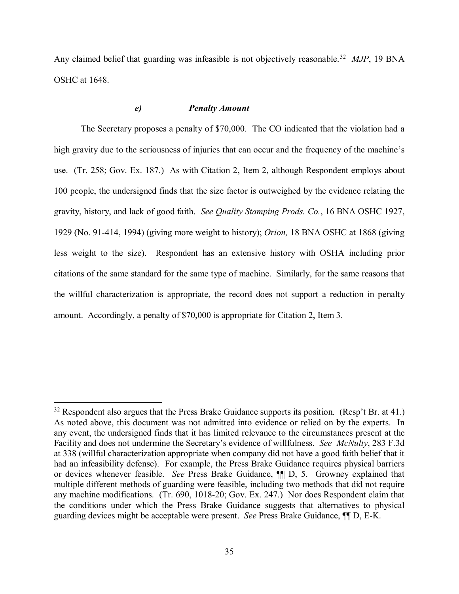Any claimed belief that guarding was infeasible is not objectively reasonable.<sup>32</sup> *MJP*, 19 BNA OSHC at 1648.

# *e) Penalty Amount*

The Secretary proposes a penalty of \$70,000. The CO indicated that the violation had a high gravity due to the seriousness of injuries that can occur and the frequency of the machine's use. (Tr. 258; Gov. Ex. 187.) As with Citation 2, Item 2, although Respondent employs about 100 people, the undersigned finds that the size factor is outweighed by the evidence relating the gravity, history, and lack of good faith. *See Quality Stamping Prods. Co.*, 16 BNA OSHC 1927, 1929 (No. 91-414, 1994) (giving more weight to history); *Orion,* 18 BNA OSHC at 1868 (giving less weight to the size). Respondent has an extensive history with OSHA including prior citations of the same standard for the same type of machine. Similarly, for the same reasons that the willful characterization is appropriate, the record does not support a reduction in penalty amount. Accordingly, a penalty of \$70,000 is appropriate for Citation 2, Item 3.

<span id="page-34-0"></span> $32$  Respondent also argues that the Press Brake Guidance supports its position. (Resp't Br. at 41.) As noted above, this document was not admitted into evidence or relied on by the experts. In any event, the undersigned finds that it has limited relevance to the circumstances present at the Facility and does not undermine the Secretary's evidence of willfulness. *See McNulty*, 283 F.3d at 338 (willful characterization appropriate when company did not have a good faith belief that it had an infeasibility defense). For example, the Press Brake Guidance requires physical barriers or devices whenever feasible. *See* Press Brake Guidance, ¶¶ D, 5. Growney explained that multiple different methods of guarding were feasible, including two methods that did not require any machine modifications. (Tr. 690, 1018-20; Gov. Ex. 247.) Nor does Respondent claim that the conditions under which the Press Brake Guidance suggests that alternatives to physical guarding devices might be acceptable were present. *See* Press Brake Guidance, ¶¶ D, E-K.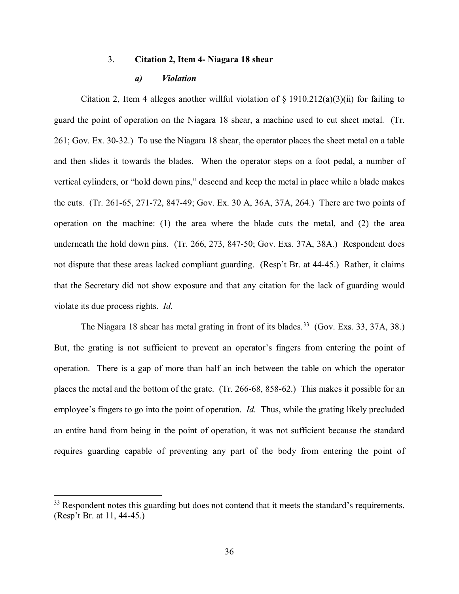#### 3. **Citation 2, Item 4- Niagara 18 shear**

#### *a) Violation*

Citation 2, Item 4 alleges another willful violation of  $\S$  1910.212(a)(3)(ii) for failing to guard the point of operation on the Niagara 18 shear, a machine used to cut sheet metal. (Tr. 261; Gov. Ex. 30-32.) To use the Niagara 18 shear, the operator places the sheet metal on a table and then slides it towards the blades. When the operator steps on a foot pedal, a number of vertical cylinders, or "hold down pins," descend and keep the metal in place while a blade makes the cuts. (Tr. 261-65, 271-72, 847-49; Gov. Ex. 30 A, 36A, 37A, 264.) There are two points of operation on the machine: (1) the area where the blade cuts the metal, and (2) the area underneath the hold down pins. (Tr. 266, 273, 847-50; Gov. Exs. 37A, 38A.) Respondent does not dispute that these areas lacked compliant guarding. (Resp't Br. at 44-45.) Rather, it claims that the Secretary did not show exposure and that any citation for the lack of guarding would violate its due process rights. *Id.* 

The Niagara 18 shear has metal grating in front of its blades.<sup>33</sup> (Gov. Exs. 33, 37A, 38.) But, the grating is not sufficient to prevent an operator's fingers from entering the point of operation. There is a gap of more than half an inch between the table on which the operator places the metal and the bottom of the grate. (Tr. 266-68, 858-62.) This makes it possible for an employee's fingers to go into the point of operation. *Id.* Thus, while the grating likely precluded an entire hand from being in the point of operation, it was not sufficient because the standard requires guarding capable of preventing any part of the body from entering the point of

<span id="page-35-0"></span><sup>&</sup>lt;sup>33</sup> Respondent notes this guarding but does not contend that it meets the standard's requirements. (Resp't Br. at 11, 44-45.)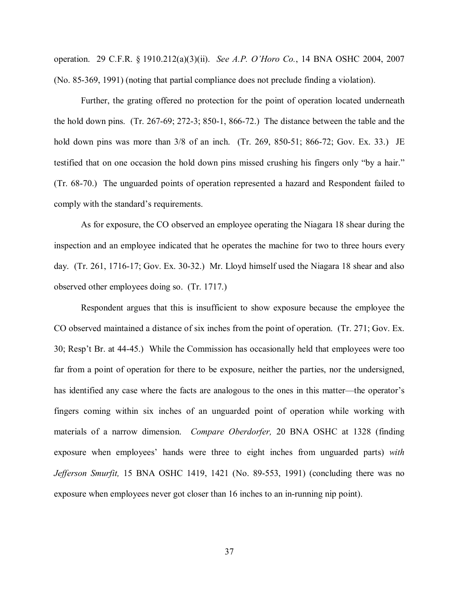operation. 29 C.F.R. § 1910.212(a)(3)(ii). *See A.P. O'Horo Co.*, 14 BNA OSHC 2004, 2007 (No. 85-369, 1991) (noting that partial compliance does not preclude finding a violation).

Further, the grating offered no protection for the point of operation located underneath the hold down pins. (Tr. 267-69; 272-3; 850-1, 866-72.) The distance between the table and the hold down pins was more than  $3/8$  of an inch. (Tr. 269, 850-51; 866-72; Gov. Ex. 33.) JE testified that on one occasion the hold down pins missed crushing his fingers only "by a hair." (Tr. 68-70.) The unguarded points of operation represented a hazard and Respondent failed to comply with the standard's requirements.

As for exposure, the CO observed an employee operating the Niagara 18 shear during the inspection and an employee indicated that he operates the machine for two to three hours every day. (Tr. 261, 1716-17; Gov. Ex. 30-32.) Mr. Lloyd himself used the Niagara 18 shear and also observed other employees doing so. (Tr. 1717.)

Respondent argues that this is insufficient to show exposure because the employee the CO observed maintained a distance of six inches from the point of operation. (Tr. 271; Gov. Ex. 30; Resp't Br. at 44-45.) While the Commission has occasionally held that employees were too far from a point of operation for there to be exposure, neither the parties, nor the undersigned, has identified any case where the facts are analogous to the ones in this matter—the operator's fingers coming within six inches of an unguarded point of operation while working with materials of a narrow dimension. *Compare Oberdorfer,* 20 BNA OSHC at 1328 (finding exposure when employees' hands were three to eight inches from unguarded parts) *with Jefferson Smurfit,* 15 BNA OSHC 1419, 1421 (No. 89-553, 1991) (concluding there was no exposure when employees never got closer than 16 inches to an in-running nip point).

37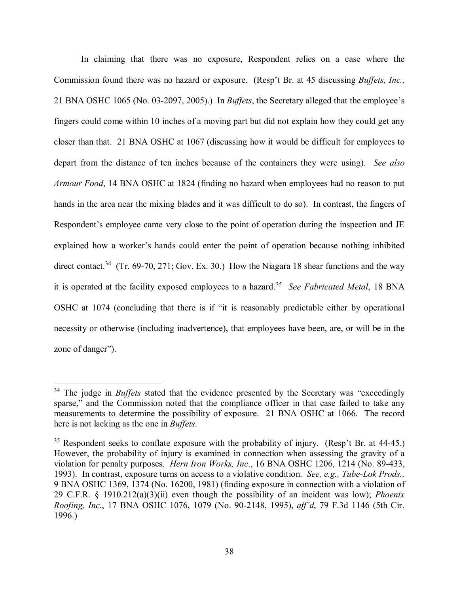In claiming that there was no exposure, Respondent relies on a case where the Commission found there was no hazard or exposure. (Resp't Br. at 45 discussing *Buffets, Inc.,* 21 BNA OSHC 1065 (No. 03-2097, 2005).) In *Buffets*, the Secretary alleged that the employee's fingers could come within 10 inches of a moving part but did not explain how they could get any closer than that. 21 BNA OSHC at 1067 (discussing how it would be difficult for employees to depart from the distance of ten inches because of the containers they were using). *See also Armour Food*, 14 BNA OSHC at 1824 (finding no hazard when employees had no reason to put hands in the area near the mixing blades and it was difficult to do so). In contrast, the fingers of Respondent's employee came very close to the point of operation during the inspection and JE explained how a worker's hands could enter the point of operation because nothing inhibited direct contact.<sup>34</sup> (Tr. 69-70, 271; Gov. Ex. 30.) How the Niagara 18 shear functions and the way it is operated at the facility exposed employees to a hazard. [35](#page-37-1) *See Fabricated Metal*, 18 BNA OSHC at 1074 (concluding that there is if "it is reasonably predictable either by operational necessity or otherwise (including inadvertence), that employees have been, are, or will be in the zone of danger").

<span id="page-37-0"></span><sup>&</sup>lt;sup>34</sup> The judge in *Buffets* stated that the evidence presented by the Secretary was "exceedingly sparse," and the Commission noted that the compliance officer in that case failed to take any measurements to determine the possibility of exposure. 21 BNA OSHC at 1066. The record here is not lacking as the one in *Buffets*.

<span id="page-37-1"></span> $35$  Respondent seeks to conflate exposure with the probability of injury. (Resp't Br. at 44-45.) However, the probability of injury is examined in connection when assessing the gravity of a violation for penalty purposes. *Hern Iron Works, Inc*., 16 BNA OSHC 1206, 1214 (No. 89-433, 1993). In contrast, exposure turns on access to a violative condition. *See, e.g., Tube-Lok Prods.,*  9 BNA OSHC 1369, 1374 (No. 16200, 1981) (finding exposure in connection with a violation of 29 C.F.R. § 1910.212(a)(3)(ii) even though the possibility of an incident was low); *Phoenix Roofing, Inc.*, 17 BNA OSHC 1076, 1079 (No. 90-2148, 1995), *aff'd*, 79 F.3d 1146 (5th Cir. 1996.)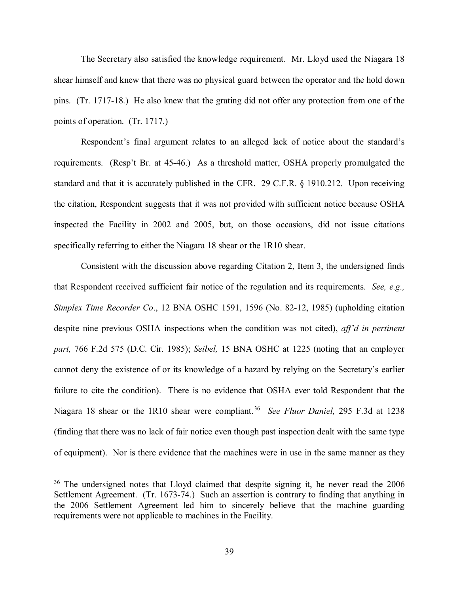The Secretary also satisfied the knowledge requirement. Mr. Lloyd used the Niagara 18 shear himself and knew that there was no physical guard between the operator and the hold down pins. (Tr. 1717-18.) He also knew that the grating did not offer any protection from one of the points of operation. (Tr. 1717.)

Respondent's final argument relates to an alleged lack of notice about the standard's requirements. (Resp't Br. at 45-46.) As a threshold matter, OSHA properly promulgated the standard and that it is accurately published in the CFR. 29 C.F.R. § 1910.212. Upon receiving the citation, Respondent suggests that it was not provided with sufficient notice because OSHA inspected the Facility in 2002 and 2005, but, on those occasions, did not issue citations specifically referring to either the Niagara 18 shear or the 1R10 shear.

Consistent with the discussion above regarding Citation 2, Item 3, the undersigned finds that Respondent received sufficient fair notice of the regulation and its requirements. *See, e.g., Simplex Time Recorder Co*., 12 BNA OSHC 1591, 1596 (No. 82-12, 1985) (upholding citation despite nine previous OSHA inspections when the condition was not cited), *aff'd in pertinent part,* 766 F.2d 575 (D.C. Cir. 1985); *Seibel,* 15 BNA OSHC at 1225 (noting that an employer cannot deny the existence of or its knowledge of a hazard by relying on the Secretary's earlier failure to cite the condition). There is no evidence that OSHA ever told Respondent that the Niagara 18 shear or the 1R10 shear were compliant.[36](#page-38-0) *See Fluor Daniel,* 295 F.3d at 1238 (finding that there was no lack of fair notice even though past inspection dealt with the same type of equipment). Nor is there evidence that the machines were in use in the same manner as they

<span id="page-38-0"></span> $36$  The undersigned notes that Lloyd claimed that despite signing it, he never read the 2006 Settlement Agreement. (Tr. 1673-74.) Such an assertion is contrary to finding that anything in the 2006 Settlement Agreement led him to sincerely believe that the machine guarding requirements were not applicable to machines in the Facility.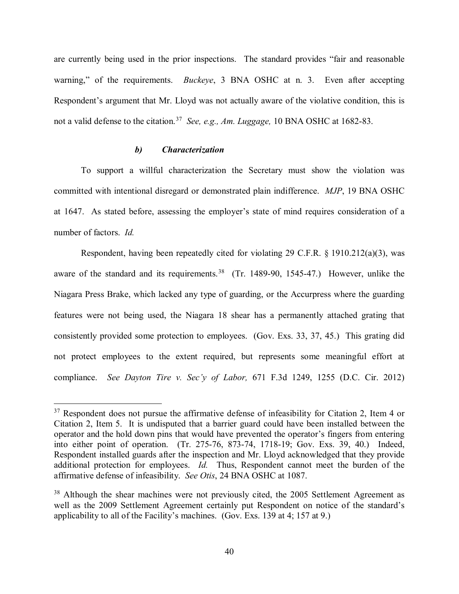are currently being used in the prior inspections. The standard provides "fair and reasonable warning," of the requirements. *Buckeye*, 3 BNA OSHC at n. 3. Even after accepting Respondent's argument that Mr. Lloyd was not actually aware of the violative condition, this is not a valid defense to the citation.[37](#page-39-0) *See, e.g., Am. Luggage,* 10 BNA OSHC at 1682-83.

# *b) Characterization*

 $\overline{a}$ 

To support a willful characterization the Secretary must show the violation was committed with intentional disregard or demonstrated plain indifference. *MJP*, 19 BNA OSHC at 1647. As stated before, assessing the employer's state of mind requires consideration of a number of factors. *Id.*

Respondent, having been repeatedly cited for violating 29 C.F.R. § 1910.212(a)(3), was aware of the standard and its requirements.<sup>38</sup> (Tr. 1489-90, 1545-47.) However, unlike the Niagara Press Brake, which lacked any type of guarding, or the Accurpress where the guarding features were not being used, the Niagara 18 shear has a permanently attached grating that consistently provided some protection to employees. (Gov. Exs. 33, 37, 45.) This grating did not protect employees to the extent required, but represents some meaningful effort at compliance. *See Dayton Tire v. Sec'y of Labor,* 671 F.3d 1249, 1255 (D.C. Cir. 2012)

<span id="page-39-0"></span> $37$  Respondent does not pursue the affirmative defense of infeasibility for Citation 2, Item 4 or Citation 2, Item 5. It is undisputed that a barrier guard could have been installed between the operator and the hold down pins that would have prevented the operator's fingers from entering into either point of operation. (Tr. 275-76, 873-74, 1718-19; Gov. Exs. 39, 40.) Indeed, Respondent installed guards after the inspection and Mr. Lloyd acknowledged that they provide additional protection for employees. *Id.* Thus, Respondent cannot meet the burden of the affirmative defense of infeasibility. *See Otis*, 24 BNA OSHC at 1087.

<span id="page-39-1"></span><sup>&</sup>lt;sup>38</sup> Although the shear machines were not previously cited, the 2005 Settlement Agreement as well as the 2009 Settlement Agreement certainly put Respondent on notice of the standard's applicability to all of the Facility's machines. (Gov. Exs. 139 at 4; 157 at 9.)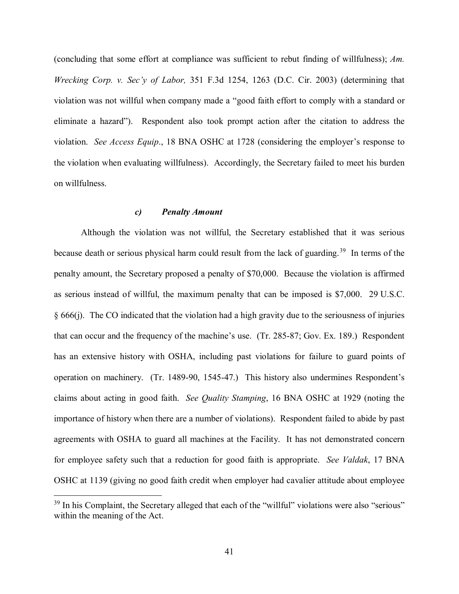(concluding that some effort at compliance was sufficient to rebut finding of willfulness); *Am. Wrecking Corp. v. Sec'y of Labor,* 351 F.3d 1254, 1263 (D.C. Cir. 2003) (determining that violation was not willful when company made a "good faith effort to comply with a standard or eliminate a hazard"). Respondent also took prompt action after the citation to address the violation. *See Access Equip*., 18 BNA OSHC at 1728 (considering the employer's response to the violation when evaluating willfulness). Accordingly, the Secretary failed to meet his burden on willfulness.

## *c) Penalty Amount*

Although the violation was not willful, the Secretary established that it was serious because death or serious physical harm could result from the lack of guarding.<sup>39</sup> In terms of the penalty amount, the Secretary proposed a penalty of \$70,000. Because the violation is affirmed as serious instead of willful, the maximum penalty that can be imposed is \$7,000. 29 U.S.C. § 666(j). The CO indicated that the violation had a high gravity due to the seriousness of injuries that can occur and the frequency of the machine's use. (Tr. 285-87; Gov. Ex. 189.) Respondent has an extensive history with OSHA, including past violations for failure to guard points of operation on machinery. (Tr. 1489-90, 1545-47.) This history also undermines Respondent's claims about acting in good faith. *See Quality Stamping*, 16 BNA OSHC at 1929 (noting the importance of history when there are a number of violations). Respondent failed to abide by past agreements with OSHA to guard all machines at the Facility. It has not demonstrated concern for employee safety such that a reduction for good faith is appropriate. *See Valdak*, 17 BNA OSHC at 1139 (giving no good faith credit when employer had cavalier attitude about employee

<span id="page-40-0"></span> $39$  In his Complaint, the Secretary alleged that each of the "willful" violations were also "serious" within the meaning of the Act.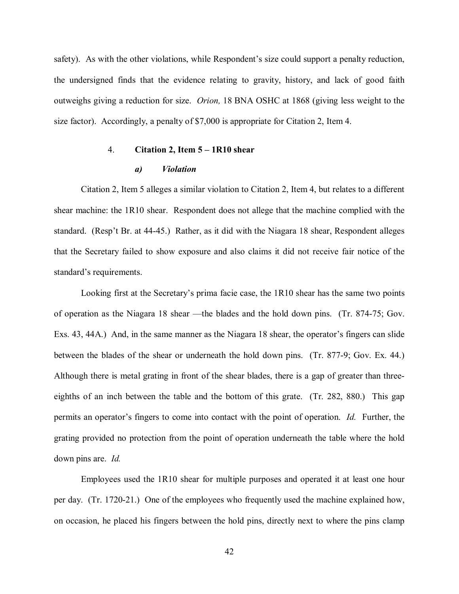safety). As with the other violations, while Respondent's size could support a penalty reduction, the undersigned finds that the evidence relating to gravity, history, and lack of good faith outweighs giving a reduction for size. *Orion,* 18 BNA OSHC at 1868 (giving less weight to the size factor). Accordingly, a penalty of \$7,000 is appropriate for Citation 2, Item 4.

# 4. **Citation 2, Item 5 – 1R10 shear**

#### *a) Violation*

Citation 2, Item 5 alleges a similar violation to Citation 2, Item 4, but relates to a different shear machine: the 1R10 shear. Respondent does not allege that the machine complied with the standard. (Resp't Br. at 44-45.) Rather, as it did with the Niagara 18 shear, Respondent alleges that the Secretary failed to show exposure and also claims it did not receive fair notice of the standard's requirements.

Looking first at the Secretary's prima facie case, the 1R10 shear has the same two points of operation as the Niagara 18 shear —the blades and the hold down pins. (Tr. 874-75; Gov. Exs. 43, 44A.) And, in the same manner as the Niagara 18 shear, the operator's fingers can slide between the blades of the shear or underneath the hold down pins. (Tr. 877-9; Gov. Ex. 44.) Although there is metal grating in front of the shear blades, there is a gap of greater than threeeighths of an inch between the table and the bottom of this grate. (Tr. 282, 880.) This gap permits an operator's fingers to come into contact with the point of operation. *Id.* Further, the grating provided no protection from the point of operation underneath the table where the hold down pins are. *Id.*

Employees used the 1R10 shear for multiple purposes and operated it at least one hour per day. (Tr. 1720-21.) One of the employees who frequently used the machine explained how, on occasion, he placed his fingers between the hold pins, directly next to where the pins clamp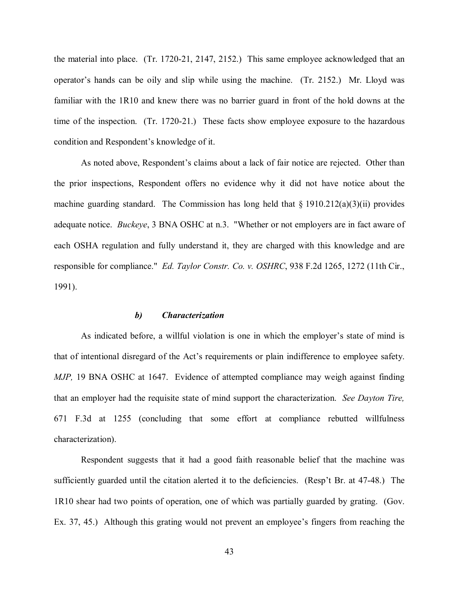the material into place. (Tr. 1720-21, 2147, 2152.) This same employee acknowledged that an operator's hands can be oily and slip while using the machine. (Tr. 2152.) Mr. Lloyd was familiar with the 1R10 and knew there was no barrier guard in front of the hold downs at the time of the inspection. (Tr. 1720-21.) These facts show employee exposure to the hazardous condition and Respondent's knowledge of it.

As noted above, Respondent's claims about a lack of fair notice are rejected. Other than the prior inspections, Respondent offers no evidence why it did not have notice about the machine guarding standard. The Commission has long held that  $\S 1910.212(a)(3)(ii)$  provides adequate notice. *Buckeye*, 3 BNA OSHC at n.3. "Whether or not employers are in fact aware of each OSHA regulation and fully understand it, they are charged with this knowledge and are responsible for compliance." *Ed. Taylor Constr. Co. v. OSHRC*, 938 F.2d 1265, 1272 (11th Cir., 1991).

## *b) Characterization*

As indicated before, a willful violation is one in which the employer's state of mind is that of intentional disregard of the Act's requirements or plain indifference to employee safety. *MJP,* 19 BNA OSHC at 1647. Evidence of attempted compliance may weigh against finding that an employer had the requisite state of mind support the characterization. *See Dayton Tire,* 671 F.3d at 1255 (concluding that some effort at compliance rebutted willfulness characterization).

Respondent suggests that it had a good faith reasonable belief that the machine was sufficiently guarded until the citation alerted it to the deficiencies. (Resp't Br. at 47-48.) The 1R10 shear had two points of operation, one of which was partially guarded by grating. (Gov. Ex. 37, 45.) Although this grating would not prevent an employee's fingers from reaching the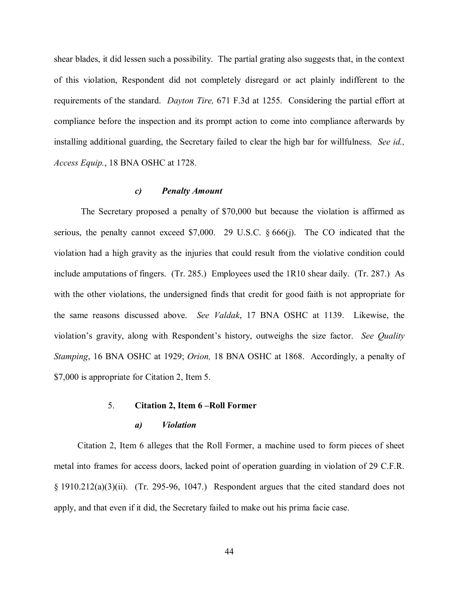shear blades, it did lessen such a possibility. The partial grating also suggests that, in the context of this violation, Respondent did not completely disregard or act plainly indifferent to the requirements of the standard. *Dayton Tire,* 671 F.3d at 1255. Considering the partial effort at compliance before the inspection and its prompt action to come into compliance afterwards by installing additional guarding, the Secretary failed to clear the high bar for willfulness. *See id., Access Equip.*, 18 BNA OSHC at 1728.

#### *c) Penalty Amount*

The Secretary proposed a penalty of \$70,000 but because the violation is affirmed as serious, the penalty cannot exceed \$7,000. 29 U.S.C. § 666(j). The CO indicated that the violation had a high gravity as the injuries that could result from the violative condition could include amputations of fingers. (Tr. 285.) Employees used the 1R10 shear daily. (Tr. 287.) As with the other violations, the undersigned finds that credit for good faith is not appropriate for the same reasons discussed above. *See Valdak*, 17 BNA OSHC at 1139. Likewise, the violation's gravity, along with Respondent's history, outweighs the size factor. *See Quality Stamping*, 16 BNA OSHC at 1929; *Orion,* 18 BNA OSHC at 1868. Accordingly, a penalty of \$7,000 is appropriate for Citation 2, Item 5.

# 5. **Citation 2, Item 6 –Roll Former**

# *a) Violation*

Citation 2, Item 6 alleges that the Roll Former, a machine used to form pieces of sheet metal into frames for access doors, lacked point of operation guarding in violation of 29 C.F.R.  $\S 1910.212(a)(3)(ii)$ . (Tr. 295-96, 1047.) Respondent argues that the cited standard does not apply, and that even if it did, the Secretary failed to make out his prima facie case.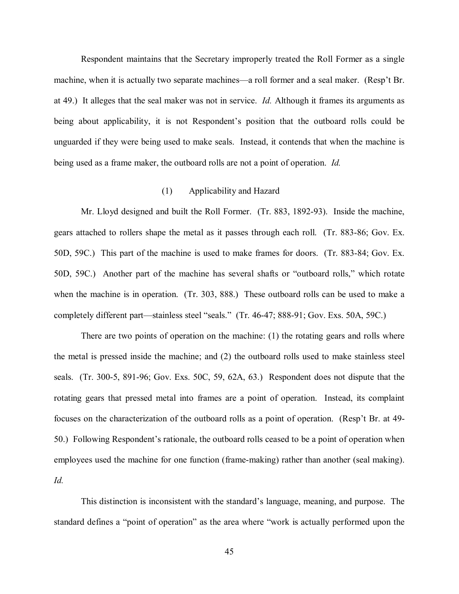Respondent maintains that the Secretary improperly treated the Roll Former as a single machine, when it is actually two separate machines—a roll former and a seal maker. (Resp't Br. at 49.) It alleges that the seal maker was not in service. *Id.* Although it frames its arguments as being about applicability, it is not Respondent's position that the outboard rolls could be unguarded if they were being used to make seals. Instead, it contends that when the machine is being used as a frame maker, the outboard rolls are not a point of operation. *Id.*

## (1) Applicability and Hazard

Mr. Lloyd designed and built the Roll Former. (Tr. 883, 1892-93). Inside the machine, gears attached to rollers shape the metal as it passes through each roll. (Tr. 883-86; Gov. Ex. 50D, 59C.) This part of the machine is used to make frames for doors. (Tr. 883-84; Gov. Ex. 50D, 59C.) Another part of the machine has several shafts or "outboard rolls," which rotate when the machine is in operation. (Tr. 303, 888.) These outboard rolls can be used to make a completely different part—stainless steel "seals." (Tr. 46-47; 888-91; Gov. Exs. 50A, 59C.)

There are two points of operation on the machine: (1) the rotating gears and rolls where the metal is pressed inside the machine; and (2) the outboard rolls used to make stainless steel seals. (Tr. 300-5, 891-96; Gov. Exs. 50C, 59, 62A, 63.) Respondent does not dispute that the rotating gears that pressed metal into frames are a point of operation. Instead, its complaint focuses on the characterization of the outboard rolls as a point of operation. (Resp't Br. at 49- 50.) Following Respondent's rationale, the outboard rolls ceased to be a point of operation when employees used the machine for one function (frame-making) rather than another (seal making). *Id.* 

This distinction is inconsistent with the standard's language, meaning, and purpose. The standard defines a "point of operation" as the area where "work is actually performed upon the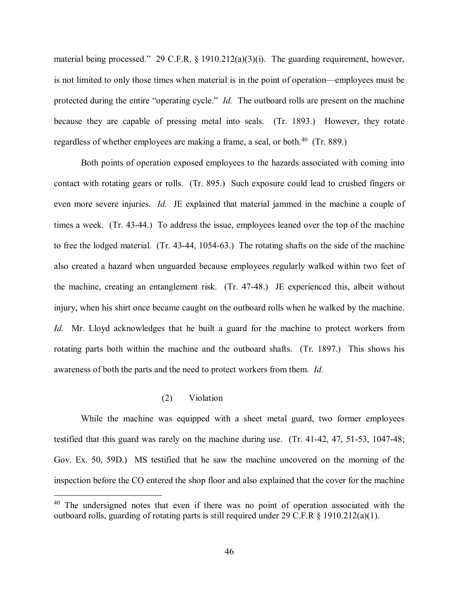material being processed." 29 C.F.R. § 1910.212(a)(3)(i). The guarding requirement, however, is not limited to only those times when material is in the point of operation—employees must be protected during the entire "operating cycle." *Id.* The outboard rolls are present on the machine because they are capable of pressing metal into seals. (Tr. 1893.) However, they rotate regardless of whether employees are making a frame, a seal, or both.<sup>[40](#page-45-0)</sup> (Tr. 889.)

Both points of operation exposed employees to the hazards associated with coming into contact with rotating gears or rolls. (Tr. 895.) Such exposure could lead to crushed fingers or even more severe injuries. *Id.* JE explained that material jammed in the machine a couple of times a week. (Tr. 43-44.) To address the issue, employees leaned over the top of the machine to free the lodged material. (Tr. 43-44, 1054-63.) The rotating shafts on the side of the machine also created a hazard when unguarded because employees regularly walked within two feet of the machine, creating an entanglement risk. (Tr. 47-48.) JE experienced this, albeit without injury, when his shirt once became caught on the outboard rolls when he walked by the machine. *Id.* Mr. Lloyd acknowledges that he built a guard for the machine to protect workers from rotating parts both within the machine and the outboard shafts. (Tr. 1897.) This shows his awareness of both the parts and the need to protect workers from them. *Id.* 

# (2) Violation

 $\overline{a}$ 

While the machine was equipped with a sheet metal guard, two former employees testified that this guard was rarely on the machine during use. (Tr. 41-42, 47, 51-53, 1047-48; Gov. Ex. 50, 59D.) MS testified that he saw the machine uncovered on the morning of the inspection before the CO entered the shop floor and also explained that the cover for the machine

<span id="page-45-0"></span> $40$  The undersigned notes that even if there was no point of operation associated with the outboard rolls, guarding of rotating parts is still required under 29 C.F.R § 1910.212(a)(1).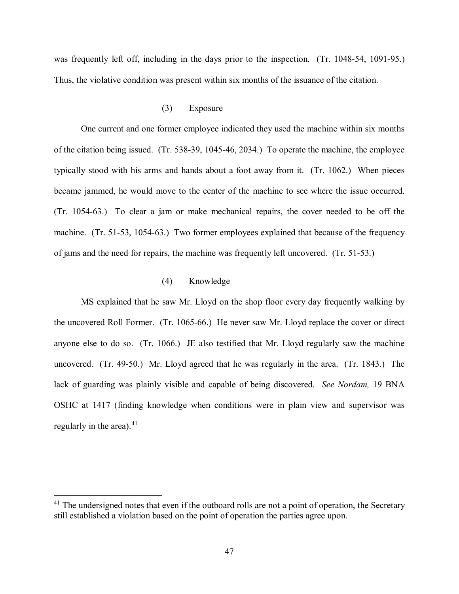was frequently left off, including in the days prior to the inspection. (Tr. 1048-54, 1091-95.) Thus, the violative condition was present within six months of the issuance of the citation.

# (3) Exposure

One current and one former employee indicated they used the machine within six months of the citation being issued. (Tr. 538-39, 1045-46, 2034.) To operate the machine, the employee typically stood with his arms and hands about a foot away from it. (Tr. 1062.) When pieces became jammed, he would move to the center of the machine to see where the issue occurred. (Tr. 1054-63.) To clear a jam or make mechanical repairs, the cover needed to be off the machine. (Tr. 51-53, 1054-63.) Two former employees explained that because of the frequency of jams and the need for repairs, the machine was frequently left uncovered. (Tr. 51-53.)

# (4) Knowledge

MS explained that he saw Mr. Lloyd on the shop floor every day frequently walking by the uncovered Roll Former. (Tr. 1065-66.) He never saw Mr. Lloyd replace the cover or direct anyone else to do so. (Tr. 1066.) JE also testified that Mr. Lloyd regularly saw the machine uncovered. (Tr. 49-50.) Mr. Lloyd agreed that he was regularly in the area. (Tr. 1843.) The lack of guarding was plainly visible and capable of being discovered. *See Nordam,* 19 BNA OSHC at 1417 (finding knowledge when conditions were in plain view and supervisor was regularly in the area). $41$ 

<span id="page-46-0"></span> $41$  The undersigned notes that even if the outboard rolls are not a point of operation, the Secretary still established a violation based on the point of operation the parties agree upon.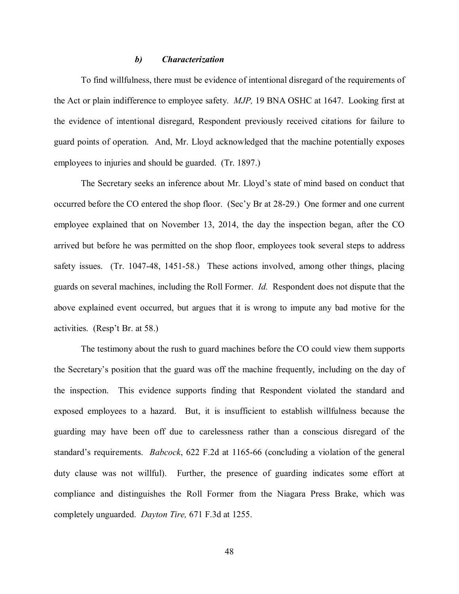## *b) Characterization*

To find willfulness, there must be evidence of intentional disregard of the requirements of the Act or plain indifference to employee safety. *MJP,* 19 BNA OSHC at 1647. Looking first at the evidence of intentional disregard, Respondent previously received citations for failure to guard points of operation. And, Mr. Lloyd acknowledged that the machine potentially exposes employees to injuries and should be guarded. (Tr. 1897.)

The Secretary seeks an inference about Mr. Lloyd's state of mind based on conduct that occurred before the CO entered the shop floor. (Sec'y Br at 28-29.) One former and one current employee explained that on November 13, 2014, the day the inspection began, after the CO arrived but before he was permitted on the shop floor, employees took several steps to address safety issues. (Tr. 1047-48, 1451-58.) These actions involved, among other things, placing guards on several machines, including the Roll Former. *Id.* Respondent does not dispute that the above explained event occurred, but argues that it is wrong to impute any bad motive for the activities. (Resp't Br. at 58.)

The testimony about the rush to guard machines before the CO could view them supports the Secretary's position that the guard was off the machine frequently, including on the day of the inspection. This evidence supports finding that Respondent violated the standard and exposed employees to a hazard. But, it is insufficient to establish willfulness because the guarding may have been off due to carelessness rather than a conscious disregard of the standard's requirements. *Babcock*, 622 F.2d at 1165-66 (concluding a violation of the general duty clause was not willful). Further, the presence of guarding indicates some effort at compliance and distinguishes the Roll Former from the Niagara Press Brake, which was completely unguarded. *Dayton Tire,* 671 F.3d at 1255.

48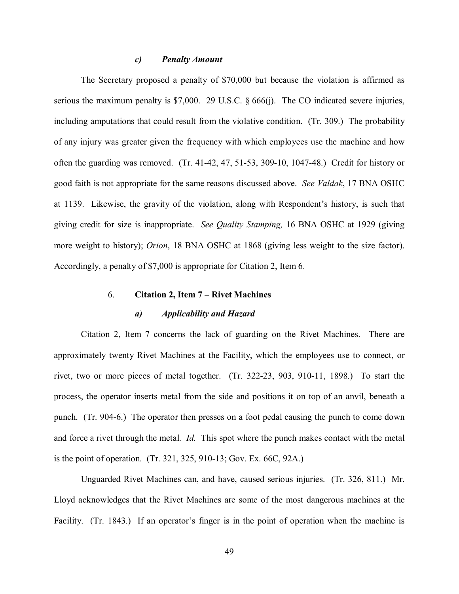## *c) Penalty Amount*

The Secretary proposed a penalty of \$70,000 but because the violation is affirmed as serious the maximum penalty is \$7,000. 29 U.S.C. § 666(j). The CO indicated severe injuries, including amputations that could result from the violative condition. (Tr. 309.) The probability of any injury was greater given the frequency with which employees use the machine and how often the guarding was removed. (Tr. 41-42, 47, 51-53, 309-10, 1047-48.) Credit for history or good faith is not appropriate for the same reasons discussed above. *See Valdak*, 17 BNA OSHC at 1139. Likewise, the gravity of the violation, along with Respondent's history, is such that giving credit for size is inappropriate. *See Quality Stamping,* 16 BNA OSHC at 1929 (giving more weight to history); *Orion*, 18 BNA OSHC at 1868 (giving less weight to the size factor). Accordingly, a penalty of \$7,000 is appropriate for Citation 2, Item 6.

# 6. **Citation 2, Item 7 – Rivet Machines**

# *a) Applicability and Hazard*

Citation 2, Item 7 concerns the lack of guarding on the Rivet Machines. There are approximately twenty Rivet Machines at the Facility, which the employees use to connect, or rivet, two or more pieces of metal together. (Tr. 322-23, 903, 910-11, 1898.) To start the process, the operator inserts metal from the side and positions it on top of an anvil, beneath a punch. (Tr. 904-6.) The operator then presses on a foot pedal causing the punch to come down and force a rivet through the metal. *Id.* This spot where the punch makes contact with the metal is the point of operation. (Tr. 321, 325, 910-13; Gov. Ex. 66C, 92A.)

Unguarded Rivet Machines can, and have, caused serious injuries. (Tr. 326, 811.) Mr. Lloyd acknowledges that the Rivet Machines are some of the most dangerous machines at the Facility. (Tr. 1843.) If an operator's finger is in the point of operation when the machine is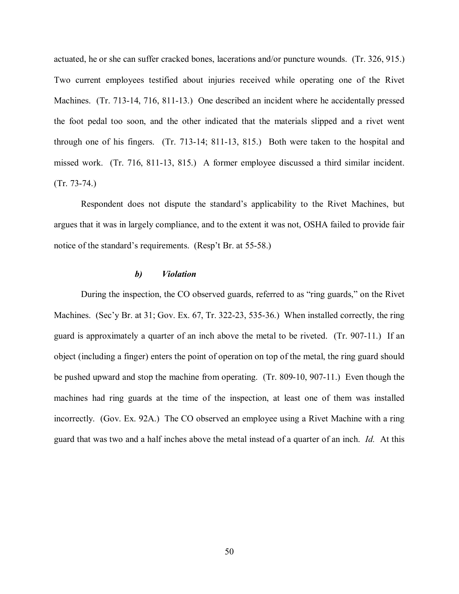actuated, he or she can suffer cracked bones, lacerations and/or puncture wounds. (Tr. 326, 915.) Two current employees testified about injuries received while operating one of the Rivet Machines. (Tr. 713-14, 716, 811-13.) One described an incident where he accidentally pressed the foot pedal too soon, and the other indicated that the materials slipped and a rivet went through one of his fingers. (Tr. 713-14; 811-13, 815.) Both were taken to the hospital and missed work. (Tr. 716, 811-13, 815.) A former employee discussed a third similar incident. (Tr. 73-74.)

Respondent does not dispute the standard's applicability to the Rivet Machines, but argues that it was in largely compliance, and to the extent it was not, OSHA failed to provide fair notice of the standard's requirements. (Resp't Br. at 55-58.)

# *b) Violation*

During the inspection, the CO observed guards, referred to as "ring guards," on the Rivet Machines. (Sec'y Br. at 31; Gov. Ex. 67, Tr. 322-23, 535-36.) When installed correctly, the ring guard is approximately a quarter of an inch above the metal to be riveted. (Tr. 907-11.) If an object (including a finger) enters the point of operation on top of the metal, the ring guard should be pushed upward and stop the machine from operating. (Tr. 809-10, 907-11.) Even though the machines had ring guards at the time of the inspection, at least one of them was installed incorrectly. (Gov. Ex. 92A.) The CO observed an employee using a Rivet Machine with a ring guard that was two and a half inches above the metal instead of a quarter of an inch. *Id.* At this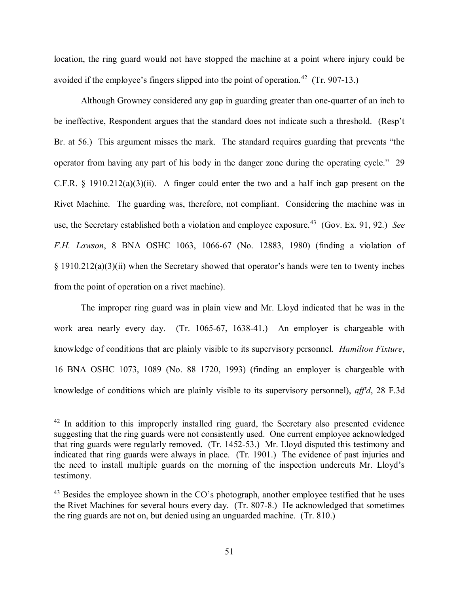location, the ring guard would not have stopped the machine at a point where injury could be avoided if the employee's fingers slipped into the point of operation.<sup>[42](#page-50-0)</sup> (Tr. 907-13.)

Although Growney considered any gap in guarding greater than one-quarter of an inch to be ineffective, Respondent argues that the standard does not indicate such a threshold. (Resp't Br. at 56.) This argument misses the mark. The standard requires guarding that prevents "the operator from having any part of his body in the danger zone during the operating cycle." 29 C.F.R.  $\S$  1910.212(a)(3)(ii). A finger could enter the two and a half inch gap present on the Rivet Machine. The guarding was, therefore, not compliant. Considering the machine was in use, the Secretary established both a violation and employee exposure.<sup>[43](#page-50-1)</sup> (Gov. Ex. 91, 92.) *See F.H. Lawson*, 8 BNA OSHC 1063, 1066-67 (No. 12883, 1980) (finding a violation of § 1910.212(a)(3)(ii) when the Secretary showed that operator's hands were ten to twenty inches from the point of operation on a rivet machine).

The improper ring guard was in plain view and Mr. Lloyd indicated that he was in the work area nearly every day. (Tr. 1065-67, 1638-41.) An employer is chargeable with knowledge of conditions that are plainly visible to its supervisory personnel. *Hamilton Fixture*, 16 BNA OSHC 1073, 1089 (No. 88–1720, 1993) (finding an employer is chargeable with knowledge of conditions which are plainly visible to its supervisory personnel), *aff'd*, 28 F.3d

<span id="page-50-0"></span> $42$  In addition to this improperly installed ring guard, the Secretary also presented evidence suggesting that the ring guards were not consistently used. One current employee acknowledged that ring guards were regularly removed. (Tr. 1452-53.) Mr. Lloyd disputed this testimony and indicated that ring guards were always in place. (Tr. 1901.) The evidence of past injuries and the need to install multiple guards on the morning of the inspection undercuts Mr. Lloyd's testimony.

<span id="page-50-1"></span> $43$  Besides the employee shown in the CO's photograph, another employee testified that he uses the Rivet Machines for several hours every day. (Tr. 807-8.) He acknowledged that sometimes the ring guards are not on, but denied using an unguarded machine. (Tr. 810.)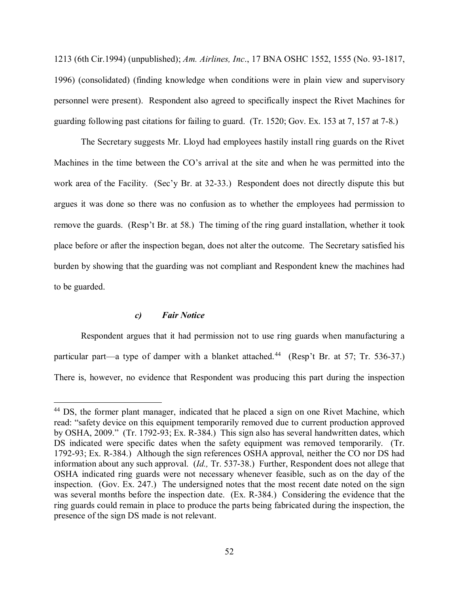1213 (6th Cir.1994) (unpublished); *Am. Airlines, Inc*., 17 BNA OSHC 1552, 1555 (No. 93-1817, 1996) (consolidated) (finding knowledge when conditions were in plain view and supervisory personnel were present). Respondent also agreed to specifically inspect the Rivet Machines for guarding following past citations for failing to guard. (Tr. 1520; Gov. Ex. 153 at 7, 157 at 7-8.)

The Secretary suggests Mr. Lloyd had employees hastily install ring guards on the Rivet Machines in the time between the CO's arrival at the site and when he was permitted into the work area of the Facility. (Sec'y Br. at 32-33.) Respondent does not directly dispute this but argues it was done so there was no confusion as to whether the employees had permission to remove the guards. (Resp't Br. at 58.) The timing of the ring guard installation, whether it took place before or after the inspection began, does not alter the outcome. The Secretary satisfied his burden by showing that the guarding was not compliant and Respondent knew the machines had to be guarded.

# *c) Fair Notice*

 $\overline{a}$ 

Respondent argues that it had permission not to use ring guards when manufacturing a particular part—a type of damper with a blanket attached.<sup>44</sup> (Resp't Br. at 57; Tr. 536-37.) There is, however, no evidence that Respondent was producing this part during the inspection

<span id="page-51-0"></span><sup>&</sup>lt;sup>44</sup> DS, the former plant manager, indicated that he placed a sign on one Rivet Machine, which read: "safety device on this equipment temporarily removed due to current production approved by OSHA, 2009." (Tr. 1792-93; Ex. R-384.) This sign also has several handwritten dates, which DS indicated were specific dates when the safety equipment was removed temporarily. (Tr. 1792-93; Ex. R-384.) Although the sign references OSHA approval, neither the CO nor DS had information about any such approval. (*Id.,* Tr. 537-38.) Further, Respondent does not allege that OSHA indicated ring guards were not necessary whenever feasible, such as on the day of the inspection. (Gov. Ex. 247.) The undersigned notes that the most recent date noted on the sign was several months before the inspection date. (Ex. R-384.) Considering the evidence that the ring guards could remain in place to produce the parts being fabricated during the inspection, the presence of the sign DS made is not relevant.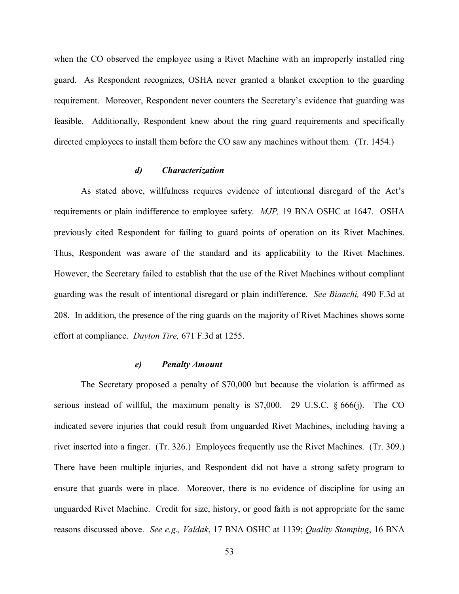when the CO observed the employee using a Rivet Machine with an improperly installed ring guard. As Respondent recognizes, OSHA never granted a blanket exception to the guarding requirement. Moreover, Respondent never counters the Secretary's evidence that guarding was feasible. Additionally, Respondent knew about the ring guard requirements and specifically directed employees to install them before the CO saw any machines without them. (Tr. 1454.)

## *d) Characterization*

As stated above, willfulness requires evidence of intentional disregard of the Act's requirements or plain indifference to employee safety. *MJP,* 19 BNA OSHC at 1647. OSHA previously cited Respondent for failing to guard points of operation on its Rivet Machines. Thus, Respondent was aware of the standard and its applicability to the Rivet Machines. However, the Secretary failed to establish that the use of the Rivet Machines without compliant guarding was the result of intentional disregard or plain indifference. *See Bianchi,* 490 F.3d at 208. In addition, the presence of the ring guards on the majority of Rivet Machines shows some effort at compliance. *Dayton Tire,* 671 F.3d at 1255.

#### *e) Penalty Amount*

The Secretary proposed a penalty of \$70,000 but because the violation is affirmed as serious instead of willful, the maximum penalty is  $$7,000$ . 29 U.S.C.  $§ 666(i)$ . The CO indicated severe injuries that could result from unguarded Rivet Machines, including having a rivet inserted into a finger. (Tr. 326.) Employees frequently use the Rivet Machines. (Tr. 309.) There have been multiple injuries, and Respondent did not have a strong safety program to ensure that guards were in place. Moreover, there is no evidence of discipline for using an unguarded Rivet Machine. Credit for size, history, or good faith is not appropriate for the same reasons discussed above. *See e.g., Valdak*, 17 BNA OSHC at 1139; *Quality Stamping*, 16 BNA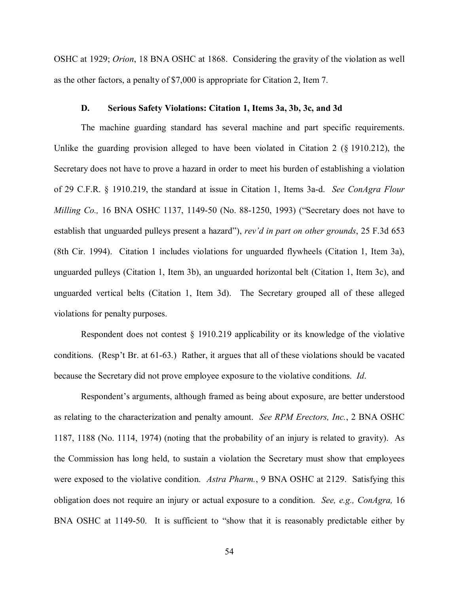OSHC at 1929; *Orion*, 18 BNA OSHC at 1868. Considering the gravity of the violation as well as the other factors, a penalty of \$7,000 is appropriate for Citation 2, Item 7.

# **D. Serious Safety Violations: Citation 1, Items 3a, 3b, 3c, and 3d**

The machine guarding standard has several machine and part specific requirements. Unlike the guarding provision alleged to have been violated in Citation 2 (§ 1910.212), the Secretary does not have to prove a hazard in order to meet his burden of establishing a violation of 29 C.F.R. § 1910.219, the standard at issue in Citation 1, Items 3a-d. *See ConAgra Flour Milling Co.,* 16 BNA OSHC 1137, 1149-50 (No. 88-1250, 1993) ("Secretary does not have to establish that unguarded pulleys present a hazard"), *rev'd in part on other grounds*, 25 F.3d 653 (8th Cir. 1994). Citation 1 includes violations for unguarded flywheels (Citation 1, Item 3a), unguarded pulleys (Citation 1, Item 3b), an unguarded horizontal belt (Citation 1, Item 3c), and unguarded vertical belts (Citation 1, Item 3d). The Secretary grouped all of these alleged violations for penalty purposes.

Respondent does not contest § 1910.219 applicability or its knowledge of the violative conditions. (Resp't Br. at 61-63.) Rather, it argues that all of these violations should be vacated because the Secretary did not prove employee exposure to the violative conditions. *Id*.

Respondent's arguments, although framed as being about exposure, are better understood as relating to the characterization and penalty amount. *See RPM Erectors, Inc.*, 2 BNA OSHC 1187, 1188 (No. 1114, 1974) (noting that the probability of an injury is related to gravity). As the Commission has long held, to sustain a violation the Secretary must show that employees were exposed to the violative condition. *Astra Pharm.*, 9 BNA OSHC at 2129. Satisfying this obligation does not require an injury or actual exposure to a condition. *See, e.g., ConAgra,* 16 BNA OSHC at 1149-50. It is sufficient to "show that it is reasonably predictable either by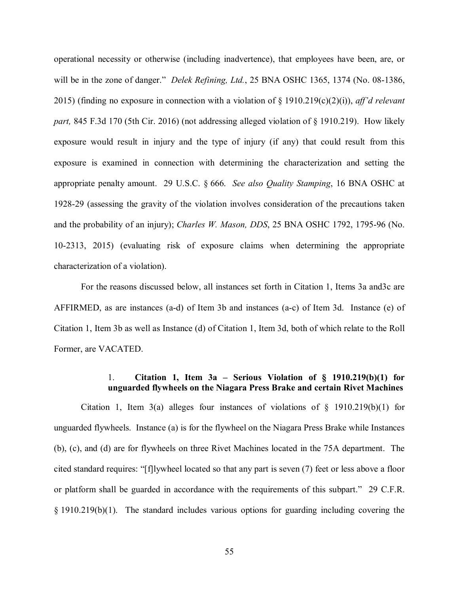operational necessity or otherwise (including inadvertence), that employees have been, are, or will be in the zone of danger." *Delek Refining, Ltd.*, 25 BNA OSHC 1365, 1374 (No. 08-1386, 2015) (finding no exposure in connection with a violation of § 1910.219(c)(2)(i)), *aff'd relevant part,* 845 F.3d 170 (5th Cir. 2016) (not addressing alleged violation of § 1910.219). How likely exposure would result in injury and the type of injury (if any) that could result from this exposure is examined in connection with determining the characterization and setting the appropriate penalty amount. 29 U.S.C. § 666. *See also Quality Stamping*, 16 BNA OSHC at 1928-29 (assessing the gravity of the violation involves consideration of the precautions taken and the probability of an injury); *Charles W. Mason, DDS*, 25 BNA OSHC 1792, 1795-96 (No. 10-2313, 2015) (evaluating risk of exposure claims when determining the appropriate characterization of a violation).

For the reasons discussed below, all instances set forth in Citation 1, Items 3a and3c are AFFIRMED, as are instances (a-d) of Item 3b and instances (a-c) of Item 3d. Instance (e) of Citation 1, Item 3b as well as Instance (d) of Citation 1, Item 3d, both of which relate to the Roll Former, are VACATED.

# 1. **Citation 1, Item 3a – Serious Violation of § 1910.219(b)(1) for unguarded flywheels on the Niagara Press Brake and certain Rivet Machines**

Citation 1, Item 3(a) alleges four instances of violations of  $\S$  1910.219(b)(1) for unguarded flywheels. Instance (a) is for the flywheel on the Niagara Press Brake while Instances (b), (c), and (d) are for flywheels on three Rivet Machines located in the 75A department. The cited standard requires: "[f]lywheel located so that any part is seven (7) feet or less above a floor or platform shall be guarded in accordance with the requirements of this subpart." 29 C.F.R. § 1910.219(b)(1). The standard includes various options for guarding including covering the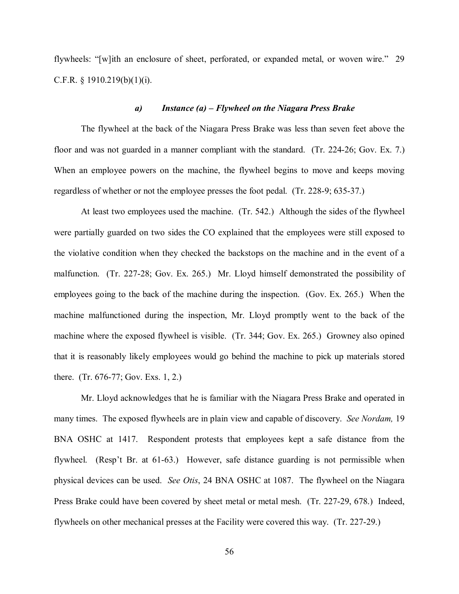flywheels: "[w]ith an enclosure of sheet, perforated, or expanded metal, or woven wire." 29 C.F.R.  $\S$  1910.219(b)(1)(i).

#### *a) Instance (a) – Flywheel on the Niagara Press Brake*

The flywheel at the back of the Niagara Press Brake was less than seven feet above the floor and was not guarded in a manner compliant with the standard. (Tr. 224-26; Gov. Ex. 7.) When an employee powers on the machine, the flywheel begins to move and keeps moving regardless of whether or not the employee presses the foot pedal. (Tr. 228-9; 635-37.)

At least two employees used the machine. (Tr. 542.) Although the sides of the flywheel were partially guarded on two sides the CO explained that the employees were still exposed to the violative condition when they checked the backstops on the machine and in the event of a malfunction. (Tr. 227-28; Gov. Ex. 265.) Mr. Lloyd himself demonstrated the possibility of employees going to the back of the machine during the inspection. (Gov. Ex. 265.) When the machine malfunctioned during the inspection, Mr. Lloyd promptly went to the back of the machine where the exposed flywheel is visible. (Tr. 344; Gov. Ex. 265.) Growney also opined that it is reasonably likely employees would go behind the machine to pick up materials stored there. (Tr. 676-77; Gov. Exs. 1, 2.)

Mr. Lloyd acknowledges that he is familiar with the Niagara Press Brake and operated in many times. The exposed flywheels are in plain view and capable of discovery. *See Nordam,* 19 BNA OSHC at 1417. Respondent protests that employees kept a safe distance from the flywheel. (Resp't Br. at 61-63.) However, safe distance guarding is not permissible when physical devices can be used. *See Otis*, 24 BNA OSHC at 1087. The flywheel on the Niagara Press Brake could have been covered by sheet metal or metal mesh. (Tr. 227-29, 678.) Indeed, flywheels on other mechanical presses at the Facility were covered this way. (Tr. 227-29.)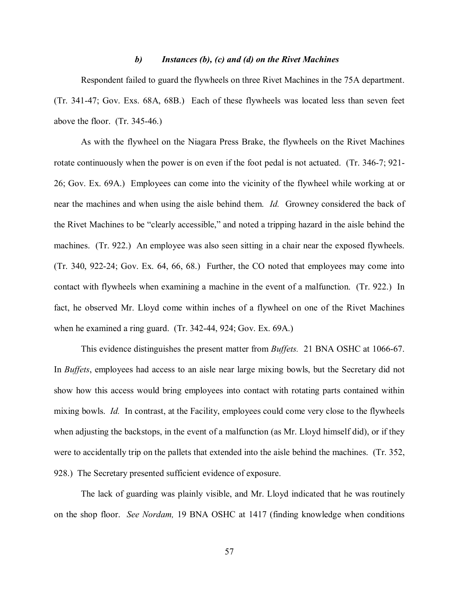### *b) Instances (b), (c) and (d) on the Rivet Machines*

Respondent failed to guard the flywheels on three Rivet Machines in the 75A department. (Tr. 341-47; Gov. Exs. 68A, 68B.) Each of these flywheels was located less than seven feet above the floor. (Tr. 345-46.)

As with the flywheel on the Niagara Press Brake, the flywheels on the Rivet Machines rotate continuously when the power is on even if the foot pedal is not actuated. (Tr. 346-7; 921- 26; Gov. Ex. 69A.) Employees can come into the vicinity of the flywheel while working at or near the machines and when using the aisle behind them. *Id.* Growney considered the back of the Rivet Machines to be "clearly accessible," and noted a tripping hazard in the aisle behind the machines. (Tr. 922.) An employee was also seen sitting in a chair near the exposed flywheels. (Tr. 340, 922-24; Gov. Ex. 64, 66, 68.) Further, the CO noted that employees may come into contact with flywheels when examining a machine in the event of a malfunction. (Tr. 922.) In fact, he observed Mr. Lloyd come within inches of a flywheel on one of the Rivet Machines when he examined a ring guard. (Tr. 342-44, 924; Gov. Ex. 69A.)

This evidence distinguishes the present matter from *Buffets.* 21 BNA OSHC at 1066-67. In *Buffets*, employees had access to an aisle near large mixing bowls, but the Secretary did not show how this access would bring employees into contact with rotating parts contained within mixing bowls. *Id.* In contrast, at the Facility, employees could come very close to the flywheels when adjusting the backstops, in the event of a malfunction (as Mr. Lloyd himself did), or if they were to accidentally trip on the pallets that extended into the aisle behind the machines. (Tr. 352, 928.) The Secretary presented sufficient evidence of exposure.

The lack of guarding was plainly visible, and Mr. Lloyd indicated that he was routinely on the shop floor. *See Nordam,* 19 BNA OSHC at 1417 (finding knowledge when conditions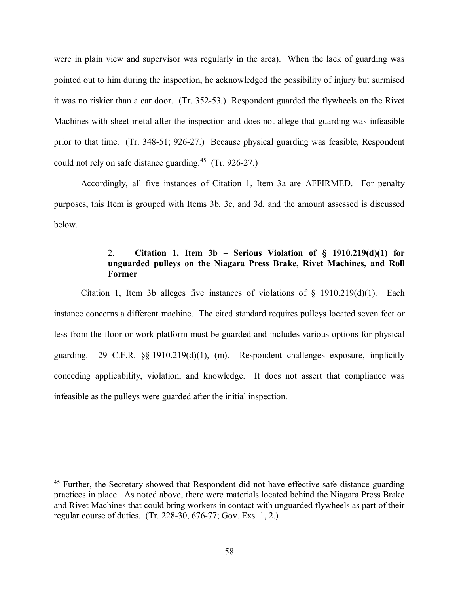were in plain view and supervisor was regularly in the area). When the lack of guarding was pointed out to him during the inspection, he acknowledged the possibility of injury but surmised it was no riskier than a car door. (Tr. 352-53.) Respondent guarded the flywheels on the Rivet Machines with sheet metal after the inspection and does not allege that guarding was infeasible prior to that time. (Tr. 348-51; 926-27.) Because physical guarding was feasible, Respondent could not rely on safe distance guarding.<sup>45</sup> (Tr. 926-27.)

Accordingly, all five instances of Citation 1, Item 3a are AFFIRMED. For penalty purposes, this Item is grouped with Items 3b, 3c, and 3d, and the amount assessed is discussed below.

# 2. **Citation 1, Item 3b – Serious Violation of § 1910.219(d)(1) for unguarded pulleys on the Niagara Press Brake, Rivet Machines, and Roll Former**

Citation 1, Item 3b alleges five instances of violations of  $\S$  1910.219(d)(1). Each instance concerns a different machine. The cited standard requires pulleys located seven feet or less from the floor or work platform must be guarded and includes various options for physical guarding. 29 C.F.R.  $\&$  1910.219(d)(1), (m). Respondent challenges exposure, implicitly conceding applicability, violation, and knowledge. It does not assert that compliance was infeasible as the pulleys were guarded after the initial inspection.

<span id="page-57-0"></span><sup>&</sup>lt;sup>45</sup> Further, the Secretary showed that Respondent did not have effective safe distance guarding practices in place. As noted above, there were materials located behind the Niagara Press Brake and Rivet Machines that could bring workers in contact with unguarded flywheels as part of their regular course of duties. (Tr. 228-30, 676-77; Gov. Exs. 1, 2.)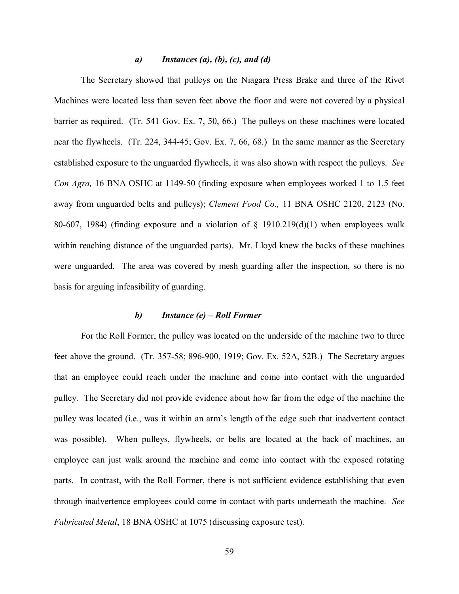# *a) Instances (a), (b), (c), and (d)*

The Secretary showed that pulleys on the Niagara Press Brake and three of the Rivet Machines were located less than seven feet above the floor and were not covered by a physical barrier as required. (Tr. 541 Gov. Ex. 7, 50, 66.) The pulleys on these machines were located near the flywheels. (Tr. 224, 344-45; Gov. Ex. 7, 66, 68.) In the same manner as the Secretary established exposure to the unguarded flywheels, it was also shown with respect the pulleys. *See Con Agra,* 16 BNA OSHC at 1149-50 (finding exposure when employees worked 1 to 1.5 feet away from unguarded belts and pulleys); *Clement Food Co.,* 11 BNA OSHC 2120, 2123 (No. 80-607, 1984) (finding exposure and a violation of  $\S$  1910.219(d)(1) when employees walk within reaching distance of the unguarded parts). Mr. Lloyd knew the backs of these machines were unguarded. The area was covered by mesh guarding after the inspection, so there is no basis for arguing infeasibility of guarding.

## *b) Instance (e) – Roll Former*

For the Roll Former, the pulley was located on the underside of the machine two to three feet above the ground. (Tr. 357-58; 896-900, 1919; Gov. Ex. 52A, 52B.) The Secretary argues that an employee could reach under the machine and come into contact with the unguarded pulley. The Secretary did not provide evidence about how far from the edge of the machine the pulley was located (i.e., was it within an arm's length of the edge such that inadvertent contact was possible). When pulleys, flywheels, or belts are located at the back of machines, an employee can just walk around the machine and come into contact with the exposed rotating parts. In contrast, with the Roll Former, there is not sufficient evidence establishing that even through inadvertence employees could come in contact with parts underneath the machine. *See Fabricated Metal*, 18 BNA OSHC at 1075 (discussing exposure test).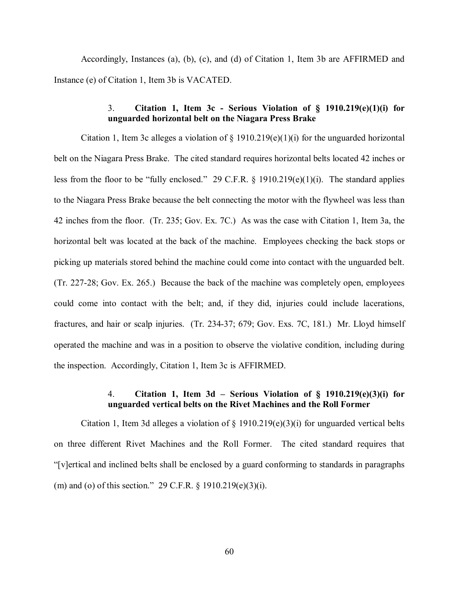Accordingly, Instances (a), (b), (c), and (d) of Citation 1, Item 3b are AFFIRMED and Instance (e) of Citation 1, Item 3b is VACATED.

# 3. **Citation 1, Item 3c - Serious Violation of § 1910.219(e)(1)(i) for unguarded horizontal belt on the Niagara Press Brake**

Citation 1, Item 3c alleges a violation of  $\S$  1910.219(e)(1)(i) for the unguarded horizontal belt on the Niagara Press Brake. The cited standard requires horizontal belts located 42 inches or less from the floor to be "fully enclosed." 29 C.F.R. § 1910.219(e)(1)(i). The standard applies to the Niagara Press Brake because the belt connecting the motor with the flywheel was less than 42 inches from the floor. (Tr. 235; Gov. Ex. 7C.) As was the case with Citation 1, Item 3a, the horizontal belt was located at the back of the machine. Employees checking the back stops or picking up materials stored behind the machine could come into contact with the unguarded belt. (Tr. 227-28; Gov. Ex. 265.) Because the back of the machine was completely open, employees could come into contact with the belt; and, if they did, injuries could include lacerations, fractures, and hair or scalp injuries. (Tr. 234-37; 679; Gov. Exs. 7C, 181.) Mr. Lloyd himself operated the machine and was in a position to observe the violative condition, including during the inspection. Accordingly, Citation 1, Item 3c is AFFIRMED.

# 4. **Citation 1, Item 3d – Serious Violation of § 1910.219(e)(3)(i) for unguarded vertical belts on the Rivet Machines and the Roll Former**

Citation 1, Item 3d alleges a violation of  $\S$  1910.219(e)(3)(i) for unguarded vertical belts on three different Rivet Machines and the Roll Former. The cited standard requires that "[v]ertical and inclined belts shall be enclosed by a guard conforming to standards in paragraphs (m) and (o) of this section." 29 C.F.R. § 1910.219(e)(3)(i).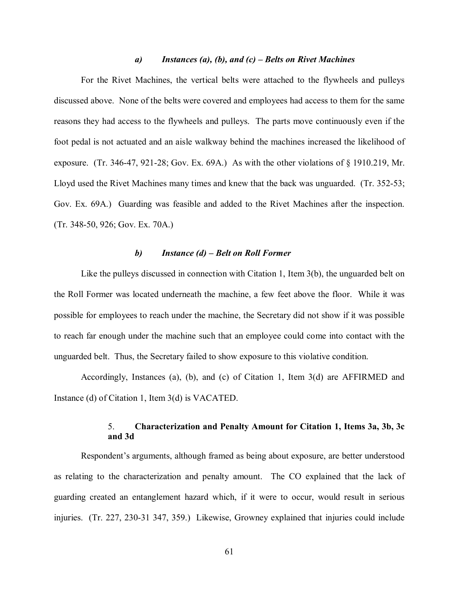## *a) Instances (a), (b), and (c) – Belts on Rivet Machines*

For the Rivet Machines, the vertical belts were attached to the flywheels and pulleys discussed above. None of the belts were covered and employees had access to them for the same reasons they had access to the flywheels and pulleys. The parts move continuously even if the foot pedal is not actuated and an aisle walkway behind the machines increased the likelihood of exposure. (Tr. 346-47, 921-28; Gov. Ex. 69A.) As with the other violations of § 1910.219, Mr. Lloyd used the Rivet Machines many times and knew that the back was unguarded. (Tr. 352-53; Gov. Ex. 69A.) Guarding was feasible and added to the Rivet Machines after the inspection. (Tr. 348-50, 926; Gov. Ex. 70A.)

### *b) Instance (d) – Belt on Roll Former*

Like the pulleys discussed in connection with Citation 1, Item 3(b), the unguarded belt on the Roll Former was located underneath the machine, a few feet above the floor. While it was possible for employees to reach under the machine, the Secretary did not show if it was possible to reach far enough under the machine such that an employee could come into contact with the unguarded belt. Thus, the Secretary failed to show exposure to this violative condition.

Accordingly, Instances (a), (b), and (c) of Citation 1, Item 3(d) are AFFIRMED and Instance (d) of Citation 1, Item 3(d) is VACATED.

# 5. **Characterization and Penalty Amount for Citation 1, Items 3a, 3b, 3c and 3d**

Respondent's arguments, although framed as being about exposure, are better understood as relating to the characterization and penalty amount. The CO explained that the lack of guarding created an entanglement hazard which, if it were to occur, would result in serious injuries. (Tr. 227, 230-31 347, 359.) Likewise, Growney explained that injuries could include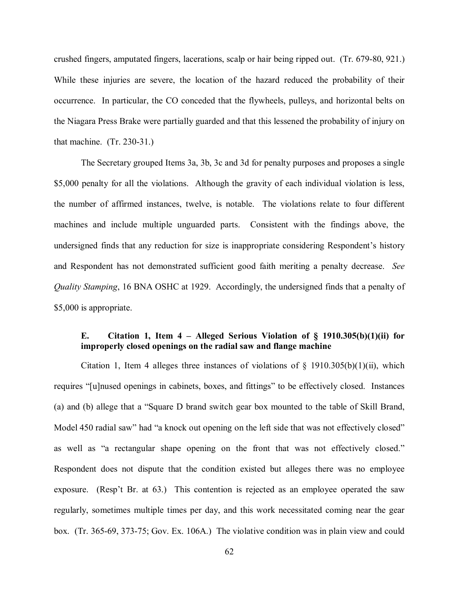crushed fingers, amputated fingers, lacerations, scalp or hair being ripped out. (Tr. 679-80, 921.) While these injuries are severe, the location of the hazard reduced the probability of their occurrence. In particular, the CO conceded that the flywheels, pulleys, and horizontal belts on the Niagara Press Brake were partially guarded and that this lessened the probability of injury on that machine. (Tr. 230-31.)

The Secretary grouped Items 3a, 3b, 3c and 3d for penalty purposes and proposes a single \$5,000 penalty for all the violations. Although the gravity of each individual violation is less, the number of affirmed instances, twelve, is notable. The violations relate to four different machines and include multiple unguarded parts. Consistent with the findings above, the undersigned finds that any reduction for size is inappropriate considering Respondent's history and Respondent has not demonstrated sufficient good faith meriting a penalty decrease. *See Quality Stamping*, 16 BNA OSHC at 1929. Accordingly, the undersigned finds that a penalty of \$5,000 is appropriate.

# **E. Citation 1, Item 4 – Alleged Serious Violation of § 1910.305(b)(1)(ii) for improperly closed openings on the radial saw and flange machine**

Citation 1, Item 4 alleges three instances of violations of  $\S$  1910.305(b)(1)(ii), which requires "[u]nused openings in cabinets, boxes, and fittings" to be effectively closed. Instances (a) and (b) allege that a "Square D brand switch gear box mounted to the table of Skill Brand, Model 450 radial saw" had "a knock out opening on the left side that was not effectively closed" as well as "a rectangular shape opening on the front that was not effectively closed." Respondent does not dispute that the condition existed but alleges there was no employee exposure. (Resp't Br. at 63.) This contention is rejected as an employee operated the saw regularly, sometimes multiple times per day, and this work necessitated coming near the gear box. (Tr. 365-69, 373-75; Gov. Ex. 106A.) The violative condition was in plain view and could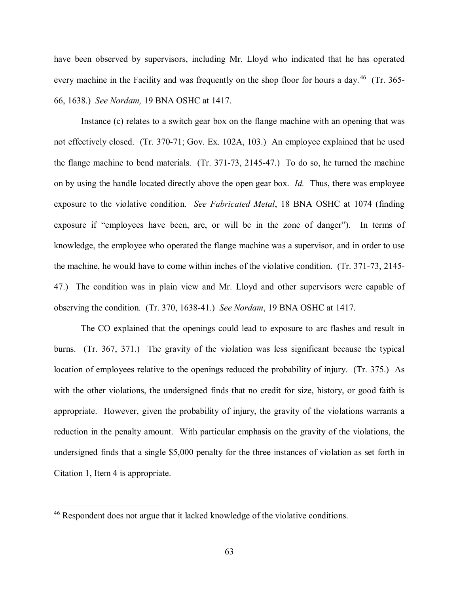have been observed by supervisors, including Mr. Lloyd who indicated that he has operated every machine in the Facility and was frequently on the shop floor for hours a day.<sup>46</sup> (Tr. 365-66, 1638.) *See Nordam,* 19 BNA OSHC at 1417.

Instance (c) relates to a switch gear box on the flange machine with an opening that was not effectively closed. (Tr. 370-71; Gov. Ex. 102A, 103.) An employee explained that he used the flange machine to bend materials. (Tr. 371-73, 2145-47.) To do so, he turned the machine on by using the handle located directly above the open gear box. *Id.* Thus, there was employee exposure to the violative condition. *See Fabricated Metal*, 18 BNA OSHC at 1074 (finding exposure if "employees have been, are, or will be in the zone of danger"). In terms of knowledge, the employee who operated the flange machine was a supervisor, and in order to use the machine, he would have to come within inches of the violative condition. (Tr. 371-73, 2145- 47.) The condition was in plain view and Mr. Lloyd and other supervisors were capable of observing the condition. (Tr. 370, 1638-41.) *See Nordam*, 19 BNA OSHC at 1417.

The CO explained that the openings could lead to exposure to arc flashes and result in burns. (Tr. 367, 371.) The gravity of the violation was less significant because the typical location of employees relative to the openings reduced the probability of injury. (Tr. 375.) As with the other violations, the undersigned finds that no credit for size, history, or good faith is appropriate. However, given the probability of injury, the gravity of the violations warrants a reduction in the penalty amount. With particular emphasis on the gravity of the violations, the undersigned finds that a single \$5,000 penalty for the three instances of violation as set forth in Citation 1, Item 4 is appropriate.

<span id="page-62-0"></span><sup>&</sup>lt;sup>46</sup> Respondent does not argue that it lacked knowledge of the violative conditions.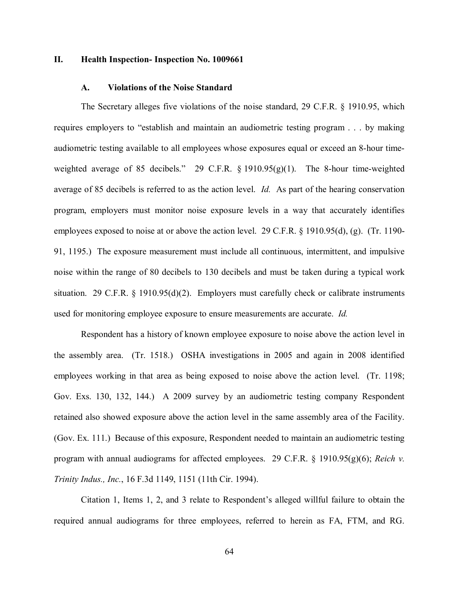#### **II. Health Inspection- Inspection No. 1009661**

#### **A. Violations of the Noise Standard**

The Secretary alleges five violations of the noise standard, 29 C.F.R. § 1910.95, which requires employers to "establish and maintain an audiometric testing program . . . by making audiometric testing available to all employees whose exposures equal or exceed an 8-hour timeweighted average of 85 decibels." 29 C.F.R. § 1910.95(g)(1). The 8-hour time-weighted average of 85 decibels is referred to as the action level. *Id.* As part of the hearing conservation program, employers must monitor noise exposure levels in a way that accurately identifies employees exposed to noise at or above the action level. 29 C.F.R. § 1910.95(d), (g). (Tr. 1190- 91, 1195.) The exposure measurement must include all continuous, intermittent, and impulsive noise within the range of 80 decibels to 130 decibels and must be taken during a typical work situation. 29 C.F.R. § 1910.95(d)(2).Employers must carefully check or calibrate instruments used for monitoring employee exposure to ensure measurements are accurate. *Id.* 

Respondent has a history of known employee exposure to noise above the action level in the assembly area. (Tr. 1518.) OSHA investigations in 2005 and again in 2008 identified employees working in that area as being exposed to noise above the action level. (Tr. 1198; Gov. Exs. 130, 132, 144.) A 2009 survey by an audiometric testing company Respondent retained also showed exposure above the action level in the same assembly area of the Facility. (Gov. Ex. 111.) Because of this exposure, Respondent needed to maintain an audiometric testing program with annual audiograms for affected employees. 29 C.F.R. § 1910.95(g)(6); *Reich v. Trinity Indus., Inc.*, 16 F.3d 1149, 1151 (11th Cir. 1994).

Citation 1, Items 1, 2, and 3 relate to Respondent's alleged willful failure to obtain the required annual audiograms for three employees, referred to herein as FA, FTM, and RG.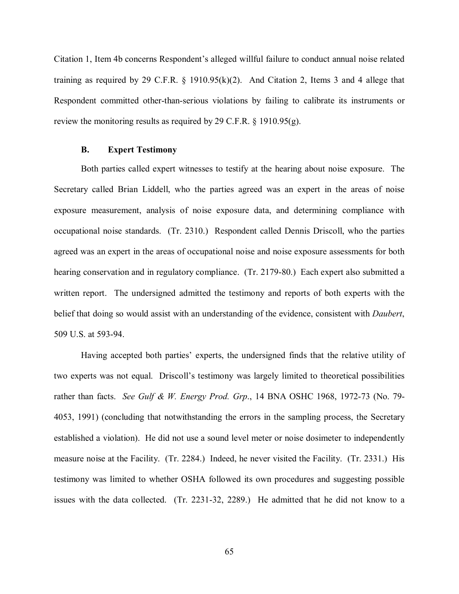Citation 1, Item 4b concerns Respondent's alleged willful failure to conduct annual noise related training as required by 29 C.F.R. § 1910.95(k)(2). And Citation 2, Items 3 and 4 allege that Respondent committed other-than-serious violations by failing to calibrate its instruments or review the monitoring results as required by 29 C.F.R.  $\S$  1910.95(g).

# **B. Expert Testimony**

Both parties called expert witnesses to testify at the hearing about noise exposure. The Secretary called Brian Liddell, who the parties agreed was an expert in the areas of noise exposure measurement, analysis of noise exposure data, and determining compliance with occupational noise standards. (Tr. 2310.) Respondent called Dennis Driscoll, who the parties agreed was an expert in the areas of occupational noise and noise exposure assessments for both hearing conservation and in regulatory compliance. (Tr. 2179-80.) Each expert also submitted a written report. The undersigned admitted the testimony and reports of both experts with the belief that doing so would assist with an understanding of the evidence, consistent with *Daubert*, 509 U.S. at 593-94.

Having accepted both parties' experts, the undersigned finds that the relative utility of two experts was not equal. Driscoll's testimony was largely limited to theoretical possibilities rather than facts. *See Gulf & W. Energy Prod. Grp*., 14 BNA OSHC 1968, 1972-73 (No. 79- 4053, 1991) (concluding that notwithstanding the errors in the sampling process, the Secretary established a violation). He did not use a sound level meter or noise dosimeter to independently measure noise at the Facility. (Tr. 2284.) Indeed, he never visited the Facility. (Tr. 2331.) His testimony was limited to whether OSHA followed its own procedures and suggesting possible issues with the data collected. (Tr. 2231-32, 2289.) He admitted that he did not know to a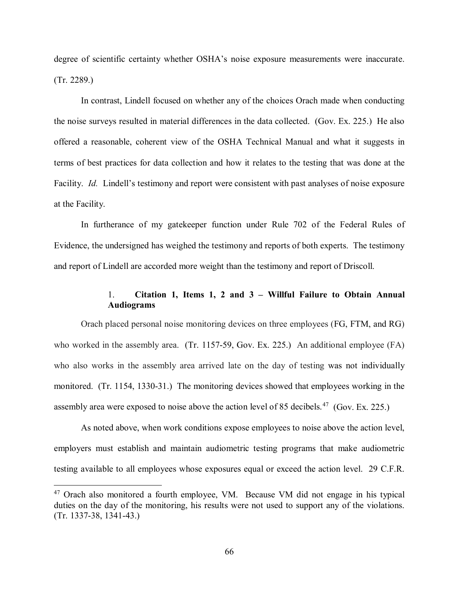degree of scientific certainty whether OSHA's noise exposure measurements were inaccurate. (Tr. 2289.)

In contrast, Lindell focused on whether any of the choices Orach made when conducting the noise surveys resulted in material differences in the data collected. (Gov. Ex. 225.) He also offered a reasonable, coherent view of the OSHA Technical Manual and what it suggests in terms of best practices for data collection and how it relates to the testing that was done at the Facility. *Id.* Lindell's testimony and report were consistent with past analyses of noise exposure at the Facility.

In furtherance of my gatekeeper function under Rule 702 of the Federal Rules of Evidence, the undersigned has weighed the testimony and reports of both experts. The testimony and report of Lindell are accorded more weight than the testimony and report of Driscoll.

# 1. **Citation 1, Items 1, 2 and 3 – Willful Failure to Obtain Annual Audiograms**

Orach placed personal noise monitoring devices on three employees (FG, FTM, and RG) who worked in the assembly area. (Tr. 1157-59, Gov. Ex. 225.) An additional employee (FA) who also works in the assembly area arrived late on the day of testing was not individually monitored. (Tr. 1154, 1330-31.) The monitoring devices showed that employees working in the assembly area were exposed to noise above the action level of 85 decibels.<sup>47</sup> (Gov. Ex. 225.)

As noted above, when work conditions expose employees to noise above the action level, employers must establish and maintain audiometric testing programs that make audiometric testing available to all employees whose exposures equal or exceed the action level. 29 C.F.R.

<span id="page-65-0"></span><sup>&</sup>lt;sup>47</sup> Orach also monitored a fourth employee, VM. Because VM did not engage in his typical duties on the day of the monitoring, his results were not used to support any of the violations. (Tr. 1337-38, 1341-43.)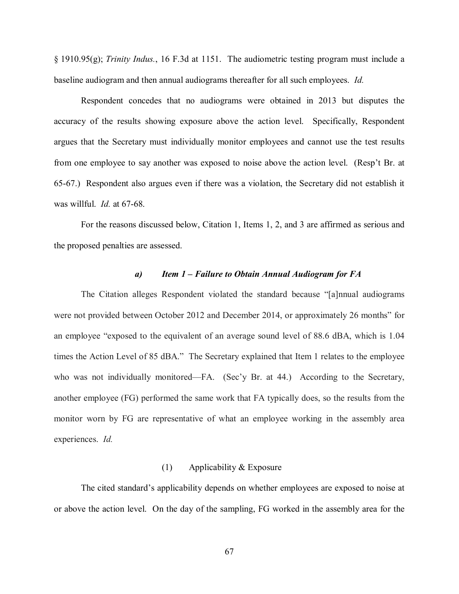§ 1910.95(g); *Trinity Indus.*, 16 F.3d at 1151. The audiometric testing program must include a baseline audiogram and then annual audiograms thereafter for all such employees. *Id.* 

Respondent concedes that no audiograms were obtained in 2013 but disputes the accuracy of the results showing exposure above the action level. Specifically, Respondent argues that the Secretary must individually monitor employees and cannot use the test results from one employee to say another was exposed to noise above the action level. (Resp't Br. at 65-67.) Respondent also argues even if there was a violation, the Secretary did not establish it was willful. *Id.* at 67-68.

For the reasons discussed below, Citation 1, Items 1, 2, and 3 are affirmed as serious and the proposed penalties are assessed.

#### *a) Item 1 – Failure to Obtain Annual Audiogram for FA*

The Citation alleges Respondent violated the standard because "[a]nnual audiograms were not provided between October 2012 and December 2014, or approximately 26 months" for an employee "exposed to the equivalent of an average sound level of 88.6 dBA, which is 1.04 times the Action Level of 85 dBA." The Secretary explained that Item 1 relates to the employee who was not individually monitored—FA. (Sec'y Br. at 44.) According to the Secretary, another employee (FG) performed the same work that FA typically does, so the results from the monitor worn by FG are representative of what an employee working in the assembly area experiences. *Id.*

## (1) Applicability & Exposure

The cited standard's applicability depends on whether employees are exposed to noise at or above the action level. On the day of the sampling, FG worked in the assembly area for the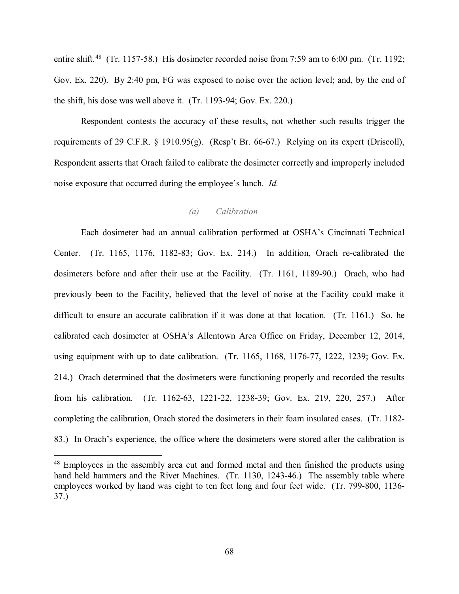entire shift.<sup>48</sup> (Tr. 1157-58.) His dosimeter recorded noise from 7:59 am to 6:00 pm. (Tr. 1192; Gov. Ex. 220). By 2:40 pm, FG was exposed to noise over the action level; and, by the end of the shift, his dose was well above it. (Tr. 1193-94; Gov. Ex. 220.)

Respondent contests the accuracy of these results, not whether such results trigger the requirements of 29 C.F.R. § 1910.95(g). (Resp't Br. 66-67.) Relying on its expert (Driscoll), Respondent asserts that Orach failed to calibrate the dosimeter correctly and improperly included noise exposure that occurred during the employee's lunch. *Id.* 

# *(a) Calibration*

Each dosimeter had an annual calibration performed at OSHA's Cincinnati Technical Center. (Tr. 1165, 1176, 1182-83; Gov. Ex. 214.) In addition, Orach re-calibrated the dosimeters before and after their use at the Facility. (Tr. 1161, 1189-90.) Orach, who had previously been to the Facility, believed that the level of noise at the Facility could make it difficult to ensure an accurate calibration if it was done at that location. (Tr. 1161.) So, he calibrated each dosimeter at OSHA's Allentown Area Office on Friday, December 12, 2014, using equipment with up to date calibration. (Tr. 1165, 1168, 1176-77, 1222, 1239; Gov. Ex. 214.) Orach determined that the dosimeters were functioning properly and recorded the results from his calibration. (Tr. 1162-63, 1221-22, 1238-39; Gov. Ex. 219, 220, 257.) After completing the calibration, Orach stored the dosimeters in their foam insulated cases. (Tr. 1182- 83.) In Orach's experience, the office where the dosimeters were stored after the calibration is

<span id="page-67-0"></span><sup>&</sup>lt;sup>48</sup> Employees in the assembly area cut and formed metal and then finished the products using hand held hammers and the Rivet Machines. (Tr. 1130, 1243-46.) The assembly table where employees worked by hand was eight to ten feet long and four feet wide. (Tr. 799-800, 1136- 37.)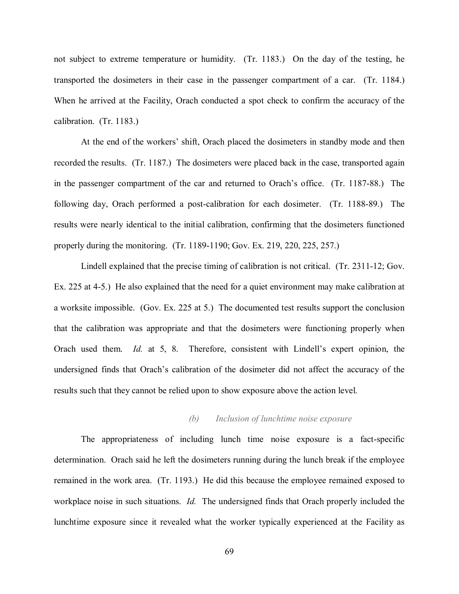not subject to extreme temperature or humidity. (Tr. 1183.) On the day of the testing, he transported the dosimeters in their case in the passenger compartment of a car. (Tr. 1184.) When he arrived at the Facility, Orach conducted a spot check to confirm the accuracy of the calibration. (Tr. 1183.)

At the end of the workers' shift, Orach placed the dosimeters in standby mode and then recorded the results. (Tr. 1187.) The dosimeters were placed back in the case, transported again in the passenger compartment of the car and returned to Orach's office. (Tr. 1187-88.) The following day, Orach performed a post-calibration for each dosimeter. (Tr. 1188-89.) The results were nearly identical to the initial calibration, confirming that the dosimeters functioned properly during the monitoring. (Tr. 1189-1190; Gov. Ex. 219, 220, 225, 257.)

Lindell explained that the precise timing of calibration is not critical. (Tr. 2311-12; Gov. Ex. 225 at 4-5.) He also explained that the need for a quiet environment may make calibration at a worksite impossible. (Gov. Ex. 225 at 5.) The documented test results support the conclusion that the calibration was appropriate and that the dosimeters were functioning properly when Orach used them. *Id.* at 5, 8. Therefore, consistent with Lindell's expert opinion, the undersigned finds that Orach's calibration of the dosimeter did not affect the accuracy of the results such that they cannot be relied upon to show exposure above the action level.

## *(b) Inclusion of lunchtime noise exposure*

The appropriateness of including lunch time noise exposure is a fact-specific determination. Orach said he left the dosimeters running during the lunch break if the employee remained in the work area. (Tr. 1193.) He did this because the employee remained exposed to workplace noise in such situations. *Id.* The undersigned finds that Orach properly included the lunchtime exposure since it revealed what the worker typically experienced at the Facility as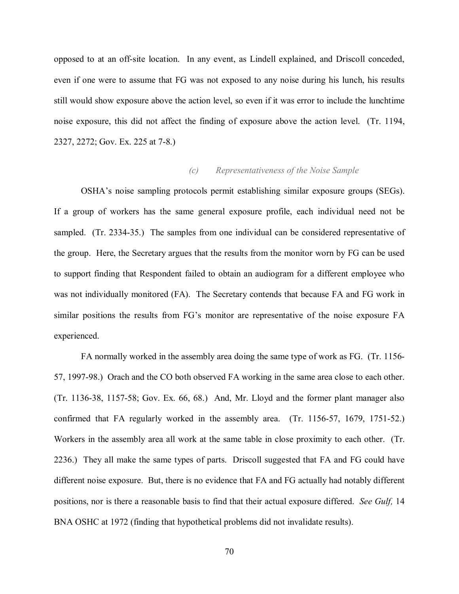opposed to at an off-site location. In any event, as Lindell explained, and Driscoll conceded, even if one were to assume that FG was not exposed to any noise during his lunch, his results still would show exposure above the action level, so even if it was error to include the lunchtime noise exposure, this did not affect the finding of exposure above the action level. (Tr. 1194, 2327, 2272; Gov. Ex. 225 at 7-8.)

# *(c) Representativeness of the Noise Sample*

OSHA's noise sampling protocols permit establishing similar exposure groups (SEGs). If a group of workers has the same general exposure profile, each individual need not be sampled. (Tr. 2334-35.) The samples from one individual can be considered representative of the group. Here, the Secretary argues that the results from the monitor worn by FG can be used to support finding that Respondent failed to obtain an audiogram for a different employee who was not individually monitored (FA). The Secretary contends that because FA and FG work in similar positions the results from FG's monitor are representative of the noise exposure FA experienced.

FA normally worked in the assembly area doing the same type of work as FG. (Tr. 1156- 57, 1997-98.) Orach and the CO both observed FA working in the same area close to each other. (Tr. 1136-38, 1157-58; Gov. Ex. 66, 68.) And, Mr. Lloyd and the former plant manager also confirmed that FA regularly worked in the assembly area. (Tr. 1156-57, 1679, 1751-52.) Workers in the assembly area all work at the same table in close proximity to each other. (Tr. 2236.) They all make the same types of parts. Driscoll suggested that FA and FG could have different noise exposure. But, there is no evidence that FA and FG actually had notably different positions, nor is there a reasonable basis to find that their actual exposure differed. *See Gulf,* 14 BNA OSHC at 1972 (finding that hypothetical problems did not invalidate results).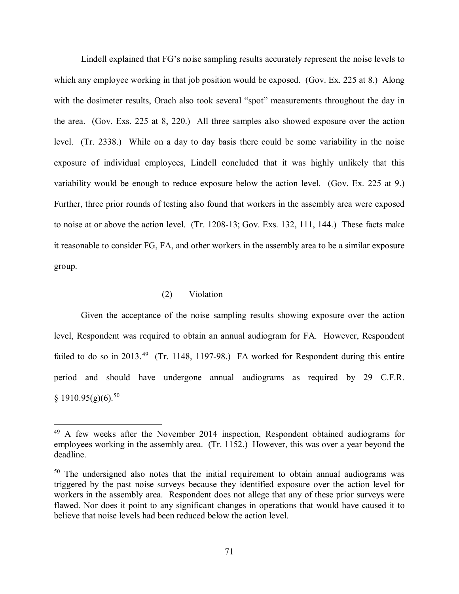Lindell explained that FG's noise sampling results accurately represent the noise levels to which any employee working in that job position would be exposed. (Gov. Ex. 225 at 8.) Along with the dosimeter results, Orach also took several "spot" measurements throughout the day in the area. (Gov. Exs. 225 at 8, 220.) All three samples also showed exposure over the action level. (Tr. 2338.) While on a day to day basis there could be some variability in the noise exposure of individual employees, Lindell concluded that it was highly unlikely that this variability would be enough to reduce exposure below the action level. (Gov. Ex. 225 at 9.) Further, three prior rounds of testing also found that workers in the assembly area were exposed to noise at or above the action level. (Tr. 1208-13; Gov. Exs. 132, 111, 144.) These facts make it reasonable to consider FG, FA, and other workers in the assembly area to be a similar exposure group.

# (2) Violation

 $\overline{a}$ 

Given the acceptance of the noise sampling results showing exposure over the action level, Respondent was required to obtain an annual audiogram for FA. However, Respondent failed to do so in 2013.<sup>[49](#page-70-0)</sup> (Tr. 1148, 1197-98.) FA worked for Respondent during this entire period and should have undergone annual audiograms as required by 29 C.F.R.  $§$  1910.95(g)(6).<sup>50</sup>

<span id="page-70-0"></span><sup>49</sup> A few weeks after the November 2014 inspection, Respondent obtained audiograms for employees working in the assembly area. (Tr. 1152.) However, this was over a year beyond the deadline.

<span id="page-70-1"></span><sup>&</sup>lt;sup>50</sup> The undersigned also notes that the initial requirement to obtain annual audiograms was triggered by the past noise surveys because they identified exposure over the action level for workers in the assembly area. Respondent does not allege that any of these prior surveys were flawed. Nor does it point to any significant changes in operations that would have caused it to believe that noise levels had been reduced below the action level.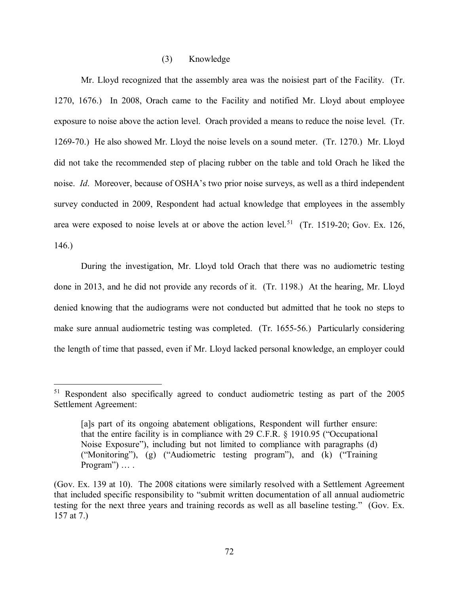# (3) Knowledge

Mr. Lloyd recognized that the assembly area was the noisiest part of the Facility. (Tr. 1270, 1676.) In 2008, Orach came to the Facility and notified Mr. Lloyd about employee exposure to noise above the action level. Orach provided a means to reduce the noise level. (Tr. 1269-70.) He also showed Mr. Lloyd the noise levels on a sound meter. (Tr. 1270.) Mr. Lloyd did not take the recommended step of placing rubber on the table and told Orach he liked the noise. *Id*. Moreover, because of OSHA's two prior noise surveys, as well as a third independent survey conducted in 2009, Respondent had actual knowledge that employees in the assembly area were exposed to noise levels at or above the action level.<sup>[51](#page-71-0)</sup> (Tr. 1519-20; Gov. Ex. 126, 146.)

During the investigation, Mr. Lloyd told Orach that there was no audiometric testing done in 2013, and he did not provide any records of it. (Tr. 1198.) At the hearing, Mr. Lloyd denied knowing that the audiograms were not conducted but admitted that he took no steps to make sure annual audiometric testing was completed. (Tr. 1655-56.) Particularly considering the length of time that passed, even if Mr. Lloyd lacked personal knowledge, an employer could

<span id="page-71-0"></span><sup>51</sup> Respondent also specifically agreed to conduct audiometric testing as part of the 2005 Settlement Agreement:

<sup>[</sup>a]s part of its ongoing abatement obligations, Respondent will further ensure: that the entire facility is in compliance with 29 C.F.R. § 1910.95 ("Occupational Noise Exposure"), including but not limited to compliance with paragraphs (d) ("Monitoring"), (g) ("Audiometric testing program"), and (k) ("Training Program") ... .

<sup>(</sup>Gov. Ex. 139 at 10). The 2008 citations were similarly resolved with a Settlement Agreement that included specific responsibility to "submit written documentation of all annual audiometric testing for the next three years and training records as well as all baseline testing." (Gov. Ex. 157 at 7.)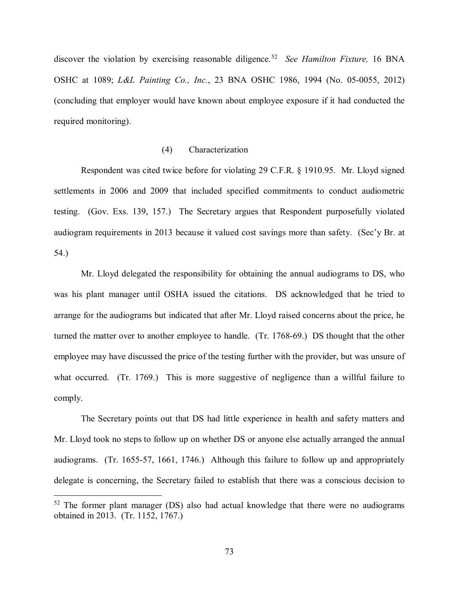discover the violation by exercising reasonable diligence. [52](#page-72-0) *See Hamilton Fixture,* 16 BNA OSHC at 1089; *L&L Painting Co., Inc.*, 23 BNA OSHC 1986, 1994 (No. 05-0055, 2012) (concluding that employer would have known about employee exposure if it had conducted the required monitoring).

# (4) Characterization

Respondent was cited twice before for violating 29 C.F.R. § 1910.95. Mr. Lloyd signed settlements in 2006 and 2009 that included specified commitments to conduct audiometric testing. (Gov. Exs. 139, 157.) The Secretary argues that Respondent purposefully violated audiogram requirements in 2013 because it valued cost savings more than safety. (Sec'y Br. at 54.)

Mr. Lloyd delegated the responsibility for obtaining the annual audiograms to DS, who was his plant manager until OSHA issued the citations. DS acknowledged that he tried to arrange for the audiograms but indicated that after Mr. Lloyd raised concerns about the price, he turned the matter over to another employee to handle. (Tr. 1768-69.) DS thought that the other employee may have discussed the price of the testing further with the provider, but was unsure of what occurred. (Tr. 1769.) This is more suggestive of negligence than a willful failure to comply.

The Secretary points out that DS had little experience in health and safety matters and Mr. Lloyd took no steps to follow up on whether DS or anyone else actually arranged the annual audiograms. (Tr. 1655-57, 1661, 1746.) Although this failure to follow up and appropriately delegate is concerning, the Secretary failed to establish that there was a conscious decision to

<span id="page-72-0"></span> $52$  The former plant manager (DS) also had actual knowledge that there were no audiograms obtained in 2013. (Tr. 1152, 1767.)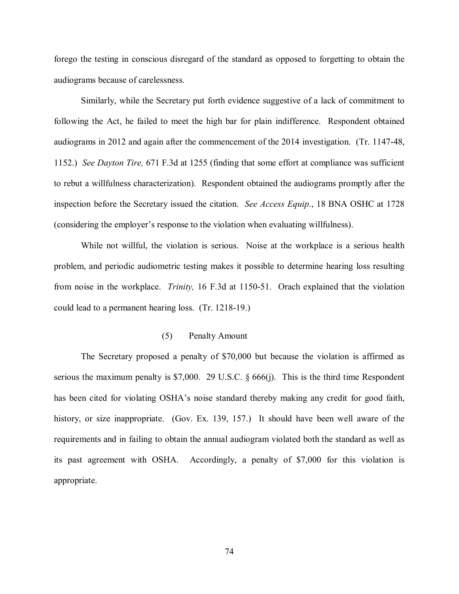forego the testing in conscious disregard of the standard as opposed to forgetting to obtain the audiograms because of carelessness.

Similarly, while the Secretary put forth evidence suggestive of a lack of commitment to following the Act, he failed to meet the high bar for plain indifference. Respondent obtained audiograms in 2012 and again after the commencement of the 2014 investigation. (Tr. 1147-48, 1152.) *See Dayton Tire,* 671 F.3d at 1255 (finding that some effort at compliance was sufficient to rebut a willfulness characterization). Respondent obtained the audiograms promptly after the inspection before the Secretary issued the citation. *See Access Equip*., 18 BNA OSHC at 1728 (considering the employer's response to the violation when evaluating willfulness).

While not willful, the violation is serious. Noise at the workplace is a serious health problem, and periodic audiometric testing makes it possible to determine hearing loss resulting from noise in the workplace. *Trinity,* 16 F.3d at 1150-51. Orach explained that the violation could lead to a permanent hearing loss. (Tr. 1218-19.)

## (5) Penalty Amount

The Secretary proposed a penalty of \$70,000 but because the violation is affirmed as serious the maximum penalty is \$7,000. 29 U.S.C. § 666(j). This is the third time Respondent has been cited for violating OSHA's noise standard thereby making any credit for good faith, history, or size inappropriate. (Gov. Ex. 139, 157.) It should have been well aware of the requirements and in failing to obtain the annual audiogram violated both the standard as well as its past agreement with OSHA. Accordingly, a penalty of \$7,000 for this violation is appropriate.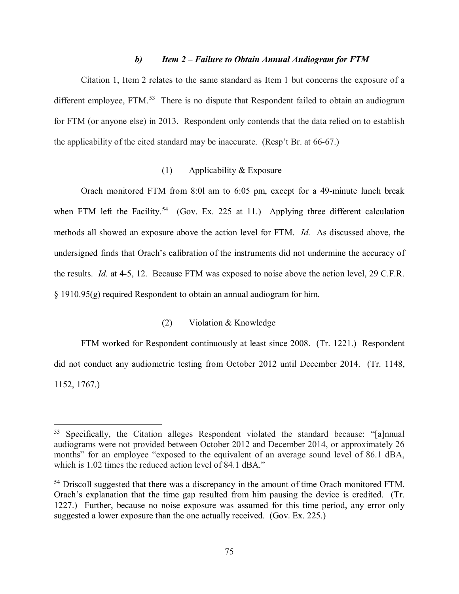### *b) Item 2 – Failure to Obtain Annual Audiogram for FTM*

Citation 1, Item 2 relates to the same standard as Item 1 but concerns the exposure of a different employee, FTM.<sup>[53](#page-74-0)</sup> There is no dispute that Respondent failed to obtain an audiogram for FTM (or anyone else) in 2013. Respondent only contends that the data relied on to establish the applicability of the cited standard may be inaccurate. (Resp't Br. at 66-67.)

# (1) Applicability & Exposure

Orach monitored FTM from 8:0l am to 6:05 pm, except for a 49-minute lunch break when FTM left the Facility.<sup>[54](#page-74-1)</sup> (Gov. Ex. 225 at 11.) Applying three different calculation methods all showed an exposure above the action level for FTM. *Id.* As discussed above, the undersigned finds that Orach's calibration of the instruments did not undermine the accuracy of the results. *Id.* at 4-5, 12. Because FTM was exposed to noise above the action level, 29 C.F.R. § 1910.95(g) required Respondent to obtain an annual audiogram for him.

# (2) Violation & Knowledge

FTM worked for Respondent continuously at least since 2008. (Tr. 1221.) Respondent did not conduct any audiometric testing from October 2012 until December 2014. (Tr. 1148, 1152, 1767.)

<span id="page-74-0"></span><sup>53</sup> Specifically, the Citation alleges Respondent violated the standard because: "[a]nnual audiograms were not provided between October 2012 and December 2014, or approximately 26 months" for an employee "exposed to the equivalent of an average sound level of 86.1 dBA, which is 1.02 times the reduced action level of 84.1 dBA."

<span id="page-74-1"></span><sup>&</sup>lt;sup>54</sup> Driscoll suggested that there was a discrepancy in the amount of time Orach monitored FTM. Orach's explanation that the time gap resulted from him pausing the device is credited. (Tr. 1227.) Further, because no noise exposure was assumed for this time period, any error only suggested a lower exposure than the one actually received. (Gov. Ex. 225.)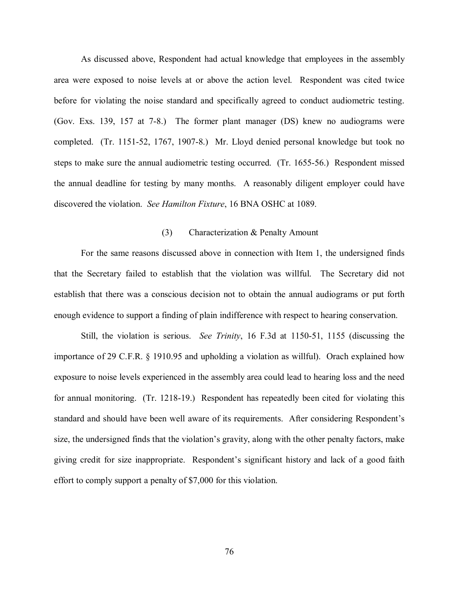As discussed above, Respondent had actual knowledge that employees in the assembly area were exposed to noise levels at or above the action level. Respondent was cited twice before for violating the noise standard and specifically agreed to conduct audiometric testing. (Gov. Exs. 139, 157 at 7-8.) The former plant manager (DS) knew no audiograms were completed. (Tr. 1151-52, 1767, 1907-8.) Mr. Lloyd denied personal knowledge but took no steps to make sure the annual audiometric testing occurred. (Tr. 1655-56.) Respondent missed the annual deadline for testing by many months. A reasonably diligent employer could have discovered the violation. *See Hamilton Fixture*, 16 BNA OSHC at 1089.

## (3) Characterization & Penalty Amount

For the same reasons discussed above in connection with Item 1, the undersigned finds that the Secretary failed to establish that the violation was willful. The Secretary did not establish that there was a conscious decision not to obtain the annual audiograms or put forth enough evidence to support a finding of plain indifference with respect to hearing conservation.

Still, the violation is serious. *See Trinity*, 16 F.3d at 1150-51, 1155 (discussing the importance of 29 C.F.R. § 1910.95 and upholding a violation as willful). Orach explained how exposure to noise levels experienced in the assembly area could lead to hearing loss and the need for annual monitoring. (Tr. 1218-19.) Respondent has repeatedly been cited for violating this standard and should have been well aware of its requirements. After considering Respondent's size, the undersigned finds that the violation's gravity, along with the other penalty factors, make giving credit for size inappropriate. Respondent's significant history and lack of a good faith effort to comply support a penalty of \$7,000 for this violation.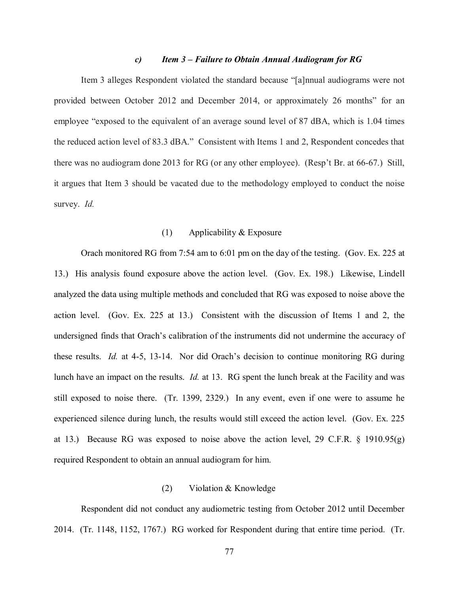### *c) Item 3 – Failure to Obtain Annual Audiogram for RG*

Item 3 alleges Respondent violated the standard because "[a]nnual audiograms were not provided between October 2012 and December 2014, or approximately 26 months" for an employee "exposed to the equivalent of an average sound level of 87 dBA, which is 1.04 times the reduced action level of 83.3 dBA." Consistent with Items 1 and 2, Respondent concedes that there was no audiogram done 2013 for RG (or any other employee). (Resp't Br. at 66-67.) Still, it argues that Item 3 should be vacated due to the methodology employed to conduct the noise survey. *Id.* 

## (1) Applicability & Exposure

Orach monitored RG from 7:54 am to 6:01 pm on the day of the testing. (Gov. Ex. 225 at 13.) His analysis found exposure above the action level. (Gov. Ex. 198.) Likewise, Lindell analyzed the data using multiple methods and concluded that RG was exposed to noise above the action level. (Gov. Ex. 225 at 13.) Consistent with the discussion of Items 1 and 2, the undersigned finds that Orach's calibration of the instruments did not undermine the accuracy of these results. *Id.* at 4-5, 13-14. Nor did Orach's decision to continue monitoring RG during lunch have an impact on the results. *Id.* at 13. RG spent the lunch break at the Facility and was still exposed to noise there. (Tr. 1399, 2329.) In any event, even if one were to assume he experienced silence during lunch, the results would still exceed the action level. (Gov. Ex. 225 at 13.) Because RG was exposed to noise above the action level, 29 C.F.R. § 1910.95(g) required Respondent to obtain an annual audiogram for him.

### (2) Violation & Knowledge

Respondent did not conduct any audiometric testing from October 2012 until December 2014. (Tr. 1148, 1152, 1767.) RG worked for Respondent during that entire time period. (Tr.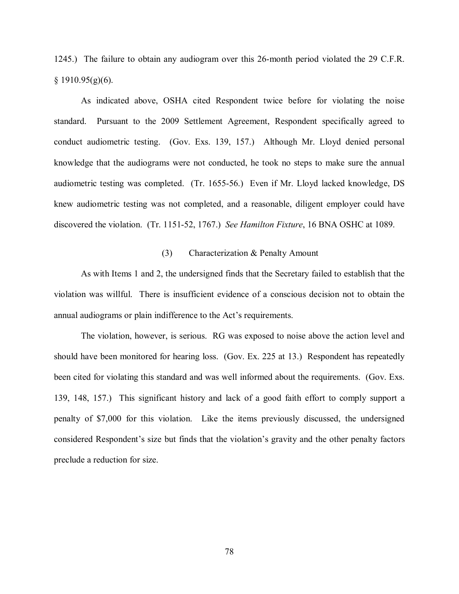1245.) The failure to obtain any audiogram over this 26-month period violated the 29 C.F.R.  $§$  1910.95(g)(6).

As indicated above, OSHA cited Respondent twice before for violating the noise standard. Pursuant to the 2009 Settlement Agreement, Respondent specifically agreed to conduct audiometric testing. (Gov. Exs. 139, 157.) Although Mr. Lloyd denied personal knowledge that the audiograms were not conducted, he took no steps to make sure the annual audiometric testing was completed. (Tr. 1655-56.) Even if Mr. Lloyd lacked knowledge, DS knew audiometric testing was not completed, and a reasonable, diligent employer could have discovered the violation. (Tr. 1151-52, 1767.) *See Hamilton Fixture*, 16 BNA OSHC at 1089.

### (3) Characterization & Penalty Amount

As with Items 1 and 2, the undersigned finds that the Secretary failed to establish that the violation was willful. There is insufficient evidence of a conscious decision not to obtain the annual audiograms or plain indifference to the Act's requirements.

The violation, however, is serious. RG was exposed to noise above the action level and should have been monitored for hearing loss. (Gov. Ex. 225 at 13.) Respondent has repeatedly been cited for violating this standard and was well informed about the requirements. (Gov. Exs. 139, 148, 157.) This significant history and lack of a good faith effort to comply support a penalty of \$7,000 for this violation. Like the items previously discussed, the undersigned considered Respondent's size but finds that the violation's gravity and the other penalty factors preclude a reduction for size.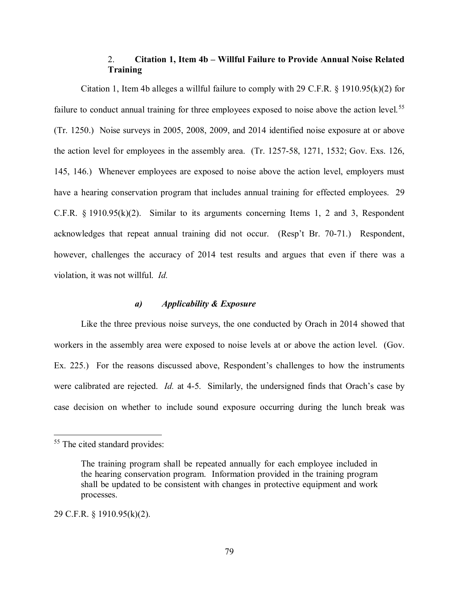# 2. **Citation 1, Item 4b – Willful Failure to Provide Annual Noise Related Training**

Citation 1, Item 4b alleges a willful failure to comply with 29 C.F.R. § 1910.95(k)(2) for failure to conduct annual training for three employees exposed to noise above the action level.<sup>[55](#page-78-0)</sup> (Tr. 1250.) Noise surveys in 2005, 2008, 2009, and 2014 identified noise exposure at or above the action level for employees in the assembly area. (Tr. 1257-58, 1271, 1532; Gov. Exs. 126, 145, 146.) Whenever employees are exposed to noise above the action level, employers must have a hearing conservation program that includes annual training for effected employees. 29 C.F.R. § 1910.95(k)(2). Similar to its arguments concerning Items 1, 2 and 3, Respondent acknowledges that repeat annual training did not occur. (Resp't Br. 70-71.) Respondent, however, challenges the accuracy of 2014 test results and argues that even if there was a violation, it was not willful. *Id.* 

# *a) Applicability & Exposure*

Like the three previous noise surveys, the one conducted by Orach in 2014 showed that workers in the assembly area were exposed to noise levels at or above the action level. (Gov. Ex. 225.) For the reasons discussed above, Respondent's challenges to how the instruments were calibrated are rejected. *Id.* at 4-5. Similarly, the undersigned finds that Orach's case by case decision on whether to include sound exposure occurring during the lunch break was

 $\overline{a}$ 

29 C.F.R. § 1910.95(k)(2).

<span id="page-78-0"></span><sup>&</sup>lt;sup>55</sup> The cited standard provides:

The training program shall be repeated annually for each employee included in the hearing conservation program. Information provided in the training program shall be updated to be consistent with changes in protective equipment and work processes.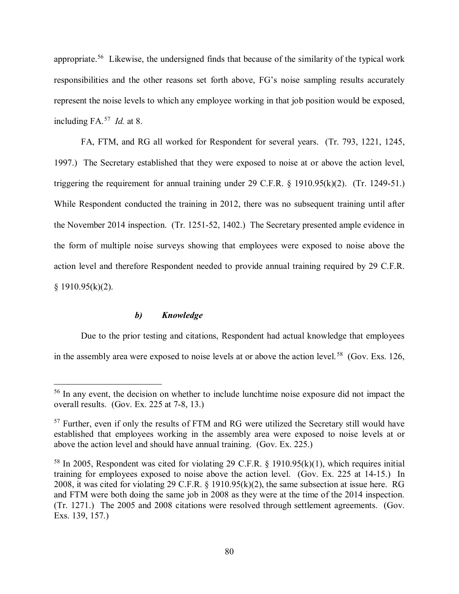appropriate.[56](#page-79-0) Likewise, the undersigned finds that because of the similarity of the typical work responsibilities and the other reasons set forth above, FG's noise sampling results accurately represent the noise levels to which any employee working in that job position would be exposed, including FA.[57](#page-79-1) *Id.* at 8.

FA, FTM, and RG all worked for Respondent for several years. (Tr. 793, 1221, 1245, 1997.) The Secretary established that they were exposed to noise at or above the action level, triggering the requirement for annual training under 29 C.F.R. § 1910.95(k)(2). (Tr. 1249-51.) While Respondent conducted the training in 2012, there was no subsequent training until after the November 2014 inspection. (Tr. 1251-52, 1402.) The Secretary presented ample evidence in the form of multiple noise surveys showing that employees were exposed to noise above the action level and therefore Respondent needed to provide annual training required by 29 C.F.R. § 1910.95(k)(2).

# *b) Knowledge*

 $\overline{a}$ 

Due to the prior testing and citations, Respondent had actual knowledge that employees in the assembly area were exposed to noise levels at or above the action level.<sup>58</sup> (Gov. Exs. 126,

<span id="page-79-0"></span><sup>&</sup>lt;sup>56</sup> In any event, the decision on whether to include lunchtime noise exposure did not impact the overall results. (Gov. Ex. 225 at 7-8, 13.)

<span id="page-79-1"></span> $57$  Further, even if only the results of FTM and RG were utilized the Secretary still would have established that employees working in the assembly area were exposed to noise levels at or above the action level and should have annual training. (Gov. Ex. 225.)

<span id="page-79-2"></span><sup>&</sup>lt;sup>58</sup> In 2005, Respondent was cited for violating 29 C.F.R. § 1910.95(k)(1), which requires initial training for employees exposed to noise above the action level. (Gov. Ex. 225 at 14-15.) In 2008, it was cited for violating 29 C.F.R. § 1910.95(k)(2), the same subsection at issue here. RG and FTM were both doing the same job in 2008 as they were at the time of the 2014 inspection. (Tr. 1271.) The 2005 and 2008 citations were resolved through settlement agreements. (Gov. Exs. 139, 157.)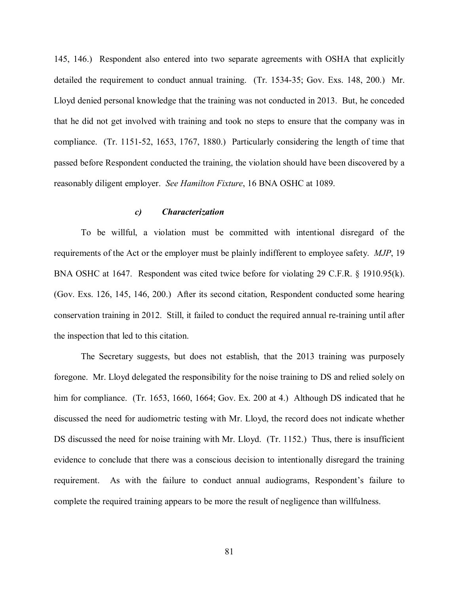145, 146.) Respondent also entered into two separate agreements with OSHA that explicitly detailed the requirement to conduct annual training. (Tr. 1534-35; Gov. Exs. 148, 200.) Mr. Lloyd denied personal knowledge that the training was not conducted in 2013. But, he conceded that he did not get involved with training and took no steps to ensure that the company was in compliance. (Tr. 1151-52, 1653, 1767, 1880.) Particularly considering the length of time that passed before Respondent conducted the training, the violation should have been discovered by a reasonably diligent employer. *See Hamilton Fixture*, 16 BNA OSHC at 1089.

## *c) Characterization*

To be willful, a violation must be committed with intentional disregard of the requirements of the Act or the employer must be plainly indifferent to employee safety. *MJP*, 19 BNA OSHC at 1647. Respondent was cited twice before for violating 29 C.F.R. § 1910.95(k). (Gov. Exs. 126, 145, 146, 200.) After its second citation, Respondent conducted some hearing conservation training in 2012. Still, it failed to conduct the required annual re-training until after the inspection that led to this citation.

The Secretary suggests, but does not establish, that the 2013 training was purposely foregone. Mr. Lloyd delegated the responsibility for the noise training to DS and relied solely on him for compliance. (Tr. 1653, 1660, 1664; Gov. Ex. 200 at 4.) Although DS indicated that he discussed the need for audiometric testing with Mr. Lloyd, the record does not indicate whether DS discussed the need for noise training with Mr. Lloyd. (Tr. 1152.) Thus, there is insufficient evidence to conclude that there was a conscious decision to intentionally disregard the training requirement. As with the failure to conduct annual audiograms, Respondent's failure to complete the required training appears to be more the result of negligence than willfulness.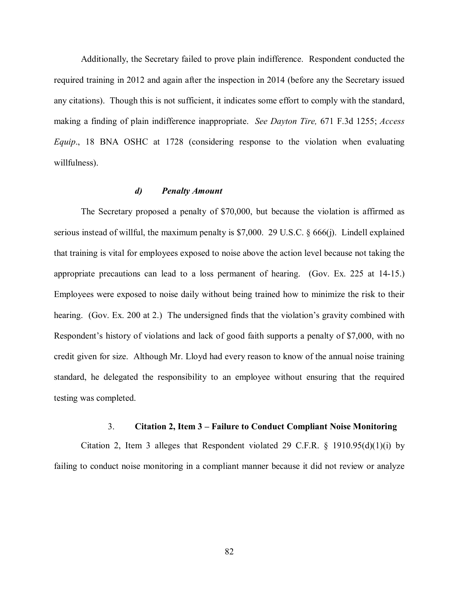Additionally, the Secretary failed to prove plain indifference. Respondent conducted the required training in 2012 and again after the inspection in 2014 (before any the Secretary issued any citations). Though this is not sufficient, it indicates some effort to comply with the standard, making a finding of plain indifference inappropriate. *See Dayton Tire,* 671 F.3d 1255; *Access Equip*., 18 BNA OSHC at 1728 (considering response to the violation when evaluating willfulness).

### *d) Penalty Amount*

The Secretary proposed a penalty of \$70,000, but because the violation is affirmed as serious instead of willful, the maximum penalty is \$7,000. 29 U.S.C. § 666(j). Lindell explained that training is vital for employees exposed to noise above the action level because not taking the appropriate precautions can lead to a loss permanent of hearing. (Gov. Ex. 225 at 14-15.) Employees were exposed to noise daily without being trained how to minimize the risk to their hearing. (Gov. Ex. 200 at 2.) The undersigned finds that the violation's gravity combined with Respondent's history of violations and lack of good faith supports a penalty of \$7,000, with no credit given for size. Although Mr. Lloyd had every reason to know of the annual noise training standard, he delegated the responsibility to an employee without ensuring that the required testing was completed.

# 3. **Citation 2, Item 3 – Failure to Conduct Compliant Noise Monitoring**

Citation 2, Item 3 alleges that Respondent violated 29 C.F.R.  $\S$  1910.95(d)(1)(i) by failing to conduct noise monitoring in a compliant manner because it did not review or analyze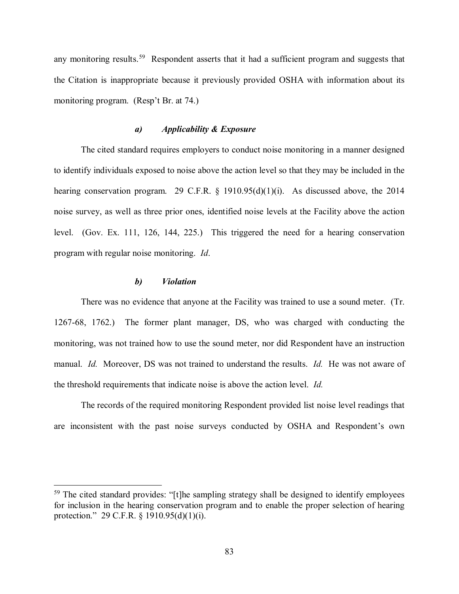any monitoring results.<sup>59</sup> Respondent asserts that it had a sufficient program and suggests that the Citation is inappropriate because it previously provided OSHA with information about its monitoring program. (Resp't Br. at 74.)

# *a) Applicability & Exposure*

The cited standard requires employers to conduct noise monitoring in a manner designed to identify individuals exposed to noise above the action level so that they may be included in the hearing conservation program. 29 C.F.R.  $\S$  1910.95(d)(1)(i). As discussed above, the 2014 noise survey, as well as three prior ones, identified noise levels at the Facility above the action level. (Gov. Ex. 111, 126, 144, 225.) This triggered the need for a hearing conservation program with regular noise monitoring. *Id*.

# *b) Violation*

 $\overline{a}$ 

There was no evidence that anyone at the Facility was trained to use a sound meter. (Tr. 1267-68, 1762.) The former plant manager, DS, who was charged with conducting the monitoring, was not trained how to use the sound meter, nor did Respondent have an instruction manual. *Id.* Moreover, DS was not trained to understand the results. *Id.* He was not aware of the threshold requirements that indicate noise is above the action level. *Id.*

The records of the required monitoring Respondent provided list noise level readings that are inconsistent with the past noise surveys conducted by OSHA and Respondent's own

<span id="page-82-0"></span> $59$  The cited standard provides: "[t]he sampling strategy shall be designed to identify employees for inclusion in the hearing conservation program and to enable the proper selection of hearing protection." 29 C.F.R. § 1910.95(d)(1)(i).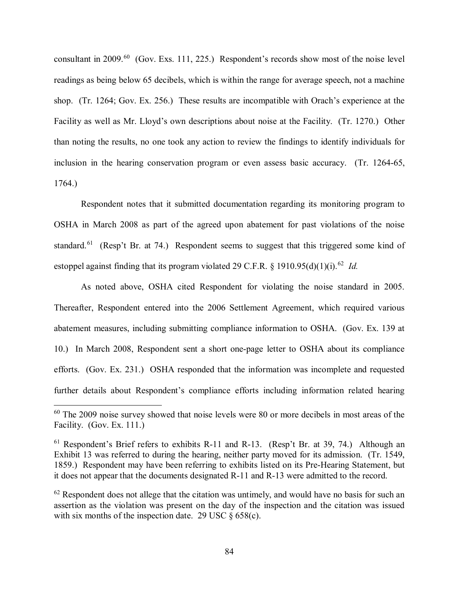consultant in 2009.<sup>[60](#page-83-0)</sup> (Gov. Exs. 111, 225.) Respondent's records show most of the noise level readings as being below 65 decibels, which is within the range for average speech, not a machine shop. (Tr. 1264; Gov. Ex. 256.) These results are incompatible with Orach's experience at the Facility as well as Mr. Lloyd's own descriptions about noise at the Facility. (Tr. 1270.) Other than noting the results, no one took any action to review the findings to identify individuals for inclusion in the hearing conservation program or even assess basic accuracy. (Tr. 1264-65, 1764.)

Respondent notes that it submitted documentation regarding its monitoring program to OSHA in March 2008 as part of the agreed upon abatement for past violations of the noise standard.<sup>[61](#page-83-1)</sup> (Resp't Br. at 74.) Respondent seems to suggest that this triggered some kind of estoppel against finding that its program violated 29 C.F.R.  $\frac{1}{2}$  1910.95(d)(1)(i).<sup>62</sup> *Id.* 

As noted above, OSHA cited Respondent for violating the noise standard in 2005. Thereafter, Respondent entered into the 2006 Settlement Agreement, which required various abatement measures, including submitting compliance information to OSHA. (Gov. Ex. 139 at 10.) In March 2008, Respondent sent a short one-page letter to OSHA about its compliance efforts. (Gov. Ex. 231.) OSHA responded that the information was incomplete and requested further details about Respondent's compliance efforts including information related hearing

<span id="page-83-0"></span> $60$  The 2009 noise survey showed that noise levels were 80 or more decibels in most areas of the Facility. (Gov. Ex. 111.)

<span id="page-83-1"></span> $61$  Respondent's Brief refers to exhibits R-11 and R-13. (Resp't Br. at 39, 74.) Although an Exhibit 13 was referred to during the hearing, neither party moved for its admission. (Tr. 1549, 1859.) Respondent may have been referring to exhibits listed on its Pre-Hearing Statement, but it does not appear that the documents designated R-11 and R-13 were admitted to the record.

<span id="page-83-2"></span> $62$  Respondent does not allege that the citation was untimely, and would have no basis for such an assertion as the violation was present on the day of the inspection and the citation was issued with six months of the inspection date. 29 USC  $\S 658(c)$ .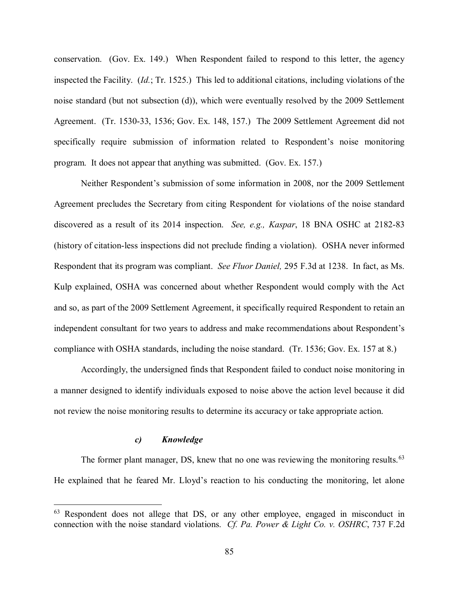conservation. (Gov. Ex. 149.) When Respondent failed to respond to this letter, the agency inspected the Facility. (*Id.*; Tr. 1525.) This led to additional citations, including violations of the noise standard (but not subsection (d)), which were eventually resolved by the 2009 Settlement Agreement. (Tr. 1530-33, 1536; Gov. Ex. 148, 157.) The 2009 Settlement Agreement did not specifically require submission of information related to Respondent's noise monitoring program. It does not appear that anything was submitted. (Gov. Ex. 157.)

Neither Respondent's submission of some information in 2008, nor the 2009 Settlement Agreement precludes the Secretary from citing Respondent for violations of the noise standard discovered as a result of its 2014 inspection. *See, e.g., Kaspar*, 18 BNA OSHC at 2182-83 (history of citation-less inspections did not preclude finding a violation). OSHA never informed Respondent that its program was compliant. *See Fluor Daniel,* 295 F.3d at 1238. In fact, as Ms. Kulp explained, OSHA was concerned about whether Respondent would comply with the Act and so, as part of the 2009 Settlement Agreement, it specifically required Respondent to retain an independent consultant for two years to address and make recommendations about Respondent's compliance with OSHA standards, including the noise standard. (Tr. 1536; Gov. Ex. 157 at 8.)

Accordingly, the undersigned finds that Respondent failed to conduct noise monitoring in a manner designed to identify individuals exposed to noise above the action level because it did not review the noise monitoring results to determine its accuracy or take appropriate action.

## *c) Knowledge*

 $\overline{a}$ 

The former plant manager, DS, knew that no one was reviewing the monitoring results.<sup>[63](#page-84-0)</sup> He explained that he feared Mr. Lloyd's reaction to his conducting the monitoring, let alone

<span id="page-84-0"></span> $63$  Respondent does not allege that DS, or any other employee, engaged in misconduct in connection with the noise standard violations. *Cf. Pa. Power & Light Co. v. OSHRC*, 737 F.2d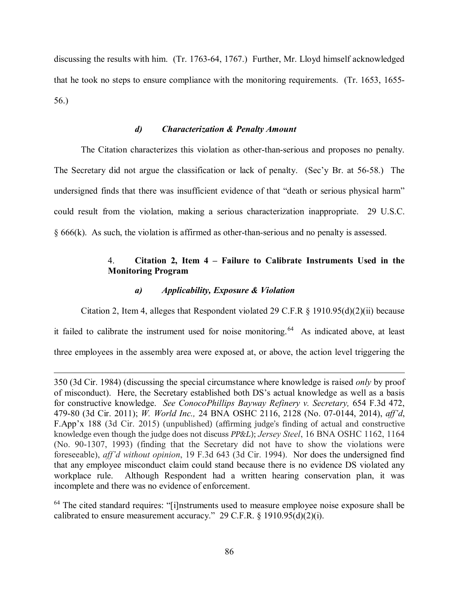discussing the results with him. (Tr. 1763-64, 1767.) Further, Mr. Lloyd himself acknowledged that he took no steps to ensure compliance with the monitoring requirements. (Tr. 1653, 1655- 56.)

## *d) Characterization & Penalty Amount*

The Citation characterizes this violation as other-than-serious and proposes no penalty. The Secretary did not argue the classification or lack of penalty. (Sec'y Br. at 56-58.) The undersigned finds that there was insufficient evidence of that "death or serious physical harm" could result from the violation, making a serious characterization inappropriate. 29 U.S.C. § 666(k). As such, the violation is affirmed as other-than-serious and no penalty is assessed.

# 4. **Citation 2, Item 4 – Failure to Calibrate Instruments Used in the Monitoring Program**

## *a) Applicability, Exposure & Violation*

 $\overline{a}$ 

Citation 2, Item 4, alleges that Respondent violated 29 C.F.R  $\S$  1910.95(d)(2)(ii) because

it failed to calibrate the instrument used for noise monitoring.<sup>64</sup> As indicated above, at least

three employees in the assembly area were exposed at, or above, the action level triggering the

<span id="page-85-0"></span><sup>64</sup> The cited standard requires: "[i]nstruments used to measure employee noise exposure shall be calibrated to ensure measurement accuracy." 29 C.F.R.  $\S$  1910.95(d)(2)(i).

<sup>350 (3</sup>d Cir. 1984) (discussing the special circumstance where knowledge is raised *only* by proof of misconduct). Here, the Secretary established both DS's actual knowledge as well as a basis for constructive knowledge. *See ConocoPhillips Bayway Refinery v. Secretary,* 654 F.3d 472, 479-80 (3d Cir. 2011); *W. World Inc.,* 24 BNA OSHC 2116, 2128 (No. 07-0144, 2014), *aff'd*, F.App'x 188 (3d Cir. 2015) (unpublished) (affirming judge's finding of actual and constructive knowledge even though the judge does not discuss *PP&L*); *Jersey Steel*, 16 BNA OSHC 1162, 1164 (No. 90-1307, 1993) (finding that the Secretary did not have to show the violations were foreseeable), *aff'd without opinion*, 19 F.3d 643 (3d Cir. 1994). Nor does the undersigned find that any employee misconduct claim could stand because there is no evidence DS violated any workplace rule. Although Respondent had a written hearing conservation plan, it was incomplete and there was no evidence of enforcement.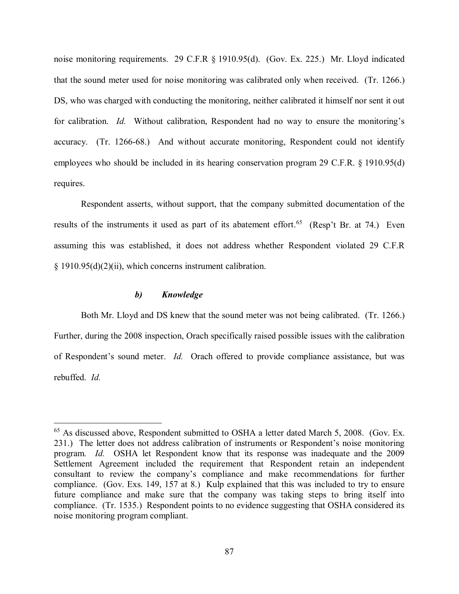noise monitoring requirements. 29 C.F.R § 1910.95(d). (Gov. Ex. 225.) Mr. Lloyd indicated that the sound meter used for noise monitoring was calibrated only when received. (Tr. 1266.) DS, who was charged with conducting the monitoring, neither calibrated it himself nor sent it out for calibration. *Id.* Without calibration, Respondent had no way to ensure the monitoring's accuracy. (Tr. 1266-68.) And without accurate monitoring, Respondent could not identify employees who should be included in its hearing conservation program 29 C.F.R. § 1910.95(d) requires.

Respondent asserts, without support, that the company submitted documentation of the results of the instruments it used as part of its abatement effort.<sup>[65](#page-86-0)</sup> (Resp't Br. at 74.) Even assuming this was established, it does not address whether Respondent violated 29 C.F.R § 1910.95(d)(2)(ii), which concerns instrument calibration.

### *b) Knowledge*

 $\overline{a}$ 

Both Mr. Lloyd and DS knew that the sound meter was not being calibrated. (Tr. 1266.) Further, during the 2008 inspection, Orach specifically raised possible issues with the calibration of Respondent's sound meter. *Id.* Orach offered to provide compliance assistance, but was rebuffed. *Id.*

<span id="page-86-0"></span><sup>&</sup>lt;sup>65</sup> As discussed above, Respondent submitted to OSHA a letter dated March 5, 2008. (Gov. Ex. 231.) The letter does not address calibration of instruments or Respondent's noise monitoring program. *Id.* OSHA let Respondent know that its response was inadequate and the 2009 Settlement Agreement included the requirement that Respondent retain an independent consultant to review the company's compliance and make recommendations for further compliance. (Gov. Exs. 149, 157 at 8.) Kulp explained that this was included to try to ensure future compliance and make sure that the company was taking steps to bring itself into compliance. (Tr. 1535.) Respondent points to no evidence suggesting that OSHA considered its noise monitoring program compliant.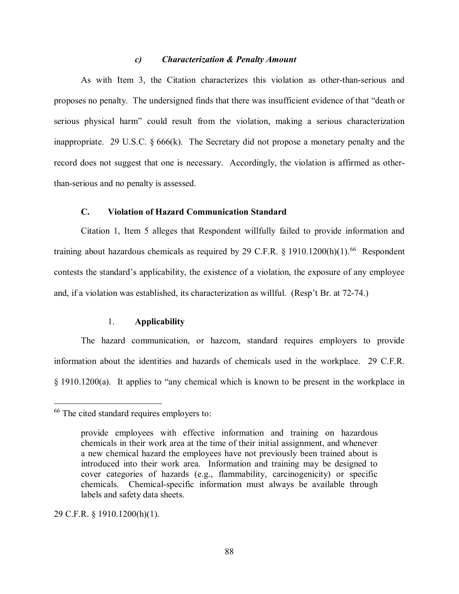### *c) Characterization & Penalty Amount*

As with Item 3, the Citation characterizes this violation as other-than-serious and proposes no penalty. The undersigned finds that there was insufficient evidence of that "death or serious physical harm" could result from the violation, making a serious characterization inappropriate. 29 U.S.C. § 666(k). The Secretary did not propose a monetary penalty and the record does not suggest that one is necessary. Accordingly, the violation is affirmed as otherthan-serious and no penalty is assessed.

# **C. Violation of Hazard Communication Standard**

Citation 1, Item 5 alleges that Respondent willfully failed to provide information and training about hazardous chemicals as required by 29 C.F.R. § 1910.1200(h)(1).<sup>[66](#page-87-0)</sup> Respondent contests the standard's applicability, the existence of a violation, the exposure of any employee and, if a violation was established, its characterization as willful. (Resp't Br. at 72-74.)

# 1. **Applicability**

The hazard communication, or hazcom, standard requires employers to provide information about the identities and hazards of chemicals used in the workplace. 29 C.F.R. § 1910.1200(a). It applies to "any chemical which is known to be present in the workplace in

29 C.F.R. § 1910.1200(h)(1).

<span id="page-87-0"></span><sup>&</sup>lt;sup>66</sup> The cited standard requires employers to:

provide employees with effective information and training on hazardous chemicals in their work area at the time of their initial assignment, and whenever a new chemical hazard the employees have not previously been trained about is introduced into their work area. Information and training may be designed to cover categories of hazards (e.g., flammability, carcinogenicity) or specific chemicals. Chemical-specific information must always be available through labels and safety data sheets.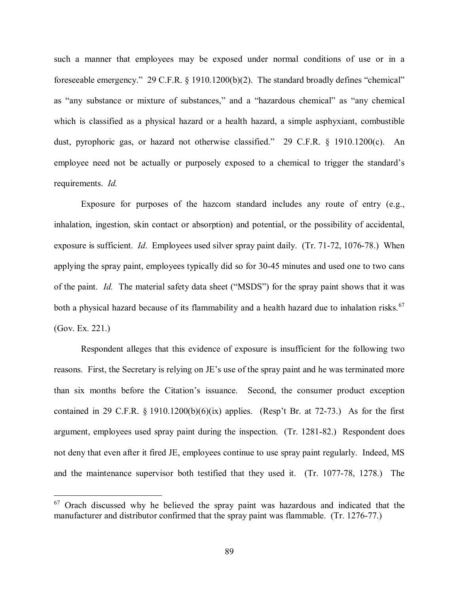such a manner that employees may be exposed under normal conditions of use or in a foreseeable emergency." 29 C.F.R. § 1910.1200(b)(2). The standard broadly defines "chemical" as "any substance or mixture of substances," and a "hazardous chemical" as "any chemical which is classified as a physical hazard or a health hazard, a simple asphyxiant, combustible dust, pyrophoric gas, or hazard not otherwise classified." 29 C.F.R. § 1910.1200(c). An employee need not be actually or purposely exposed to a chemical to trigger the standard's requirements. *Id.* 

Exposure for purposes of the hazcom standard includes any route of entry (e.g., inhalation, ingestion, skin contact or absorption) and potential, or the possibility of accidental, exposure is sufficient. *Id*. Employees used silver spray paint daily. (Tr. 71-72, 1076-78.) When applying the spray paint, employees typically did so for 30-45 minutes and used one to two cans of the paint. *Id.* The material safety data sheet ("MSDS") for the spray paint shows that it was both a physical hazard because of its flammability and a health hazard due to inhalation risks.<sup>[67](#page-88-0)</sup> (Gov. Ex. 221.)

Respondent alleges that this evidence of exposure is insufficient for the following two reasons. First, the Secretary is relying on JE's use of the spray paint and he was terminated more than six months before the Citation's issuance. Second, the consumer product exception contained in 29 C.F.R.  $\S$  1910.1200(b)(6)(ix) applies. (Resp't Br. at 72-73.) As for the first argument, employees used spray paint during the inspection. (Tr. 1281-82.) Respondent does not deny that even after it fired JE, employees continue to use spray paint regularly. Indeed, MS and the maintenance supervisor both testified that they used it. (Tr. 1077-78, 1278.) The

<span id="page-88-0"></span> $67$  Orach discussed why he believed the spray paint was hazardous and indicated that the manufacturer and distributor confirmed that the spray paint was flammable. (Tr. 1276-77.)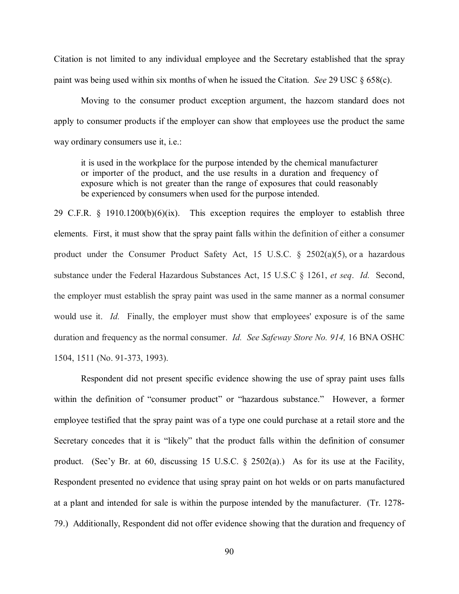Citation is not limited to any individual employee and the Secretary established that the spray paint was being used within six months of when he issued the Citation. *See* 29 USC § 658(c).

Moving to the consumer product exception argument, the hazcom standard does not apply to consumer products if the employer can show that employees use the product the same way ordinary consumers use it, i.e.:

it is used in the workplace for the purpose intended by the chemical manufacturer or importer of the product, and the use results in a duration and frequency of exposure which is not greater than the range of exposures that could reasonably be experienced by consumers when used for the purpose intended.

29 C.F.R. § 1910.1200(b)(6)(ix). This exception requires the employer to establish three elements. First, it must show that the spray paint falls within the definition of either a consumer product under the Consumer Product Safety Act, 15 U.S.C.  $\S$  2502(a)(5), or a hazardous substance under the Federal Hazardous Substances Act, 15 U.S.C § 1261, *et seq*. *Id.* Second, the employer must establish the spray paint was used in the same manner as a normal consumer would use it. *Id.* Finally, the employer must show that employees' exposure is of the same duration and frequency as the normal consumer. *Id. See Safeway Store No. 914,* 16 BNA OSHC 1504, 1511 (No. 91-373, 1993).

Respondent did not present specific evidence showing the use of spray paint uses falls within the definition of "consumer product" or "hazardous substance." However, a former employee testified that the spray paint was of a type one could purchase at a retail store and the Secretary concedes that it is "likely" that the product falls within the definition of consumer product. (Sec'y Br. at 60, discussing 15 U.S.C. § 2502(a).) As for its use at the Facility, Respondent presented no evidence that using spray paint on hot welds or on parts manufactured at a plant and intended for sale is within the purpose intended by the manufacturer. (Tr. 1278- 79.) Additionally, Respondent did not offer evidence showing that the duration and frequency of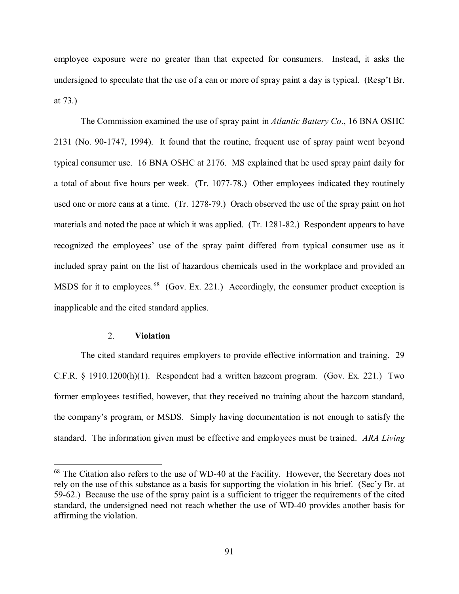employee exposure were no greater than that expected for consumers. Instead, it asks the undersigned to speculate that the use of a can or more of spray paint a day is typical. (Resp't Br. at 73.)

The Commission examined the use of spray paint in *Atlantic Battery Co*., 16 BNA OSHC 2131 (No. 90-1747, 1994). It found that the routine, frequent use of spray paint went beyond typical consumer use. 16 BNA OSHC at 2176. MS explained that he used spray paint daily for a total of about five hours per week. (Tr. 1077-78.) Other employees indicated they routinely used one or more cans at a time. (Tr. 1278-79.) Orach observed the use of the spray paint on hot materials and noted the pace at which it was applied. (Tr. 1281-82.) Respondent appears to have recognized the employees' use of the spray paint differed from typical consumer use as it included spray paint on the list of hazardous chemicals used in the workplace and provided an MSDS for it to employees.<sup>[68](#page-90-0)</sup> (Gov. Ex. 221.) Accordingly, the consumer product exception is inapplicable and the cited standard applies.

# 2. **Violation**

 $\overline{a}$ 

The cited standard requires employers to provide effective information and training. 29 C.F.R. § 1910.1200(h)(1). Respondent had a written hazcom program. (Gov. Ex. 221.) Two former employees testified, however, that they received no training about the hazcom standard, the company's program, or MSDS. Simply having documentation is not enough to satisfy the standard. The information given must be effective and employees must be trained. *ARA Living* 

<span id="page-90-0"></span> $68$  The Citation also refers to the use of WD-40 at the Facility. However, the Secretary does not rely on the use of this substance as a basis for supporting the violation in his brief. (Sec'y Br. at 59-62.) Because the use of the spray paint is a sufficient to trigger the requirements of the cited standard, the undersigned need not reach whether the use of WD-40 provides another basis for affirming the violation.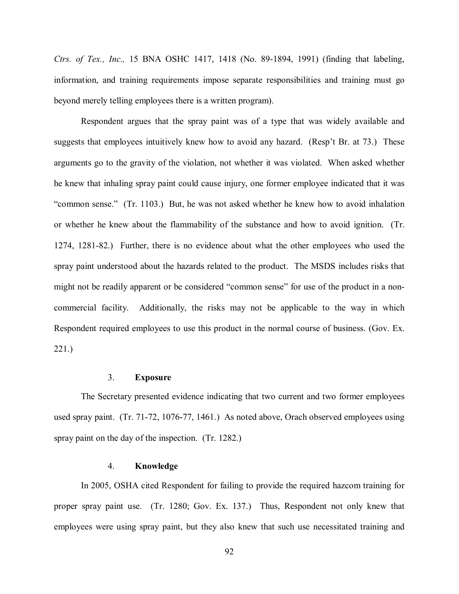*Ctrs. of Tex., Inc.,* 15 BNA OSHC 1417, 1418 (No. 89-1894, 1991) (finding that labeling, information, and training requirements impose separate responsibilities and training must go beyond merely telling employees there is a written program).

Respondent argues that the spray paint was of a type that was widely available and suggests that employees intuitively knew how to avoid any hazard. (Resp't Br. at 73.) These arguments go to the gravity of the violation, not whether it was violated. When asked whether he knew that inhaling spray paint could cause injury, one former employee indicated that it was "common sense." (Tr. 1103.) But, he was not asked whether he knew how to avoid inhalation or whether he knew about the flammability of the substance and how to avoid ignition. (Tr. 1274, 1281-82.) Further, there is no evidence about what the other employees who used the spray paint understood about the hazards related to the product. The MSDS includes risks that might not be readily apparent or be considered "common sense" for use of the product in a noncommercial facility. Additionally, the risks may not be applicable to the way in which Respondent required employees to use this product in the normal course of business. (Gov. Ex. 221.)

#### 3. **Exposure**

The Secretary presented evidence indicating that two current and two former employees used spray paint. (Tr. 71-72, 1076-77, 1461.) As noted above, Orach observed employees using spray paint on the day of the inspection. (Tr. 1282.)

# 4. **Knowledge**

In 2005, OSHA cited Respondent for failing to provide the required hazcom training for proper spray paint use. (Tr. 1280; Gov. Ex. 137.) Thus, Respondent not only knew that employees were using spray paint, but they also knew that such use necessitated training and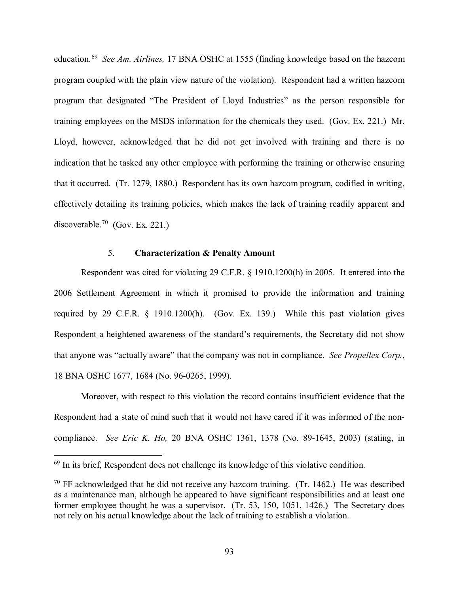education.[69](#page-92-0) *See Am. Airlines,* 17 BNA OSHC at 1555 (finding knowledge based on the hazcom program coupled with the plain view nature of the violation). Respondent had a written hazcom program that designated "The President of Lloyd Industries" as the person responsible for training employees on the MSDS information for the chemicals they used. (Gov. Ex. 221.) Mr. Lloyd, however, acknowledged that he did not get involved with training and there is no indication that he tasked any other employee with performing the training or otherwise ensuring that it occurred. (Tr. 1279, 1880.) Respondent has its own hazcom program, codified in writing, effectively detailing its training policies, which makes the lack of training readily apparent and discoverable.<sup>[70](#page-92-1)</sup> (Gov. Ex. 221.)

# 5. **Characterization & Penalty Amount**

Respondent was cited for violating 29 C.F.R. § 1910.1200(h) in 2005. It entered into the 2006 Settlement Agreement in which it promised to provide the information and training required by 29 C.F.R. § 1910.1200(h). (Gov. Ex. 139.) While this past violation gives Respondent a heightened awareness of the standard's requirements, the Secretary did not show that anyone was "actually aware" that the company was not in compliance. *See Propellex Corp.*, 18 BNA OSHC 1677, 1684 (No. 96-0265, 1999).

Moreover, with respect to this violation the record contains insufficient evidence that the Respondent had a state of mind such that it would not have cared if it was informed of the noncompliance. *See Eric K. Ho,* 20 BNA OSHC 1361, 1378 (No. 89-1645, 2003) (stating, in

<span id="page-92-0"></span> $69$  In its brief, Respondent does not challenge its knowledge of this violative condition.

<span id="page-92-1"></span> $70$  FF acknowledged that he did not receive any hazcom training. (Tr. 1462.) He was described as a maintenance man, although he appeared to have significant responsibilities and at least one former employee thought he was a supervisor. (Tr. 53, 150, 1051, 1426.) The Secretary does not rely on his actual knowledge about the lack of training to establish a violation.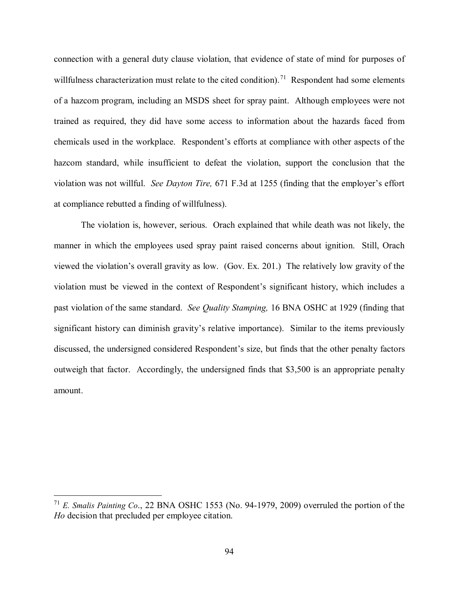connection with a general duty clause violation, that evidence of state of mind for purposes of willfulness characterization must relate to the cited condition).<sup>[71](#page-93-0)</sup> Respondent had some elements of a hazcom program, including an MSDS sheet for spray paint. Although employees were not trained as required, they did have some access to information about the hazards faced from chemicals used in the workplace. Respondent's efforts at compliance with other aspects of the hazcom standard, while insufficient to defeat the violation, support the conclusion that the violation was not willful. *See Dayton Tire,* 671 F.3d at 1255 (finding that the employer's effort at compliance rebutted a finding of willfulness).

The violation is, however, serious. Orach explained that while death was not likely, the manner in which the employees used spray paint raised concerns about ignition. Still, Orach viewed the violation's overall gravity as low. (Gov. Ex. 201.) The relatively low gravity of the violation must be viewed in the context of Respondent's significant history, which includes a past violation of the same standard. *See Quality Stamping,* 16 BNA OSHC at 1929 (finding that significant history can diminish gravity's relative importance). Similar to the items previously discussed, the undersigned considered Respondent's size, but finds that the other penalty factors outweigh that factor. Accordingly, the undersigned finds that \$3,500 is an appropriate penalty amount.

<span id="page-93-0"></span><sup>71</sup> *E. Smalis Painting Co*., 22 BNA OSHC 1553 (No. 94-1979, 2009) overruled the portion of the *Ho* decision that precluded per employee citation.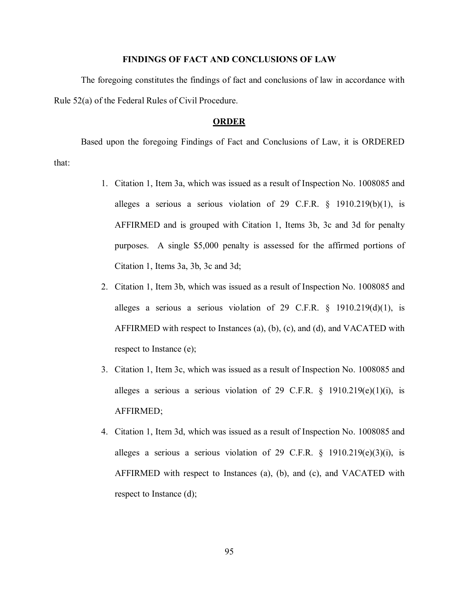### **FINDINGS OF FACT AND CONCLUSIONS OF LAW**

The foregoing constitutes the findings of fact and conclusions of law in accordance with Rule 52(a) of the Federal Rules of Civil Procedure.

#### **ORDER**

Based upon the foregoing Findings of Fact and Conclusions of Law, it is ORDERED that:

- 1. Citation 1, Item 3a, which was issued as a result of Inspection No. 1008085 and alleges a serious a serious violation of 29 C.F.R. § 1910.219(b)(1), is AFFIRMED and is grouped with Citation 1, Items 3b, 3c and 3d for penalty purposes. A single \$5,000 penalty is assessed for the affirmed portions of Citation 1, Items 3a, 3b, 3c and 3d;
- 2. Citation 1, Item 3b, which was issued as a result of Inspection No. 1008085 and alleges a serious a serious violation of 29 C.F.R.  $\S$  1910.219(d)(1), is AFFIRMED with respect to Instances (a), (b), (c), and (d), and VACATED with respect to Instance (e);
- 3. Citation 1, Item 3c, which was issued as a result of Inspection No. 1008085 and alleges a serious a serious violation of 29 C.F.R.  $\S$  1910.219(e)(1)(i), is AFFIRMED;
- 4. Citation 1, Item 3d, which was issued as a result of Inspection No. 1008085 and alleges a serious a serious violation of 29 C.F.R.  $\S$  1910.219(e)(3)(i), is AFFIRMED with respect to Instances (a), (b), and (c), and VACATED with respect to Instance (d);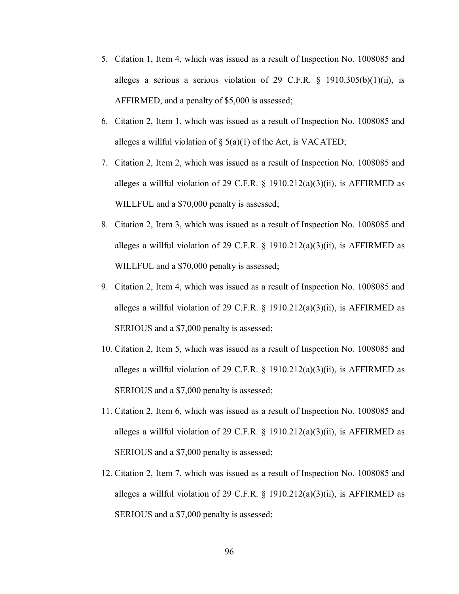- 5. Citation 1, Item 4, which was issued as a result of Inspection No. 1008085 and alleges a serious a serious violation of 29 C.F.R.  $\S$  1910.305(b)(1)(ii), is AFFIRMED, and a penalty of \$5,000 is assessed;
- 6. Citation 2, Item 1, which was issued as a result of Inspection No. 1008085 and alleges a willful violation of  $\S$  5(a)(1) of the Act, is VACATED;
- 7. Citation 2, Item 2, which was issued as a result of Inspection No. 1008085 and alleges a willful violation of 29 C.F.R.  $\S$  1910.212(a)(3)(ii), is AFFIRMED as WILLFUL and a \$70,000 penalty is assessed;
- 8. Citation 2, Item 3, which was issued as a result of Inspection No. 1008085 and alleges a willful violation of 29 C.F.R. § 1910.212(a)(3)(ii), is AFFIRMED as WILLFUL and a \$70,000 penalty is assessed;
- 9. Citation 2, Item 4, which was issued as a result of Inspection No. 1008085 and alleges a willful violation of 29 C.F.R. § 1910.212(a)(3)(ii), is AFFIRMED as SERIOUS and a \$7,000 penalty is assessed;
- 10. Citation 2, Item 5, which was issued as a result of Inspection No. 1008085 and alleges a willful violation of 29 C.F.R. § 1910.212(a)(3)(ii), is AFFIRMED as SERIOUS and a \$7,000 penalty is assessed;
- 11. Citation 2, Item 6, which was issued as a result of Inspection No. 1008085 and alleges a willful violation of 29 C.F.R. § 1910.212(a)(3)(ii), is AFFIRMED as SERIOUS and a \$7,000 penalty is assessed;
- 12. Citation 2, Item 7, which was issued as a result of Inspection No. 1008085 and alleges a willful violation of 29 C.F.R. § 1910.212(a)(3)(ii), is AFFIRMED as SERIOUS and a \$7,000 penalty is assessed;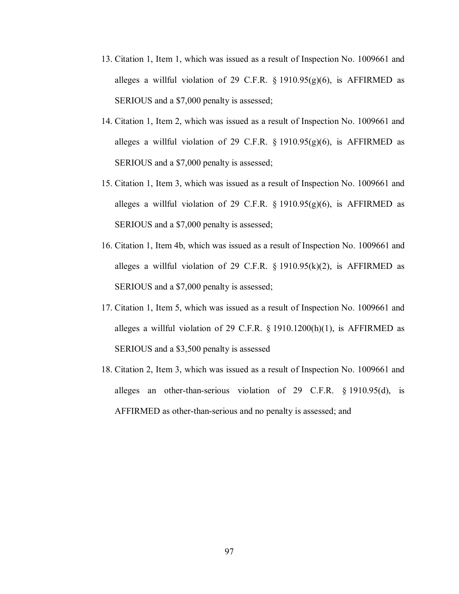- 13. Citation 1, Item 1, which was issued as a result of Inspection No. 1009661 and alleges a willful violation of 29 C.F.R.  $\S$  1910.95(g)(6), is AFFIRMED as SERIOUS and a \$7,000 penalty is assessed;
- 14. Citation 1, Item 2, which was issued as a result of Inspection No. 1009661 and alleges a willful violation of 29 C.F.R.  $\S$  1910.95(g)(6), is AFFIRMED as SERIOUS and a \$7,000 penalty is assessed;
- 15. Citation 1, Item 3, which was issued as a result of Inspection No. 1009661 and alleges a willful violation of 29 C.F.R.  $\S$  1910.95(g)(6), is AFFIRMED as SERIOUS and a \$7,000 penalty is assessed;
- 16. Citation 1, Item 4b, which was issued as a result of Inspection No. 1009661 and alleges a willful violation of 29 C.F.R.  $\S$  1910.95(k)(2), is AFFIRMED as SERIOUS and a \$7,000 penalty is assessed;
- 17. Citation 1, Item 5, which was issued as a result of Inspection No. 1009661 and alleges a willful violation of 29 C.F.R.  $\S$  1910.1200(h)(1), is AFFIRMED as SERIOUS and a \$3,500 penalty is assessed
- 18. Citation 2, Item 3, which was issued as a result of Inspection No. 1009661 and alleges an other-than-serious violation of 29 C.F.R. § 1910.95(d), is AFFIRMED as other-than-serious and no penalty is assessed; and